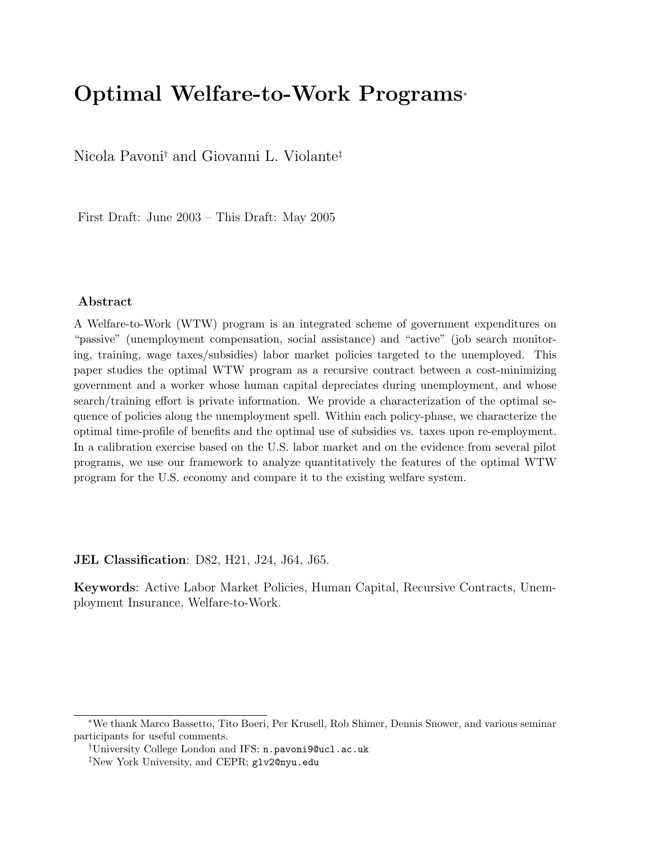# Optimal Welfare-to-Work Programs<sup>∗</sup>

Nicola Pavoni† and Giovanni L. Violante‡

First Draft: June 2003 – This Draft: May 2005

#### Abstract

A Welfare-to-Work (WTW) program is an integrated scheme of government expenditures on "passive" (unemployment compensation, social assistance) and "active" (job search monitoring, training, wage taxes/subsidies) labor market policies targeted to the unemployed. This paper studies the optimal WTW program as a recursive contract between a cost-minimizing government and a worker whose human capital depreciates during unemployment, and whose search/training effort is private information. We provide a characterization of the optimal sequence of policies along the unemployment spell. Within each policy-phase, we characterize the optimal time-profile of benefits and the optimal use of subsidies vs. taxes upon re-employment. In a calibration exercise based on the U.S. labor market and on the evidence from several pilot programs, we use our framework to analyze quantitatively the features of the optimal WTW program for the U.S. economy and compare it to the existing welfare system.

JEL Classification: D82, H21, J24, J64, J65.

Keywords: Active Labor Market Policies, Human Capital, Recursive Contracts, Unemployment Insurance, Welfare-to-Work.

<sup>∗</sup>We thank Marco Bassetto, Tito Boeri, Per Krusell, Rob Shimer, Dennis Snower, and various seminar participants for useful comments.

<sup>†</sup>University College London and IFS; n.pavoni9@ucl.ac.uk

<sup>‡</sup>New York University, and CEPR; glv2@nyu.edu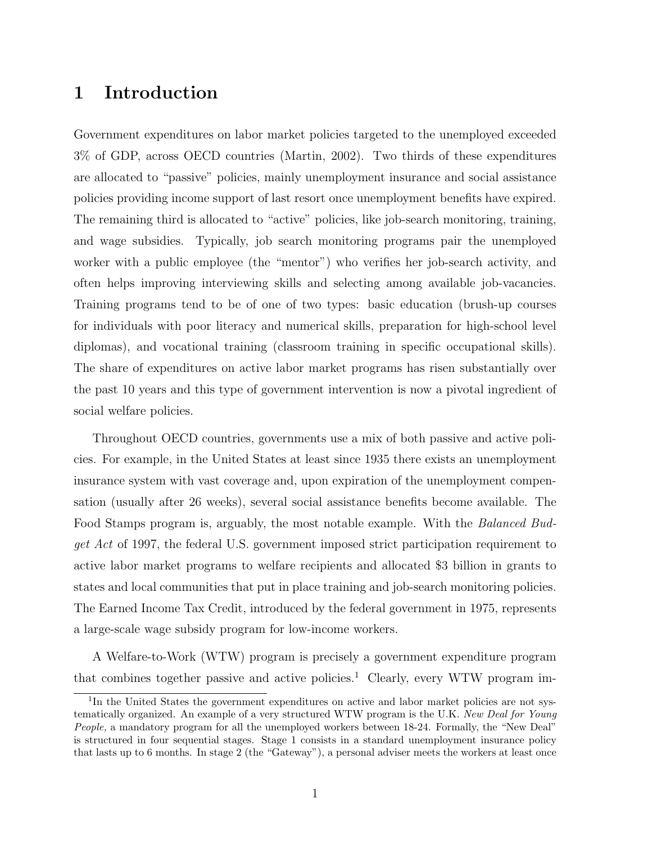# 1 Introduction

Government expenditures on labor market policies targeted to the unemployed exceeded 3% of GDP, across OECD countries (Martin, 2002). Two thirds of these expenditures are allocated to "passive" policies, mainly unemployment insurance and social assistance policies providing income support of last resort once unemployment benefits have expired. The remaining third is allocated to "active" policies, like job-search monitoring, training, and wage subsidies. Typically, job search monitoring programs pair the unemployed worker with a public employee (the "mentor") who verifies her job-search activity, and often helps improving interviewing skills and selecting among available job-vacancies. Training programs tend to be of one of two types: basic education (brush-up courses for individuals with poor literacy and numerical skills, preparation for high-school level diplomas), and vocational training (classroom training in specific occupational skills). The share of expenditures on active labor market programs has risen substantially over the past 10 years and this type of government intervention is now a pivotal ingredient of social welfare policies.

Throughout OECD countries, governments use a mix of both passive and active policies. For example, in the United States at least since 1935 there exists an unemployment insurance system with vast coverage and, upon expiration of the unemployment compensation (usually after 26 weeks), several social assistance benefits become available. The Food Stamps program is, arguably, the most notable example. With the Balanced Budget Act of 1997, the federal U.S. government imposed strict participation requirement to active labor market programs to welfare recipients and allocated \$3 billion in grants to states and local communities that put in place training and job-search monitoring policies. The Earned Income Tax Credit, introduced by the federal government in 1975, represents a large-scale wage subsidy program for low-income workers.

A Welfare-to-Work (WTW) program is precisely a government expenditure program that combines together passive and active policies.<sup>1</sup> Clearly, every WTW program im-

<sup>&</sup>lt;sup>1</sup>In the United States the government expenditures on active and labor market policies are not systematically organized. An example of a very structured WTW program is the U.K. New Deal for Young People, a mandatory program for all the unemployed workers between 18-24. Formally, the "New Deal" is structured in four sequential stages. Stage 1 consists in a standard unemployment insurance policy that lasts up to 6 months. In stage 2 (the "Gateway"), a personal adviser meets the workers at least once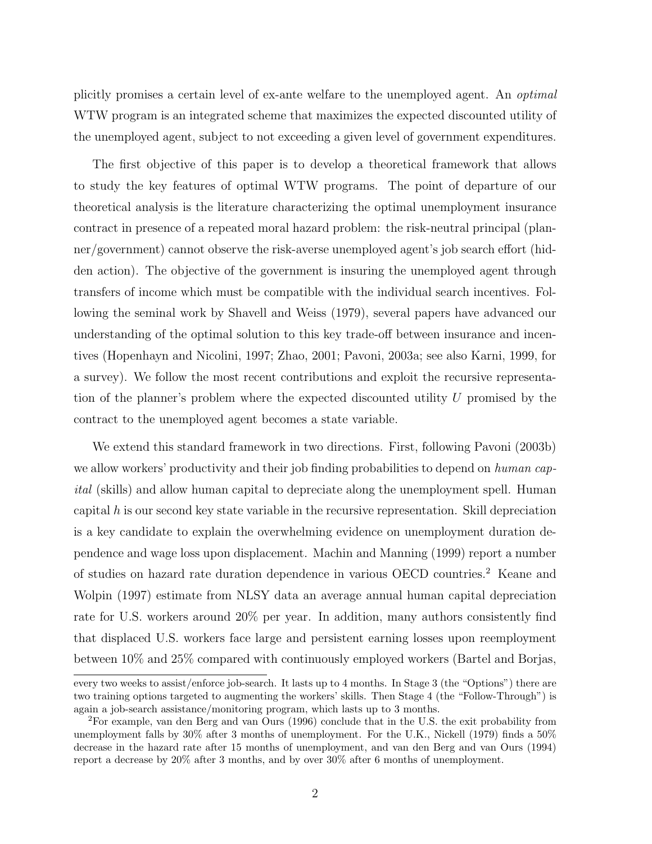plicitly promises a certain level of ex-ante welfare to the unemployed agent. An optimal WTW program is an integrated scheme that maximizes the expected discounted utility of the unemployed agent, subject to not exceeding a given level of government expenditures.

The first objective of this paper is to develop a theoretical framework that allows to study the key features of optimal WTW programs. The point of departure of our theoretical analysis is the literature characterizing the optimal unemployment insurance contract in presence of a repeated moral hazard problem: the risk-neutral principal (planner/government) cannot observe the risk-averse unemployed agent's job search effort (hidden action). The objective of the government is insuring the unemployed agent through transfers of income which must be compatible with the individual search incentives. Following the seminal work by Shavell and Weiss (1979), several papers have advanced our understanding of the optimal solution to this key trade-off between insurance and incentives (Hopenhayn and Nicolini, 1997; Zhao, 2001; Pavoni, 2003a; see also Karni, 1999, for a survey). We follow the most recent contributions and exploit the recursive representation of the planner's problem where the expected discounted utility U promised by the contract to the unemployed agent becomes a state variable.

We extend this standard framework in two directions. First, following Pavoni (2003b) we allow workers' productivity and their job finding probabilities to depend on human capital (skills) and allow human capital to depreciate along the unemployment spell. Human capital  $h$  is our second key state variable in the recursive representation. Skill depreciation is a key candidate to explain the overwhelming evidence on unemployment duration dependence and wage loss upon displacement. Machin and Manning (1999) report a number of studies on hazard rate duration dependence in various OECD countries.<sup>2</sup> Keane and Wolpin (1997) estimate from NLSY data an average annual human capital depreciation rate for U.S. workers around 20% per year. In addition, many authors consistently find that displaced U.S. workers face large and persistent earning losses upon reemployment between 10% and 25% compared with continuously employed workers (Bartel and Borjas,

every two weeks to assist/enforce job-search. It lasts up to 4 months. In Stage 3 (the "Options") there are two training options targeted to augmenting the workers' skills. Then Stage 4 (the "Follow-Through") is again a job-search assistance/monitoring program, which lasts up to 3 months.

<sup>2</sup>For example, van den Berg and van Ours (1996) conclude that in the U.S. the exit probability from unemployment falls by 30% after 3 months of unemployment. For the U.K., Nickell (1979) finds a 50% decrease in the hazard rate after 15 months of unemployment, and van den Berg and van Ours (1994) report a decrease by 20% after 3 months, and by over 30% after 6 months of unemployment.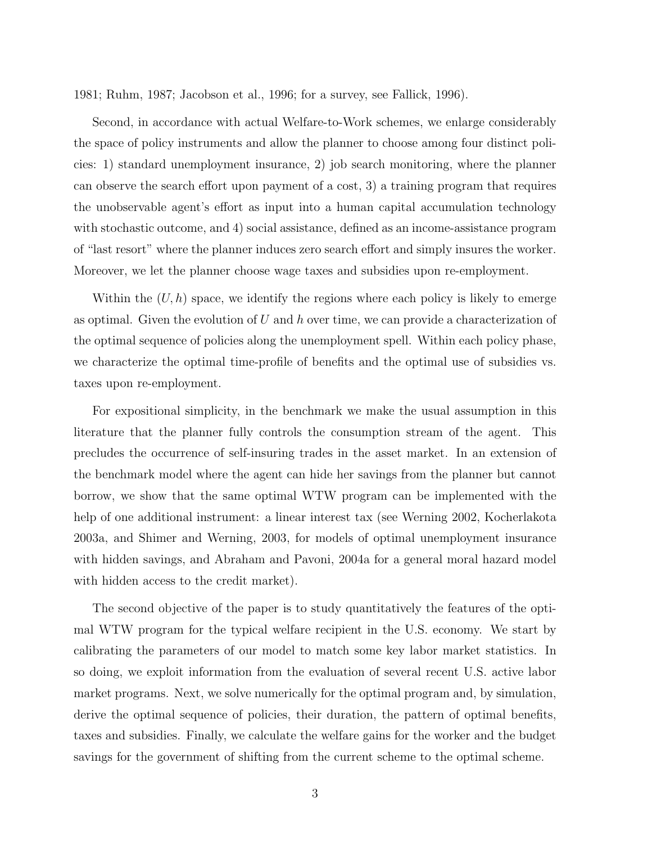1981; Ruhm, 1987; Jacobson et al., 1996; for a survey, see Fallick, 1996).

Second, in accordance with actual Welfare-to-Work schemes, we enlarge considerably the space of policy instruments and allow the planner to choose among four distinct policies: 1) standard unemployment insurance, 2) job search monitoring, where the planner can observe the search effort upon payment of a cost, 3) a training program that requires the unobservable agent's effort as input into a human capital accumulation technology with stochastic outcome, and 4) social assistance, defined as an income-assistance program of "last resort" where the planner induces zero search effort and simply insures the worker. Moreover, we let the planner choose wage taxes and subsidies upon re-employment.

Within the  $(U, h)$  space, we identify the regions where each policy is likely to emerge as optimal. Given the evolution of U and h over time, we can provide a characterization of the optimal sequence of policies along the unemployment spell. Within each policy phase, we characterize the optimal time-profile of benefits and the optimal use of subsidies vs. taxes upon re-employment.

For expositional simplicity, in the benchmark we make the usual assumption in this literature that the planner fully controls the consumption stream of the agent. This precludes the occurrence of self-insuring trades in the asset market. In an extension of the benchmark model where the agent can hide her savings from the planner but cannot borrow, we show that the same optimal WTW program can be implemented with the help of one additional instrument: a linear interest tax (see Werning 2002, Kocherlakota 2003a, and Shimer and Werning, 2003, for models of optimal unemployment insurance with hidden savings, and Abraham and Pavoni, 2004a for a general moral hazard model with hidden access to the credit market).

The second objective of the paper is to study quantitatively the features of the optimal WTW program for the typical welfare recipient in the U.S. economy. We start by calibrating the parameters of our model to match some key labor market statistics. In so doing, we exploit information from the evaluation of several recent U.S. active labor market programs. Next, we solve numerically for the optimal program and, by simulation, derive the optimal sequence of policies, their duration, the pattern of optimal benefits, taxes and subsidies. Finally, we calculate the welfare gains for the worker and the budget savings for the government of shifting from the current scheme to the optimal scheme.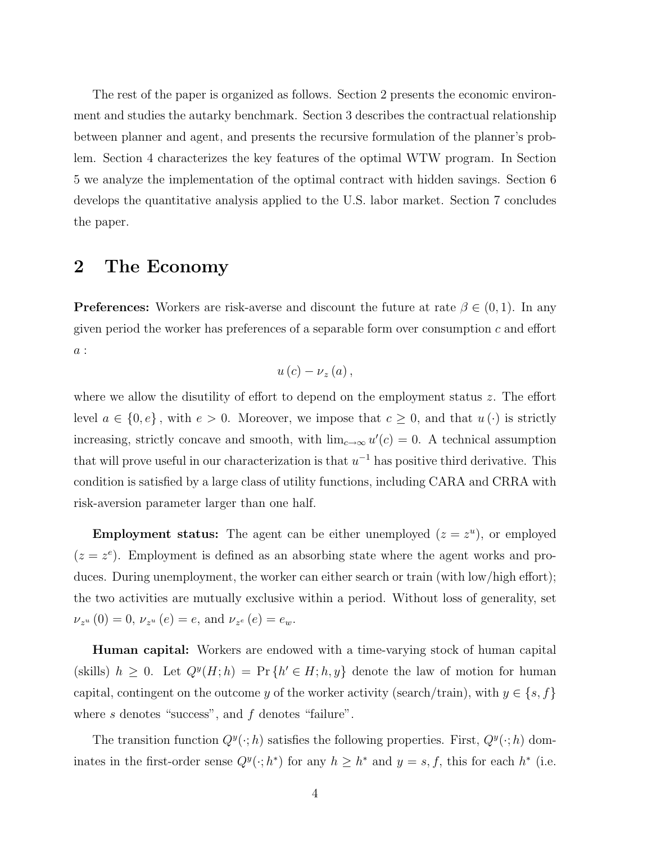The rest of the paper is organized as follows. Section 2 presents the economic environment and studies the autarky benchmark. Section 3 describes the contractual relationship between planner and agent, and presents the recursive formulation of the planner's problem. Section 4 characterizes the key features of the optimal WTW program. In Section 5 we analyze the implementation of the optimal contract with hidden savings. Section 6 develops the quantitative analysis applied to the U.S. labor market. Section 7 concludes the paper.

# 2 The Economy

**Preferences:** Workers are risk-averse and discount the future at rate  $\beta \in (0, 1)$ . In any given period the worker has preferences of a separable form over consumption  $c$  and effort a :

$$
u\left( c\right) -\nu_{z}\left( a\right) ,
$$

where we allow the disutility of effort to depend on the employment status z. The effort level  $a \in \{0, e\}$ , with  $e > 0$ . Moreover, we impose that  $c \geq 0$ , and that  $u(\cdot)$  is strictly increasing, strictly concave and smooth, with  $\lim_{c\to\infty} u'(c) = 0$ . A technical assumption that will prove useful in our characterization is that  $u^{-1}$  has positive third derivative. This condition is satisfied by a large class of utility functions, including CARA and CRRA with risk-aversion parameter larger than one half.

**Employment status:** The agent can be either unemployed  $(z = z^u)$ , or employed  $(z = z<sup>e</sup>)$ . Employment is defined as an absorbing state where the agent works and produces. During unemployment, the worker can either search or train (with low/high effort); the two activities are mutually exclusive within a period. Without loss of generality, set  $\nu_{z^u}(0) = 0, \, \nu_{z^u}(e) = e$ , and  $\nu_{z^e}(e) = e_w$ .

Human capital: Workers are endowed with a time-varying stock of human capital (skills)  $h \geq 0$ . Let  $Q^y(H; h) = Pr \{h' \in H; h, y\}$  denote the law of motion for human capital, contingent on the outcome y of the worker activity (search/train), with  $y \in \{s, f\}$ where  $s$  denotes "success", and  $f$  denotes "failure".

The transition function  $Q^y(\cdot; h)$  satisfies the following properties. First,  $Q^y(\cdot; h)$  dominates in the first-order sense  $Q^y(\cdot; h^*)$  for any  $h \geq h^*$  and  $y = s, f$ , this for each  $h^*$  (i.e.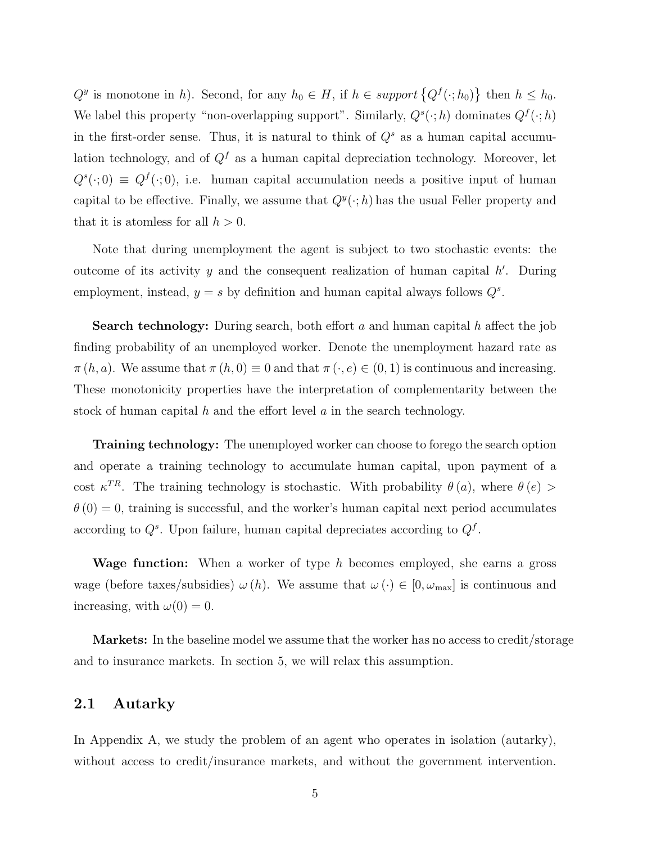$Q^y$  is monotone in h). Second, for any  $h_0 \in H$ , if  $h \in support\{Q^f(\cdot; h_0)\}$ ª then  $h \leq h_0$ . We label this property "non-overlapping support". Similarly,  $Q^s(\cdot; h)$  dominates  $Q^f(\cdot; h)$ in the first-order sense. Thus, it is natural to think of  $Q<sup>s</sup>$  as a human capital accumulation technology, and of  $Q^f$  as a human capital depreciation technology. Moreover, let  $Q^{s}(\cdot;0) \equiv Q^{f}(\cdot;0)$ , i.e. human capital accumulation needs a positive input of human capital to be effective. Finally, we assume that  $Q^y(\cdot;h)$  has the usual Feller property and that it is atomless for all  $h > 0$ .

Note that during unemployment the agent is subject to two stochastic events: the outcome of its activity y and the consequent realization of human capital  $h'$ . During employment, instead,  $y = s$  by definition and human capital always follows  $Q^s$ .

**Search technology:** During search, both effort a and human capital h affect the job finding probability of an unemployed worker. Denote the unemployment hazard rate as  $\pi(h, a)$ . We assume that  $\pi(h, 0) \equiv 0$  and that  $\pi(\cdot, e) \in (0, 1)$  is continuous and increasing. These monotonicity properties have the interpretation of complementarity between the stock of human capital h and the effort level  $a$  in the search technology.

Training technology: The unemployed worker can choose to forego the search option and operate a training technology to accumulate human capital, upon payment of a cost  $\kappa^{TR}$ . The training technology is stochastic. With probability  $\theta(a)$ , where  $\theta(e)$  $\theta(0) = 0$ , training is successful, and the worker's human capital next period accumulates according to  $Q^s$ . Upon failure, human capital depreciates according to  $Q^f$ .

**Wage function:** When a worker of type h becomes employed, she earns a gross wage (before taxes/subsidies)  $\omega(h)$ . We assume that  $\omega(\cdot) \in [0, \omega_{\text{max}}]$  is continuous and increasing, with  $\omega(0) = 0$ .

Markets: In the baseline model we assume that the worker has no access to credit/storage and to insurance markets. In section 5, we will relax this assumption.

## 2.1 Autarky

In Appendix A, we study the problem of an agent who operates in isolation (autarky), without access to credit/insurance markets, and without the government intervention.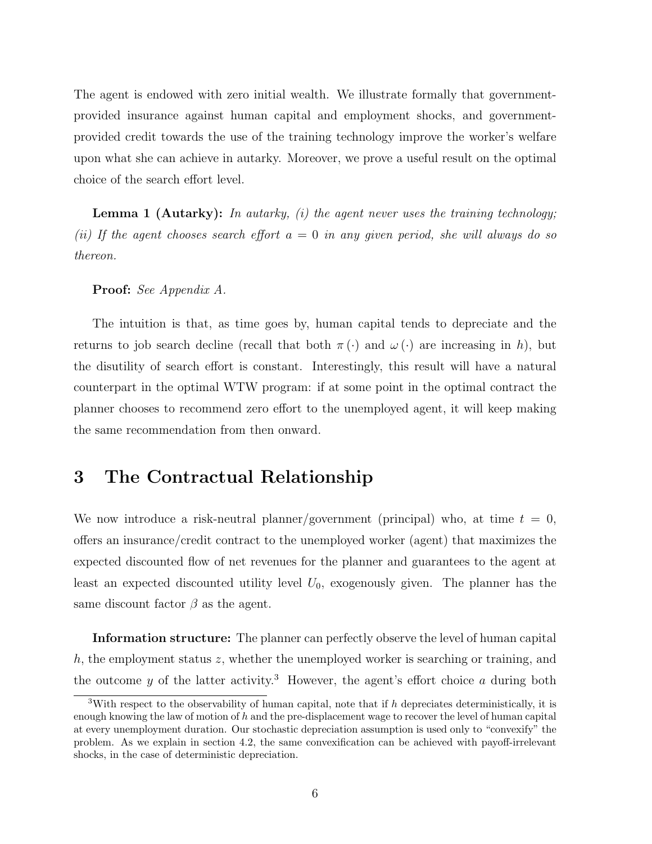The agent is endowed with zero initial wealth. We illustrate formally that governmentprovided insurance against human capital and employment shocks, and governmentprovided credit towards the use of the training technology improve the worker's welfare upon what she can achieve in autarky. Moreover, we prove a useful result on the optimal choice of the search effort level.

**Lemma 1 (Autarky):** In autarky, (i) the agent never uses the training technology; (ii) If the agent chooses search effort  $a = 0$  in any given period, she will always do so thereon.

#### Proof: See Appendix A.

The intuition is that, as time goes by, human capital tends to depreciate and the returns to job search decline (recall that both  $\pi(\cdot)$  and  $\omega(\cdot)$  are increasing in h), but the disutility of search effort is constant. Interestingly, this result will have a natural counterpart in the optimal WTW program: if at some point in the optimal contract the planner chooses to recommend zero effort to the unemployed agent, it will keep making the same recommendation from then onward.

# 3 The Contractual Relationship

We now introduce a risk-neutral planner/government (principal) who, at time  $t = 0$ , offers an insurance/credit contract to the unemployed worker (agent) that maximizes the expected discounted flow of net revenues for the planner and guarantees to the agent at least an expected discounted utility level  $U_0$ , exogenously given. The planner has the same discount factor  $\beta$  as the agent.

Information structure: The planner can perfectly observe the level of human capital h, the employment status z, whether the unemployed worker is searching or training, and the outcome  $y$  of the latter activity.<sup>3</sup> However, the agent's effort choice  $a$  during both

<sup>&</sup>lt;sup>3</sup>With respect to the observability of human capital, note that if  $h$  depreciates deterministically, it is enough knowing the law of motion of  $h$  and the pre-displacement wage to recover the level of human capital at every unemployment duration. Our stochastic depreciation assumption is used only to "convexify" the problem. As we explain in section 4.2, the same convexification can be achieved with payoff-irrelevant shocks, in the case of deterministic depreciation.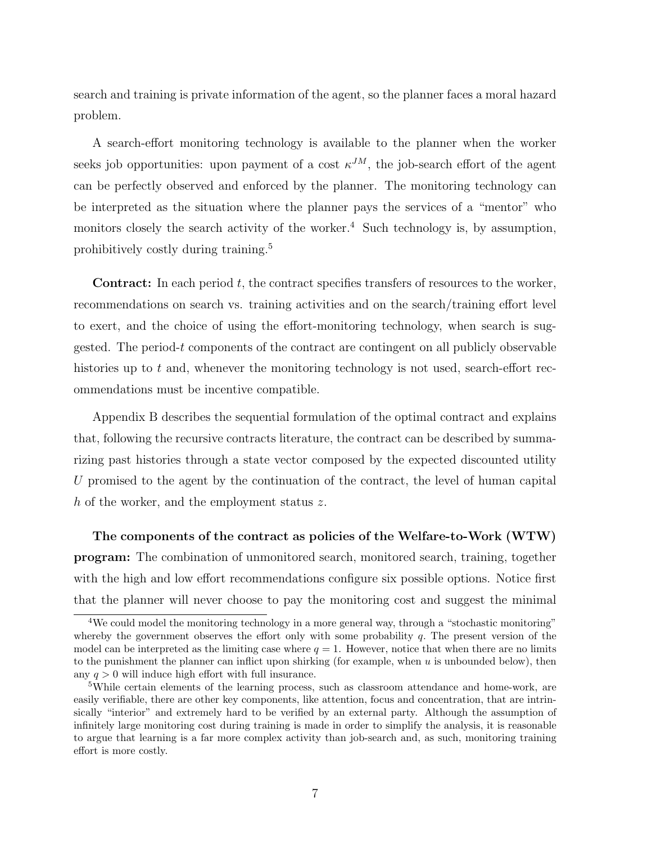search and training is private information of the agent, so the planner faces a moral hazard problem.

A search-effort monitoring technology is available to the planner when the worker seeks job opportunities: upon payment of a cost  $\kappa^{JM}$ , the job-search effort of the agent can be perfectly observed and enforced by the planner. The monitoring technology can be interpreted as the situation where the planner pays the services of a "mentor" who monitors closely the search activity of the worker.<sup>4</sup> Such technology is, by assumption, prohibitively costly during training.<sup>5</sup>

**Contract:** In each period t, the contract specifies transfers of resources to the worker, recommendations on search vs. training activities and on the search/training effort level to exert, and the choice of using the effort-monitoring technology, when search is suggested. The period-t components of the contract are contingent on all publicly observable histories up to t and, whenever the monitoring technology is not used, search-effort recommendations must be incentive compatible.

Appendix B describes the sequential formulation of the optimal contract and explains that, following the recursive contracts literature, the contract can be described by summarizing past histories through a state vector composed by the expected discounted utility U promised to the agent by the continuation of the contract, the level of human capital h of the worker, and the employment status z.

The components of the contract as policies of the Welfare-to-Work (WTW) program: The combination of unmonitored search, monitored search, training, together with the high and low effort recommendations configure six possible options. Notice first that the planner will never choose to pay the monitoring cost and suggest the minimal

<sup>&</sup>lt;sup>4</sup>We could model the monitoring technology in a more general way, through a "stochastic monitoring" whereby the government observes the effort only with some probability  $q$ . The present version of the model can be interpreted as the limiting case where  $q = 1$ . However, notice that when there are no limits to the punishment the planner can inflict upon shirking (for example, when  $u$  is unbounded below), then any  $q > 0$  will induce high effort with full insurance.

<sup>5</sup>While certain elements of the learning process, such as classroom attendance and home-work, are easily verifiable, there are other key components, like attention, focus and concentration, that are intrinsically "interior" and extremely hard to be verified by an external party. Although the assumption of infinitely large monitoring cost during training is made in order to simplify the analysis, it is reasonable to argue that learning is a far more complex activity than job-search and, as such, monitoring training effort is more costly.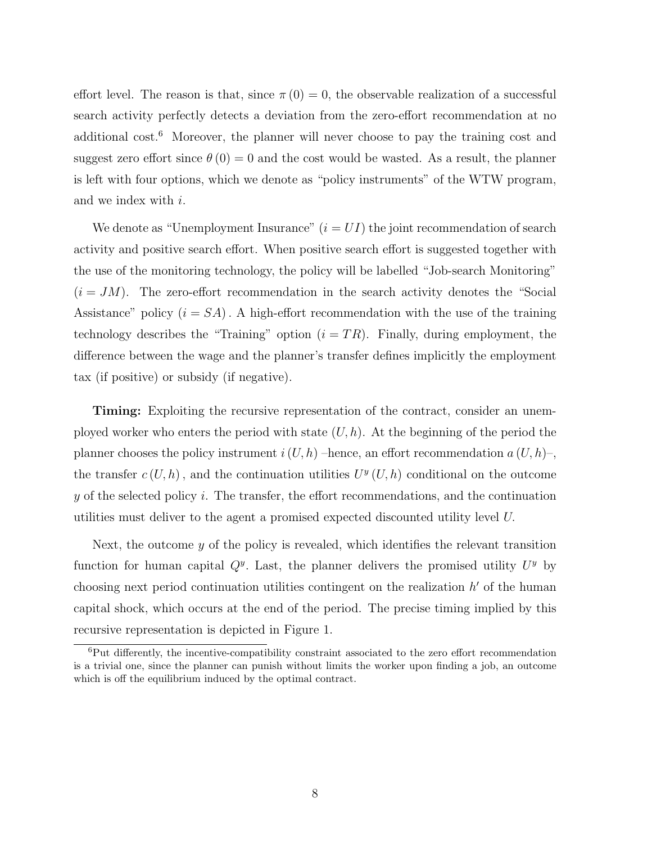effort level. The reason is that, since  $\pi(0) = 0$ , the observable realization of a successful search activity perfectly detects a deviation from the zero-effort recommendation at no additional  $cost^6$ . Moreover, the planner will never choose to pay the training cost and suggest zero effort since  $\theta(0) = 0$  and the cost would be wasted. As a result, the planner is left with four options, which we denote as "policy instruments" of the WTW program, and we index with i.

We denote as "Unemployment Insurance"  $(i = UI)$  the joint recommendation of search activity and positive search effort. When positive search effort is suggested together with the use of the monitoring technology, the policy will be labelled "Job-search Monitoring"  $(i = JM)$ . The zero-effort recommendation in the search activity denotes the "Social Assistance" policy  $(i = SA)$ . A high-effort recommendation with the use of the training technology describes the "Training" option  $(i = TR)$ . Finally, during employment, the difference between the wage and the planner's transfer defines implicitly the employment tax (if positive) or subsidy (if negative).

Timing: Exploiting the recursive representation of the contract, consider an unemployed worker who enters the period with state  $(U, h)$ . At the beginning of the period the planner chooses the policy instrument  $i(U, h)$  –hence, an effort recommendation  $a(U, h)$ –, the transfer  $c(U, h)$ , and the continuation utilities  $U^y(U, h)$  conditional on the outcome y of the selected policy i. The transfer, the effort recommendations, and the continuation utilities must deliver to the agent a promised expected discounted utility level U.

Next, the outcome y of the policy is revealed, which identifies the relevant transition function for human capital  $Q^y$ . Last, the planner delivers the promised utility  $U^y$  by choosing next period continuation utilities contingent on the realization  $h'$  of the human capital shock, which occurs at the end of the period. The precise timing implied by this recursive representation is depicted in Figure 1.

<sup>6</sup>Put differently, the incentive-compatibility constraint associated to the zero effort recommendation is a trivial one, since the planner can punish without limits the worker upon finding a job, an outcome which is off the equilibrium induced by the optimal contract.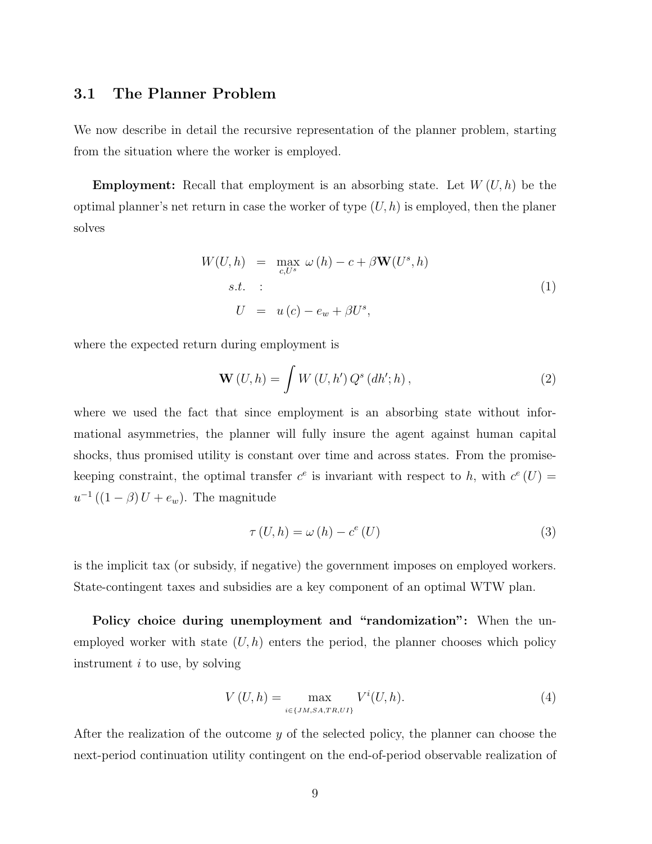## 3.1 The Planner Problem

We now describe in detail the recursive representation of the planner problem, starting from the situation where the worker is employed.

**Employment:** Recall that employment is an absorbing state. Let  $W(U, h)$  be the optimal planner's net return in case the worker of type  $(U, h)$  is employed, then the planer solves

$$
W(U, h) = \max_{c, U^s} \omega(h) - c + \beta \mathbf{W}(U^s, h)
$$
  
s.t. :  

$$
U = u(c) - e_w + \beta U^s,
$$
 (1)

where the expected return during employment is

$$
\mathbf{W}(U,h) = \int W(U,h') Q^{s} (dh';h) , \qquad (2)
$$

where we used the fact that since employment is an absorbing state without informational asymmetries, the planner will fully insure the agent against human capital shocks, thus promised utility is constant over time and across states. From the promisekeeping constraint, the optimal transfer  $c^e$  is invariant with respect to h, with  $c^e(U)$  $u^{-1}((1 - \beta)U + e_w)$ . The magnitude

$$
\tau(U, h) = \omega(h) - c^e(U)
$$
\n(3)

is the implicit tax (or subsidy, if negative) the government imposes on employed workers. State-contingent taxes and subsidies are a key component of an optimal WTW plan.

Policy choice during unemployment and "randomization": When the unemployed worker with state  $(U, h)$  enters the period, the planner chooses which policy instrument  $i$  to use, by solving

$$
V(U, h) = \max_{i \in \{JM, SA, TR, UI\}} V^i(U, h). \tag{4}
$$

After the realization of the outcome y of the selected policy, the planner can choose the next-period continuation utility contingent on the end-of-period observable realization of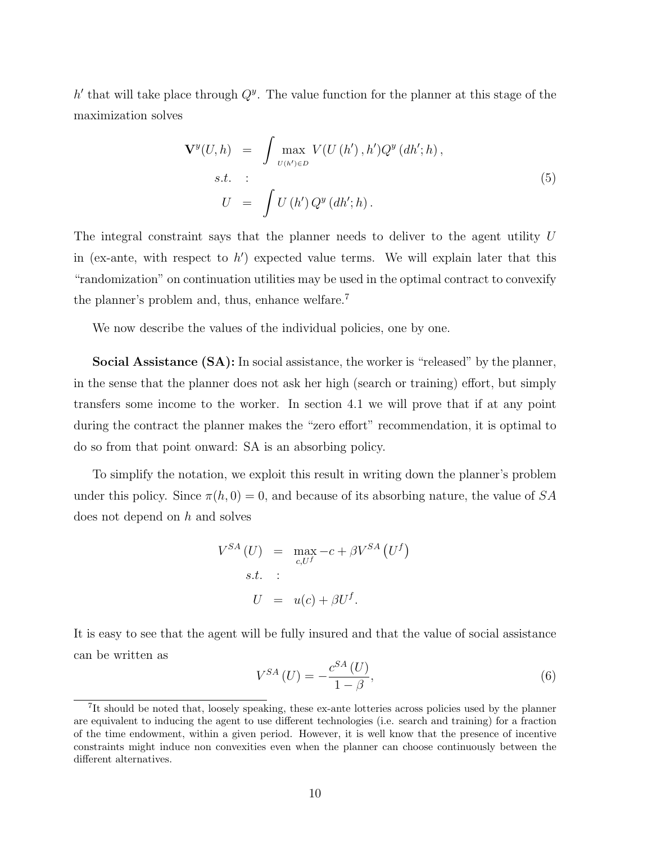h' that will take place through  $Q^y$ . The value function for the planner at this stage of the maximization solves

$$
\mathbf{V}^{y}(U,h) = \int \max_{U(h') \in D} V(U(h'),h')Q^{y}(dh';h),
$$
  
s.t. :  

$$
U = \int U(h')Q^{y}(dh';h).
$$
 (5)

The integral constraint says that the planner needs to deliver to the agent utility U in (ex-ante, with respect to  $h'$ ) expected value terms. We will explain later that this "randomization" on continuation utilities may be used in the optimal contract to convexify the planner's problem and, thus, enhance welfare.<sup>7</sup>

We now describe the values of the individual policies, one by one.

Social Assistance (SA): In social assistance, the worker is "released" by the planner, in the sense that the planner does not ask her high (search or training) effort, but simply transfers some income to the worker. In section 4.1 we will prove that if at any point during the contract the planner makes the "zero effort" recommendation, it is optimal to do so from that point onward: SA is an absorbing policy.

To simplify the notation, we exploit this result in writing down the planner's problem under this policy. Since  $\pi(h, 0) = 0$ , and because of its absorbing nature, the value of SA does not depend on h and solves

$$
V^{SA} (U) = \max_{c, U^f} -c + \beta V^{SA} (U^f)
$$
  
s.t. :  

$$
U = u(c) + \beta U^f.
$$

It is easy to see that the agent will be fully insured and that the value of social assistance can be written as

$$
V^{SA}\left(U\right) = -\frac{c^{SA}\left(U\right)}{1-\beta},\tag{6}
$$

<sup>&</sup>lt;sup>7</sup>It should be noted that, loosely speaking, these ex-ante lotteries across policies used by the planner are equivalent to inducing the agent to use different technologies (i.e. search and training) for a fraction of the time endowment, within a given period. However, it is well know that the presence of incentive constraints might induce non convexities even when the planner can choose continuously between the different alternatives.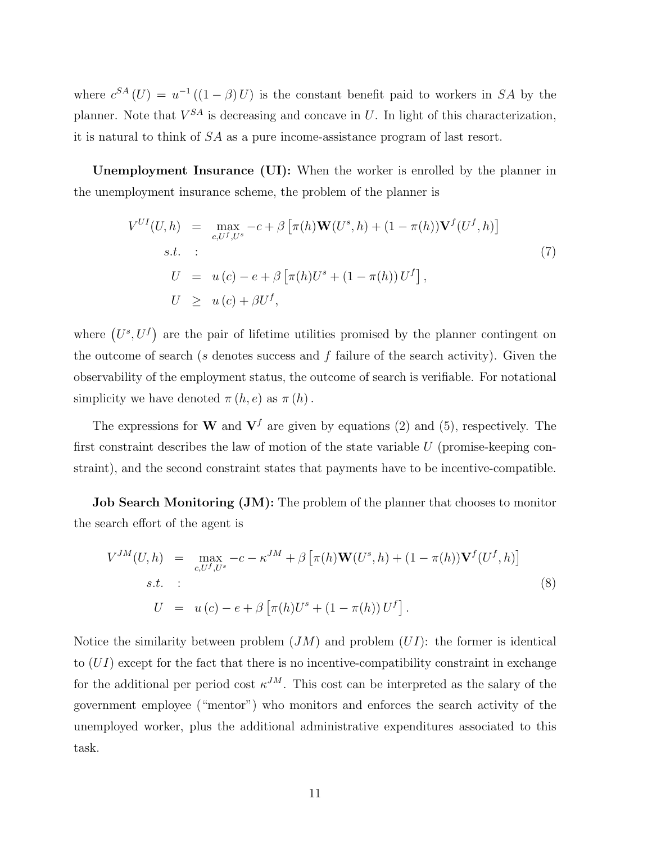where  $c^{SA}(U) = u^{-1}((1 - \beta)U)$  is the constant benefit paid to workers in SA by the planner. Note that  $V^{SA}$  is decreasing and concave in U. In light of this characterization, it is natural to think of SA as a pure income-assistance program of last resort.

Unemployment Insurance (UI): When the worker is enrolled by the planner in the unemployment insurance scheme, the problem of the planner is

$$
V^{UI}(U, h) = \max_{c, U^f, U^s} -c + \beta \left[ \pi(h) \mathbf{W}(U^s, h) + (1 - \pi(h)) \mathbf{V}^f(U^f, h) \right]
$$
  
s.t. :  

$$
U = u(c) - e + \beta \left[ \pi(h) U^s + (1 - \pi(h)) U^f \right],
$$

$$
U \ge u(c) + \beta U^f,
$$
 (7)

where  $(U^s, U^f)$ ¢ are the pair of lifetime utilities promised by the planner contingent on the outcome of search (s denotes success and f failure of the search activity). Given the observability of the employment status, the outcome of search is verifiable. For notational simplicity we have denoted  $\pi(h, e)$  as  $\pi(h)$ .

The expressions for W and  $V^f$  are given by equations (2) and (5), respectively. The first constraint describes the law of motion of the state variable  $U$  (promise-keeping constraint), and the second constraint states that payments have to be incentive-compatible.

Job Search Monitoring (JM): The problem of the planner that chooses to monitor the search effort of the agent is

$$
V^{JM}(U,h) = \max_{c, U^f, U^s} -c - \kappa^{JM} + \beta \left[ \pi(h) \mathbf{W}(U^s, h) + (1 - \pi(h)) \mathbf{V}^f(U^f, h) \right]
$$
  
s.t. :  

$$
U = u(c) - e + \beta \left[ \pi(h) U^s + (1 - \pi(h)) U^f \right].
$$
 (8)

Notice the similarity between problem  $(JM)$  and problem  $(UI)$ : the former is identical to  $(UI)$  except for the fact that there is no incentive-compatibility constraint in exchange for the additional per period cost  $\kappa^{JM}$ . This cost can be interpreted as the salary of the government employee ("mentor") who monitors and enforces the search activity of the unemployed worker, plus the additional administrative expenditures associated to this task.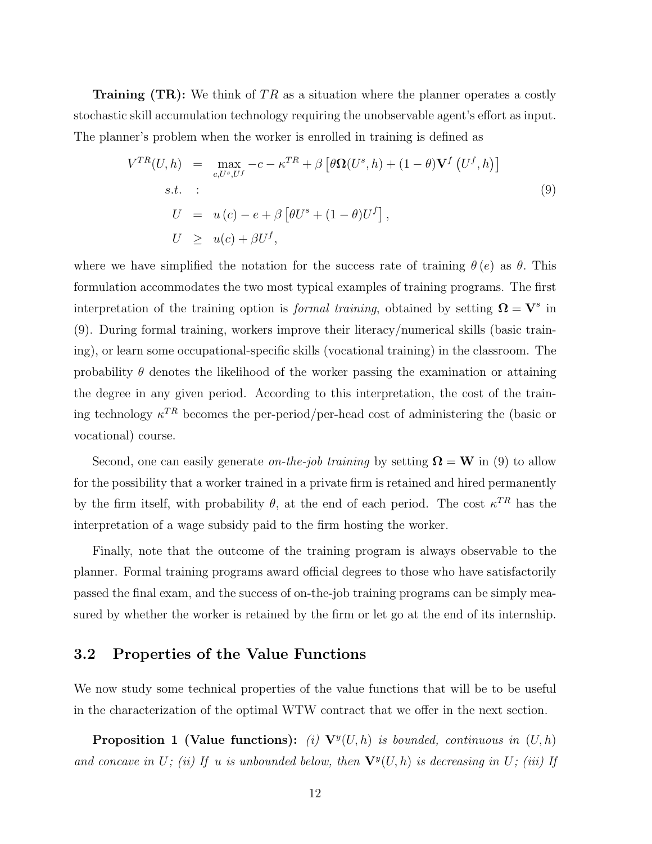**Training (TR):** We think of TR as a situation where the planner operates a costly stochastic skill accumulation technology requiring the unobservable agent's effort as input. The planner's problem when the worker is enrolled in training is defined as

$$
V^{TR}(U, h) = \max_{c, U^s, U^f} -c - \kappa^{TR} + \beta \left[ \theta \Omega(U^s, h) + (1 - \theta) \mathbf{V}^f(U^f, h) \right]
$$
  
s.t. :  

$$
U = u(c) - e + \beta \left[ \theta U^s + (1 - \theta) U^f \right],
$$

$$
U \ge u(c) + \beta U^f,
$$
 (9)

where we have simplified the notation for the success rate of training  $\theta(e)$  as  $\theta$ . This formulation accommodates the two most typical examples of training programs. The first interpretation of the training option is *formal training*, obtained by setting  $\Omega = V^s$  in (9). During formal training, workers improve their literacy/numerical skills (basic training), or learn some occupational-specific skills (vocational training) in the classroom. The probability  $\theta$  denotes the likelihood of the worker passing the examination or attaining the degree in any given period. According to this interpretation, the cost of the training technology  $\kappa^{TR}$  becomes the per-period/per-head cost of administering the (basic or vocational) course.

Second, one can easily generate on-the-job training by setting  $\Omega = W$  in (9) to allow for the possibility that a worker trained in a private firm is retained and hired permanently by the firm itself, with probability  $\theta$ , at the end of each period. The cost  $\kappa^{TR}$  has the interpretation of a wage subsidy paid to the firm hosting the worker.

Finally, note that the outcome of the training program is always observable to the planner. Formal training programs award official degrees to those who have satisfactorily passed the final exam, and the success of on-the-job training programs can be simply measured by whether the worker is retained by the firm or let go at the end of its internship.

#### 3.2 Properties of the Value Functions

We now study some technical properties of the value functions that will be to be useful in the characterization of the optimal WTW contract that we offer in the next section.

**Proposition 1 (Value functions):** (i)  $\mathbf{V}^y(U,h)$  is bounded, continuous in  $(U,h)$ and concave in U; (ii) If u is unbounded below, then  $\mathbf{V}^y(U,h)$  is decreasing in U; (iii) If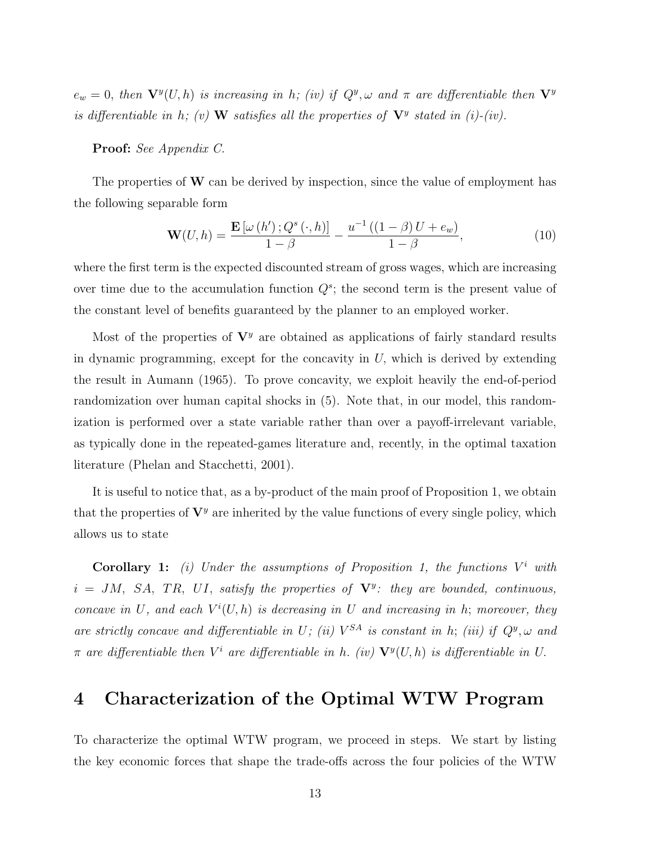$e_w = 0$ , then  $\mathbf{V}^y(U, h)$  is increasing in h; (iv) if  $Q^y, \omega$  and  $\pi$  are differentiable then  $\mathbf{V}^y$ is differentiable in h; (v) W satisfies all the properties of  $V^y$  stated in (i)-(iv).

#### Proof: See Appendix C.

The properties of  $W$  can be derived by inspection, since the value of employment has the following separable form

$$
\mathbf{W}(U,h) = \frac{\mathbf{E}\left[\omega\left(h'\right);Q^s\left(\cdot,h\right)\right]}{1-\beta} - \frac{u^{-1}\left(\left(1-\beta\right)U + e_w\right)}{1-\beta},\tag{10}
$$

where the first term is the expected discounted stream of gross wages, which are increasing over time due to the accumulation function  $Q^s$ ; the second term is the present value of the constant level of benefits guaranteed by the planner to an employed worker.

Most of the properties of  $V<sup>y</sup>$  are obtained as applications of fairly standard results in dynamic programming, except for the concavity in  $U$ , which is derived by extending the result in Aumann (1965). To prove concavity, we exploit heavily the end-of-period randomization over human capital shocks in (5). Note that, in our model, this randomization is performed over a state variable rather than over a payoff-irrelevant variable, as typically done in the repeated-games literature and, recently, in the optimal taxation literature (Phelan and Stacchetti, 2001).

It is useful to notice that, as a by-product of the main proof of Proposition 1, we obtain that the properties of  $V^y$  are inherited by the value functions of every single policy, which allows us to state

**Corollary 1:** (i) Under the assumptions of Proposition 1, the functions  $V^i$  with  $i = JM$ , SA, TR, UI, satisfy the properties of  $V^y$ : they are bounded, continuous, concave in U, and each  $V^i(U, h)$  is decreasing in U and increasing in h; moreover, they are strictly concave and differentiable in U; (ii)  $V^{SA}$  is constant in h; (iii) if  $Q^y$ ,  $\omega$  and  $\pi$  are differentiable then  $V^i$  are differentiable in h. (iv)  $\mathbf{V}^y(U,h)$  is differentiable in U.

# 4 Characterization of the Optimal WTW Program

To characterize the optimal WTW program, we proceed in steps. We start by listing the key economic forces that shape the trade-offs across the four policies of the WTW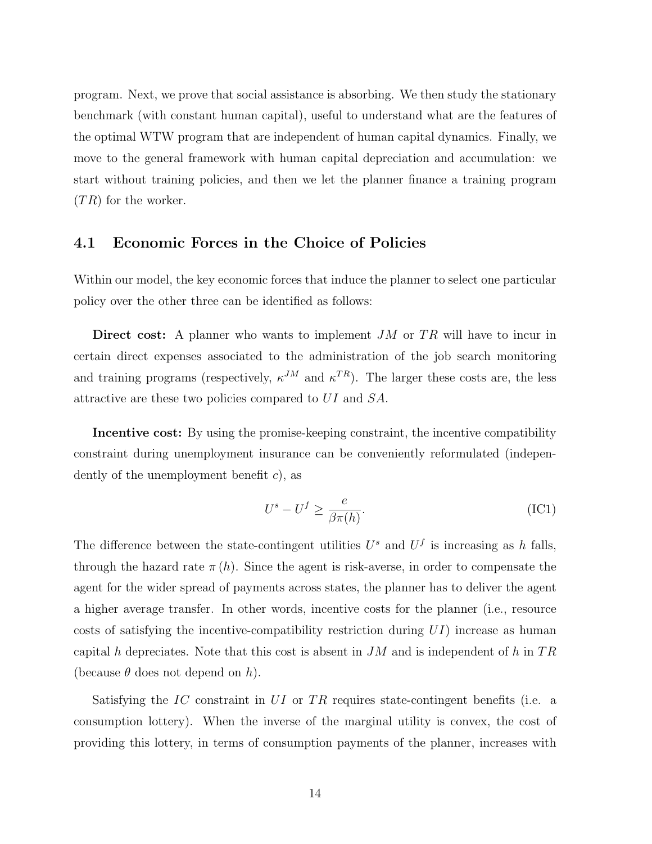program. Next, we prove that social assistance is absorbing. We then study the stationary benchmark (with constant human capital), useful to understand what are the features of the optimal WTW program that are independent of human capital dynamics. Finally, we move to the general framework with human capital depreciation and accumulation: we start without training policies, and then we let the planner finance a training program  $(TR)$  for the worker.

### 4.1 Economic Forces in the Choice of Policies

Within our model, the key economic forces that induce the planner to select one particular policy over the other three can be identified as follows:

Direct cost: A planner who wants to implement  $JM$  or  $TR$  will have to incur in certain direct expenses associated to the administration of the job search monitoring and training programs (respectively,  $\kappa^{JM}$  and  $\kappa^{TR}$ ). The larger these costs are, the less attractive are these two policies compared to UI and SA.

Incentive cost: By using the promise-keeping constraint, the incentive compatibility constraint during unemployment insurance can be conveniently reformulated (independently of the unemployment benefit  $c$ , as

$$
U^s - U^f \ge \frac{e}{\beta \pi(h)}.\tag{IC1}
$$

The difference between the state-contingent utilities  $U^s$  and  $U^f$  is increasing as h falls, through the hazard rate  $\pi(h)$ . Since the agent is risk-averse, in order to compensate the agent for the wider spread of payments across states, the planner has to deliver the agent a higher average transfer. In other words, incentive costs for the planner (i.e., resource costs of satisfying the incentive-compatibility restriction during  $UI$ ) increase as human capital h depreciates. Note that this cost is absent in  $JM$  and is independent of h in  $TR$ (because  $\theta$  does not depend on h).

Satisfying the IC constraint in  $UI$  or TR requires state-contingent benefits (i.e. a consumption lottery). When the inverse of the marginal utility is convex, the cost of providing this lottery, in terms of consumption payments of the planner, increases with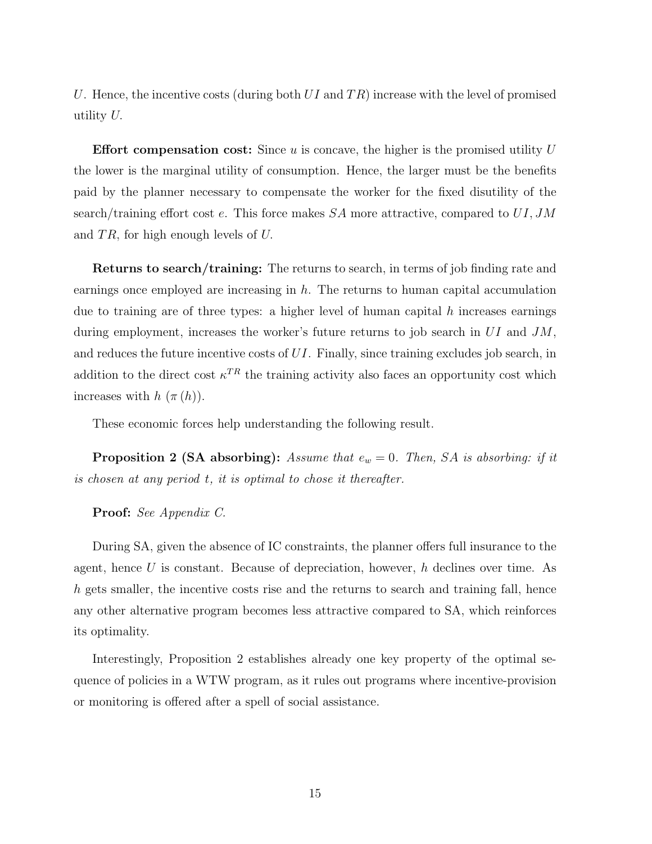U. Hence, the incentive costs (during both  $UI$  and  $TR$ ) increase with the level of promised utility U.

**Effort compensation cost:** Since u is concave, the higher is the promised utility  $U$ the lower is the marginal utility of consumption. Hence, the larger must be the benefits paid by the planner necessary to compensate the worker for the fixed disutility of the search/training effort cost e. This force makes  $SA$  more attractive, compared to  $UI, JM$ and  $TR$ , for high enough levels of U.

Returns to search/training: The returns to search, in terms of job finding rate and earnings once employed are increasing in  $h$ . The returns to human capital accumulation due to training are of three types: a higher level of human capital  $h$  increases earnings during employment, increases the worker's future returns to job search in  $UI$  and  $JM$ , and reduces the future incentive costs of UI. Finally, since training excludes job search, in addition to the direct cost  $\kappa^{TR}$  the training activity also faces an opportunity cost which increases with  $h(\pi(h))$ .

These economic forces help understanding the following result.

**Proposition 2 (SA absorbing):** Assume that  $e_w = 0$ . Then, SA is absorbing: if it is chosen at any period t, it is optimal to chose it thereafter.

Proof: See Appendix C.

During SA, given the absence of IC constraints, the planner offers full insurance to the agent, hence  $U$  is constant. Because of depreciation, however,  $h$  declines over time. As h gets smaller, the incentive costs rise and the returns to search and training fall, hence any other alternative program becomes less attractive compared to SA, which reinforces its optimality.

Interestingly, Proposition 2 establishes already one key property of the optimal sequence of policies in a WTW program, as it rules out programs where incentive-provision or monitoring is offered after a spell of social assistance.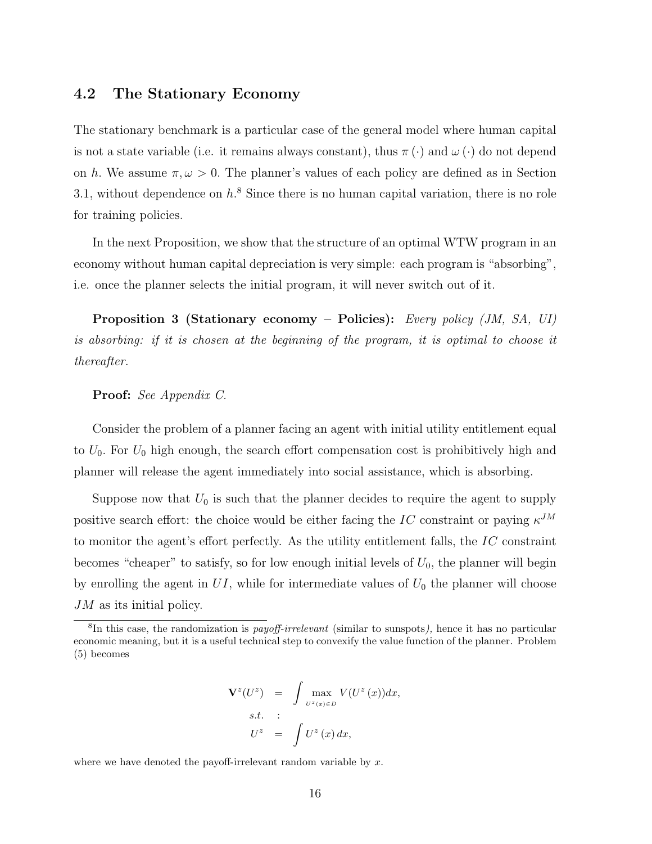## 4.2 The Stationary Economy

The stationary benchmark is a particular case of the general model where human capital is not a state variable (i.e. it remains always constant), thus  $\pi(\cdot)$  and  $\omega(\cdot)$  do not depend on h. We assume  $\pi, \omega > 0$ . The planner's values of each policy are defined as in Section 3.1, without dependence on  $h^8$ . Since there is no human capital variation, there is no role for training policies.

In the next Proposition, we show that the structure of an optimal WTW program in an economy without human capital depreciation is very simple: each program is "absorbing", i.e. once the planner selects the initial program, it will never switch out of it.

Proposition 3 (Stationary economy – Policies): Every policy (JM, SA, UI) is absorbing: if it is chosen at the beginning of the program, it is optimal to choose it thereafter.

#### Proof: See Appendix C.

Consider the problem of a planner facing an agent with initial utility entitlement equal to  $U_0$ . For  $U_0$  high enough, the search effort compensation cost is prohibitively high and planner will release the agent immediately into social assistance, which is absorbing.

Suppose now that  $U_0$  is such that the planner decides to require the agent to supply positive search effort: the choice would be either facing the IC constraint or paying  $\kappa^{JM}$ to monitor the agent's effort perfectly. As the utility entitlement falls, the  $IC$  constraint becomes "cheaper" to satisfy, so for low enough initial levels of  $U_0$ , the planner will begin by enrolling the agent in  $UI$ , while for intermediate values of  $U_0$  the planner will choose JM as its initial policy.

$$
\mathbf{V}^{z}(U^{z}) = \int \max_{U^{z}(x) \in D} V(U^{z}(x))dx,
$$
  
s.t. :  

$$
U^{z} = \int U^{z}(x) dx,
$$

where we have denoted the payoff-irrelevant random variable by  $x$ .

<sup>&</sup>lt;sup>8</sup>In this case, the randomization is *payoff-irrelevant* (similar to sunspots), hence it has no particular economic meaning, but it is a useful technical step to convexify the value function of the planner. Problem (5) becomes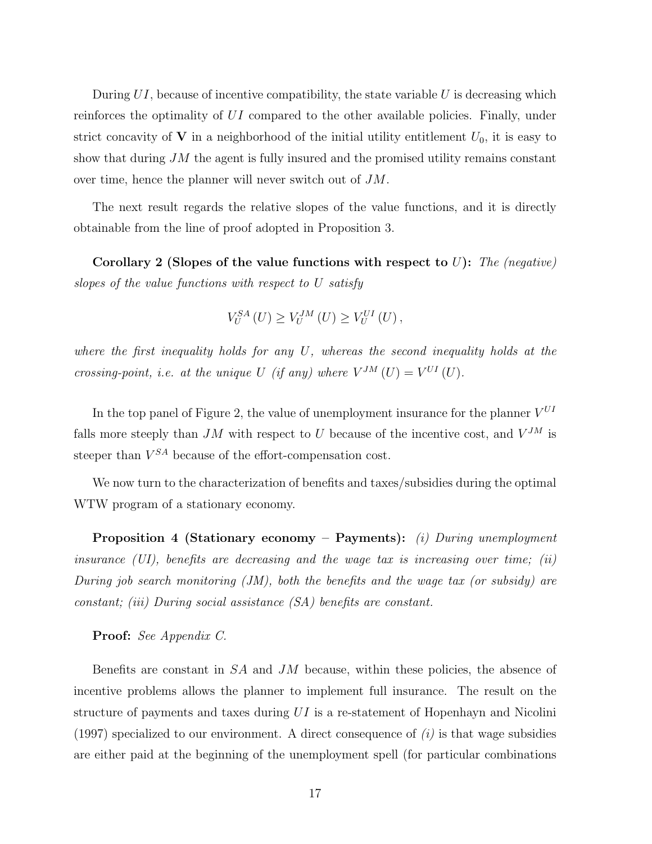During  $UI$ , because of incentive compatibility, the state variable U is decreasing which reinforces the optimality of UI compared to the other available policies. Finally, under strict concavity of V in a neighborhood of the initial utility entitlement  $U_0$ , it is easy to show that during  $JM$  the agent is fully insured and the promised utility remains constant over time, hence the planner will never switch out of JM.

The next result regards the relative slopes of the value functions, and it is directly obtainable from the line of proof adopted in Proposition 3.

Corollary 2 (Slopes of the value functions with respect to  $U$ ): The (negative) slopes of the value functions with respect to U satisfy

$$
V_U^{SA}(U) \ge V_U^{JM}(U) \ge V_U^{UI}(U),
$$

where the first inequality holds for any U, whereas the second inequality holds at the crossing-point, i.e. at the unique U (if any) where  $V^{JM}(U) = V^{UI}(U)$ .

In the top panel of Figure 2, the value of unemployment insurance for the planner  $V^{UI}$ falls more steeply than  $JM$  with respect to U because of the incentive cost, and  $V^{JM}$  is steeper than  $V^{SA}$  because of the effort-compensation cost.

We now turn to the characterization of benefits and taxes/subsidies during the optimal WTW program of a stationary economy.

**Proposition 4 (Stationary economy – Payments):** (i) During unemployment insurance  $(UI)$ , benefits are decreasing and the wage tax is increasing over time; (ii) During job search monitoring  $(JM)$ , both the benefits and the wage tax (or subsidy) are constant; (iii) During social assistance (SA) benefits are constant.

Proof: See Appendix C.

Benefits are constant in  $SA$  and  $JM$  because, within these policies, the absence of incentive problems allows the planner to implement full insurance. The result on the structure of payments and taxes during  $UI$  is a re-statement of Hopenhayn and Nicolini (1997) specialized to our environment. A direct consequence of  $(i)$  is that wage subsidies are either paid at the beginning of the unemployment spell (for particular combinations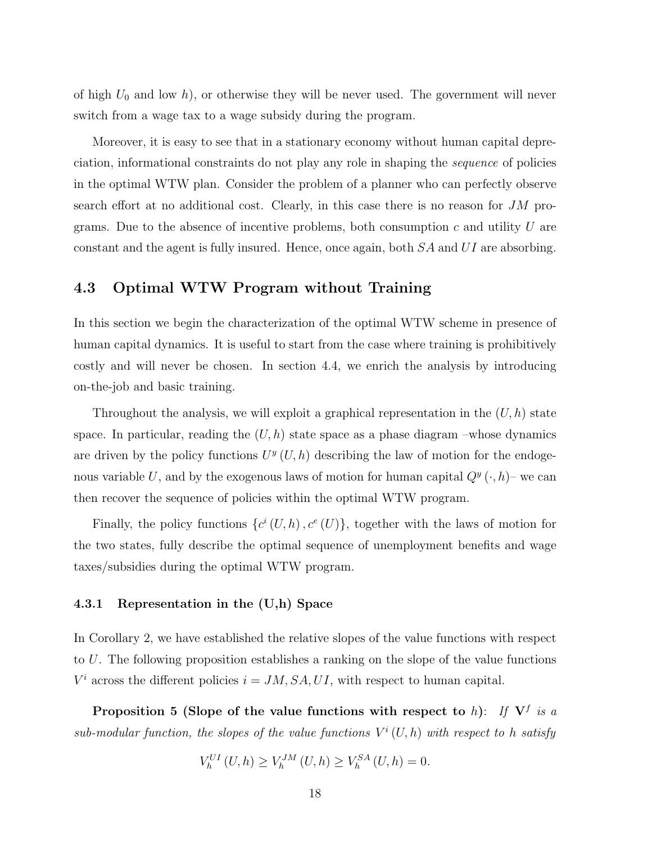of high  $U_0$  and low h), or otherwise they will be never used. The government will never switch from a wage tax to a wage subsidy during the program.

Moreover, it is easy to see that in a stationary economy without human capital depreciation, informational constraints do not play any role in shaping the sequence of policies in the optimal WTW plan. Consider the problem of a planner who can perfectly observe search effort at no additional cost. Clearly, in this case there is no reason for  $JM$  programs. Due to the absence of incentive problems, both consumption  $c$  and utility  $U$  are constant and the agent is fully insured. Hence, once again, both SA and UI are absorbing.

# 4.3 Optimal WTW Program without Training

In this section we begin the characterization of the optimal WTW scheme in presence of human capital dynamics. It is useful to start from the case where training is prohibitively costly and will never be chosen. In section 4.4, we enrich the analysis by introducing on-the-job and basic training.

Throughout the analysis, we will exploit a graphical representation in the  $(U, h)$  state space. In particular, reading the  $(U, h)$  state space as a phase diagram –whose dynamics are driven by the policy functions  $U^y(U, h)$  describing the law of motion for the endogenous variable U, and by the exogenous laws of motion for human capital  $Q^y(\cdot, h)$  we can then recover the sequence of policies within the optimal WTW program.

Finally, the policy functions  $\{c^i(U,h), c^e(U)\}\$ , together with the laws of motion for the two states, fully describe the optimal sequence of unemployment benefits and wage taxes/subsidies during the optimal WTW program.

#### 4.3.1 Representation in the (U,h) Space

In Corollary 2, we have established the relative slopes of the value functions with respect to U. The following proposition establishes a ranking on the slope of the value functions  $V^i$  across the different policies  $i = JM, SA, UI$ , with respect to human capital.

Proposition 5 (Slope of the value functions with respect to h): If  $V^f$  is a sub-modular function, the slopes of the value functions  $V^i(U, h)$  with respect to h satisfy

$$
V_h^{UI}(U, h) \ge V_h^{JM}(U, h) \ge V_h^{SA}(U, h) = 0.
$$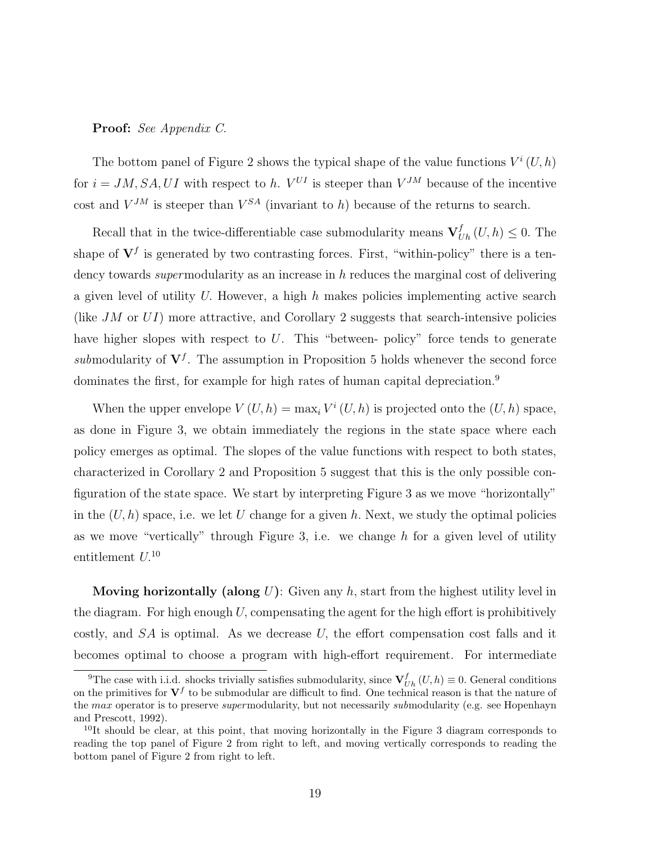#### Proof: See Appendix C.

The bottom panel of Figure 2 shows the typical shape of the value functions  $V^i(U, h)$ for  $i = JM, SA, UI$  with respect to h.  $V^{UI}$  is steeper than  $V^{JM}$  because of the incentive cost and  $V^{JM}$  is steeper than  $V^{SA}$  (invariant to h) because of the returns to search.

Recall that in the twice-differentiable case submodularity means  $\mathbf{V}_{Uh}^f(U,h) \leq 0$ . The shape of  $V^f$  is generated by two contrasting forces. First, "within-policy" there is a tendency towards *super* modularity as an increase in h reduces the marginal cost of delivering a given level of utility U. However, a high  $h$  makes policies implementing active search (like  $JM$  or  $UI$ ) more attractive, and Corollary 2 suggests that search-intensive policies have higher slopes with respect to  $U$ . This "between- policy" force tends to generate submodularity of  $V^f$ . The assumption in Proposition 5 holds whenever the second force dominates the first, for example for high rates of human capital depreciation.<sup>9</sup>

When the upper envelope  $V(U, h) = \max_i V^i(U, h)$  is projected onto the  $(U, h)$  space, as done in Figure 3, we obtain immediately the regions in the state space where each policy emerges as optimal. The slopes of the value functions with respect to both states, characterized in Corollary 2 and Proposition 5 suggest that this is the only possible configuration of the state space. We start by interpreting Figure 3 as we move "horizontally" in the  $(U, h)$  space, i.e. we let U change for a given h. Next, we study the optimal policies as we move "vertically" through Figure 3, i.e. we change  $h$  for a given level of utility entitlement  $U^{10}$ 

**Moving horizontally (along**  $U$ ): Given any  $h$ , start from the highest utility level in the diagram. For high enough  $U$ , compensating the agent for the high effort is prohibitively costly, and  $SA$  is optimal. As we decrease U, the effort compensation cost falls and it becomes optimal to choose a program with high-effort requirement. For intermediate

<sup>&</sup>lt;sup>9</sup>The case with i.i.d. shocks trivially satisfies submodularity, since  $V_{Uh}^f(U, h) \equiv 0$ . General conditions on the primitives for  $V^f$  to be submodular are difficult to find. One technical reason is that the nature of the max operator is to preserve *supermodularity*, but not necessarily *submodularity* (e.g. see Hopenhayn and Prescott, 1992).

 $10$ It should be clear, at this point, that moving horizontally in the Figure 3 diagram corresponds to reading the top panel of Figure 2 from right to left, and moving vertically corresponds to reading the bottom panel of Figure 2 from right to left.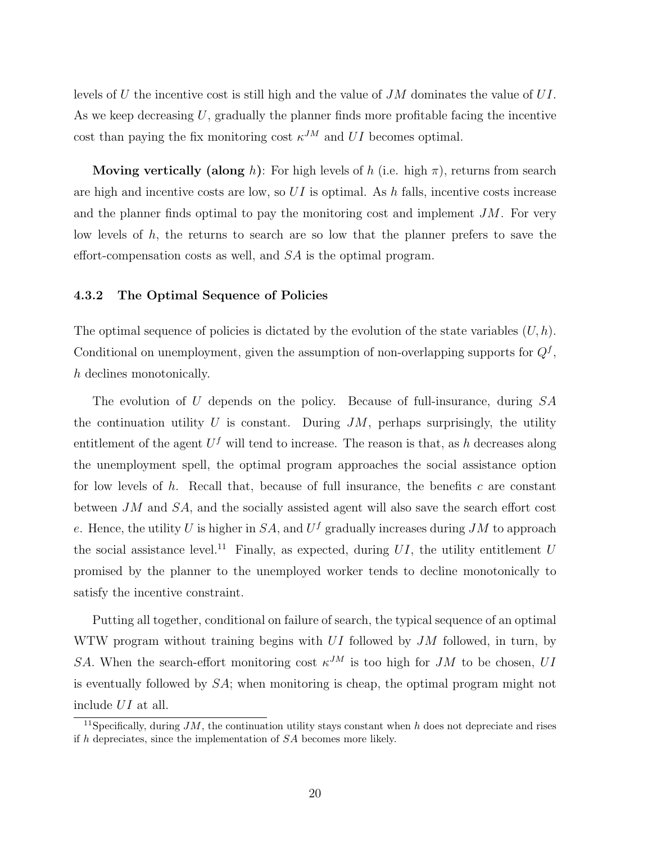levels of U the incentive cost is still high and the value of JM dominates the value of UI. As we keep decreasing  $U$ , gradually the planner finds more profitable facing the incentive cost than paying the fix monitoring cost  $\kappa^{JM}$  and UI becomes optimal.

**Moving vertically (along** h): For high levels of h (i.e. high  $\pi$ ), returns from search are high and incentive costs are low, so  $UI$  is optimal. As h falls, incentive costs increase and the planner finds optimal to pay the monitoring cost and implement  $JM$ . For very low levels of  $h$ , the returns to search are so low that the planner prefers to save the effort-compensation costs as well, and SA is the optimal program.

#### 4.3.2 The Optimal Sequence of Policies

The optimal sequence of policies is dictated by the evolution of the state variables  $(U, h)$ . Conditional on unemployment, given the assumption of non-overlapping supports for  $Q<sup>f</sup>$ , h declines monotonically.

The evolution of U depends on the policy. Because of full-insurance, during SA the continuation utility U is constant. During  $JM$ , perhaps surprisingly, the utility entitlement of the agent  $U<sup>f</sup>$  will tend to increase. The reason is that, as h decreases along the unemployment spell, the optimal program approaches the social assistance option for low levels of  $h$ . Recall that, because of full insurance, the benefits  $c$  are constant between JM and SA, and the socially assisted agent will also save the search effort cost e. Hence, the utility U is higher in  $SA$ , and  $U<sup>f</sup>$  gradually increases during JM to approach the social assistance level.<sup>11</sup> Finally, as expected, during  $UI$ , the utility entitlement U promised by the planner to the unemployed worker tends to decline monotonically to satisfy the incentive constraint.

Putting all together, conditional on failure of search, the typical sequence of an optimal WTW program without training begins with  $UI$  followed by  $JM$  followed, in turn, by SA. When the search-effort monitoring cost  $\kappa^{JM}$  is too high for JM to be chosen, UI is eventually followed by  $SA$ ; when monitoring is cheap, the optimal program might not include UI at all.

<sup>&</sup>lt;sup>11</sup>Specifically, during  $JM$ , the continuation utility stays constant when h does not depreciate and rises if  $h$  depreciates, since the implementation of  $SA$  becomes more likely.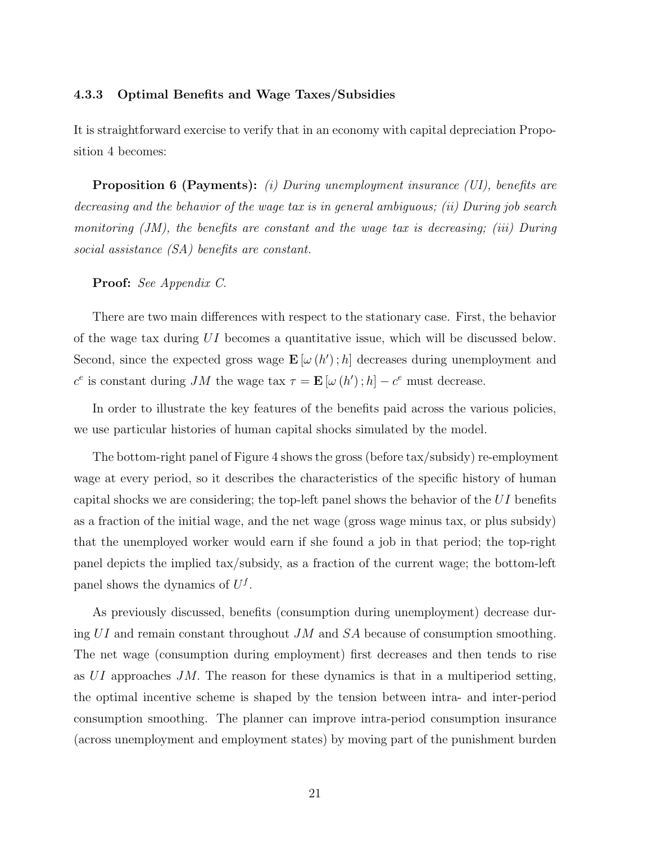#### 4.3.3 Optimal Benefits and Wage Taxes/Subsidies

It is straightforward exercise to verify that in an economy with capital depreciation Proposition 4 becomes:

**Proposition 6 (Payments):** (i) During unemployment insurance (UI), benefits are decreasing and the behavior of the wage tax is in general ambiguous; (ii) During job search monitoring (JM), the benefits are constant and the wage tax is decreasing; (iii) During social assistance (SA) benefits are constant.

Proof: See Appendix C.

There are two main differences with respect to the stationary case. First, the behavior of the wage tax during UI becomes a quantitative issue, which will be discussed below. Second, since the expected gross wage  $\mathbf{E}[\omega(h');h]$  decreases during unemployment and  $c^e$  is constant during JM the wage tax  $\tau = \mathbf{E}[\omega(h'); h] - c^e$  must decrease.

In order to illustrate the key features of the benefits paid across the various policies, we use particular histories of human capital shocks simulated by the model.

The bottom-right panel of Figure 4 shows the gross (before tax/subsidy) re-employment wage at every period, so it describes the characteristics of the specific history of human capital shocks we are considering; the top-left panel shows the behavior of the  $UI$  benefits as a fraction of the initial wage, and the net wage (gross wage minus tax, or plus subsidy) that the unemployed worker would earn if she found a job in that period; the top-right panel depicts the implied tax/subsidy, as a fraction of the current wage; the bottom-left panel shows the dynamics of  $U^f$ .

As previously discussed, benefits (consumption during unemployment) decrease during  $UI$  and remain constant throughout  $JM$  and  $SA$  because of consumption smoothing. The net wage (consumption during employment) first decreases and then tends to rise as  $UI$  approaches JM. The reason for these dynamics is that in a multiperiod setting, the optimal incentive scheme is shaped by the tension between intra- and inter-period consumption smoothing. The planner can improve intra-period consumption insurance (across unemployment and employment states) by moving part of the punishment burden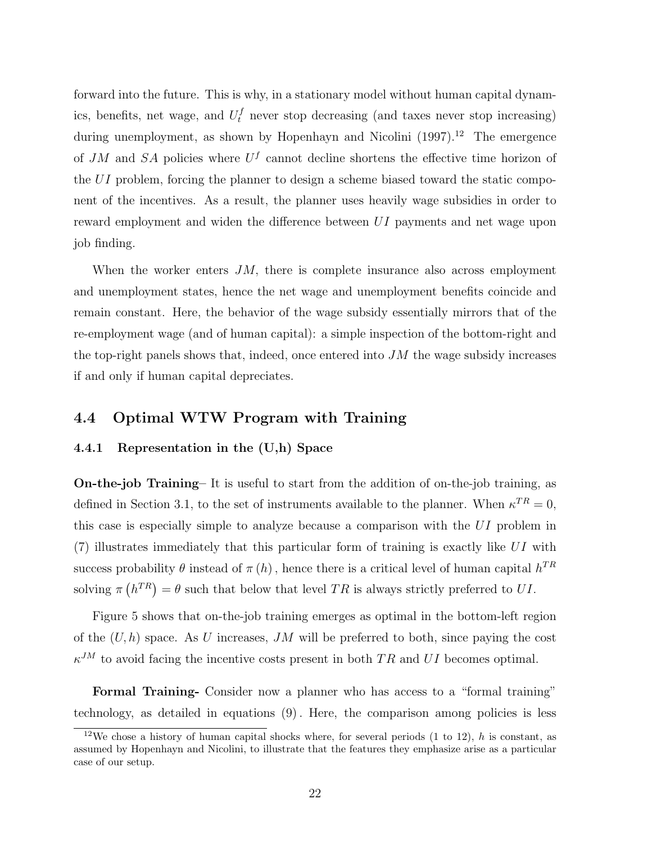forward into the future. This is why, in a stationary model without human capital dynamics, benefits, net wage, and  $U_t^f$  never stop decreasing (and taxes never stop increasing) during unemployment, as shown by Hopenhayn and Nicolini  $(1997).^{12}$  The emergence of JM and SA policies where  $U<sup>f</sup>$  cannot decline shortens the effective time horizon of the UI problem, forcing the planner to design a scheme biased toward the static component of the incentives. As a result, the planner uses heavily wage subsidies in order to reward employment and widen the difference between UI payments and net wage upon job finding.

When the worker enters  $JM$ , there is complete insurance also across employment and unemployment states, hence the net wage and unemployment benefits coincide and remain constant. Here, the behavior of the wage subsidy essentially mirrors that of the re-employment wage (and of human capital): a simple inspection of the bottom-right and the top-right panels shows that, indeed, once entered into  $JM$  the wage subsidy increases if and only if human capital depreciates.

## 4.4 Optimal WTW Program with Training

#### 4.4.1 Representation in the (U,h) Space

On-the-job Training– It is useful to start from the addition of on-the-job training, as defined in Section 3.1, to the set of instruments available to the planner. When  $\kappa^{TR} = 0$ , this case is especially simple to analyze because a comparison with the UI problem in  $(7)$  illustrates immediately that this particular form of training is exactly like UI with success probability  $\theta$  instead of  $\pi(h)$ , hence there is a critical level of human capital  $h^{TR}$ solving  $\pi$ ¡  $h^{TR}$  =  $\theta$  such that below that level TR is always strictly preferred to UI.

Figure 5 shows that on-the-job training emerges as optimal in the bottom-left region of the  $(U, h)$  space. As U increases, JM will be preferred to both, since paying the cost  $\kappa^{JM}$  to avoid facing the incentive costs present in both TR and UI becomes optimal.

Formal Training- Consider now a planner who has access to a "formal training" technology, as detailed in equations (9). Here, the comparison among policies is less

<sup>&</sup>lt;sup>12</sup>We chose a history of human capital shocks where, for several periods (1 to 12), h is constant, as assumed by Hopenhayn and Nicolini, to illustrate that the features they emphasize arise as a particular case of our setup.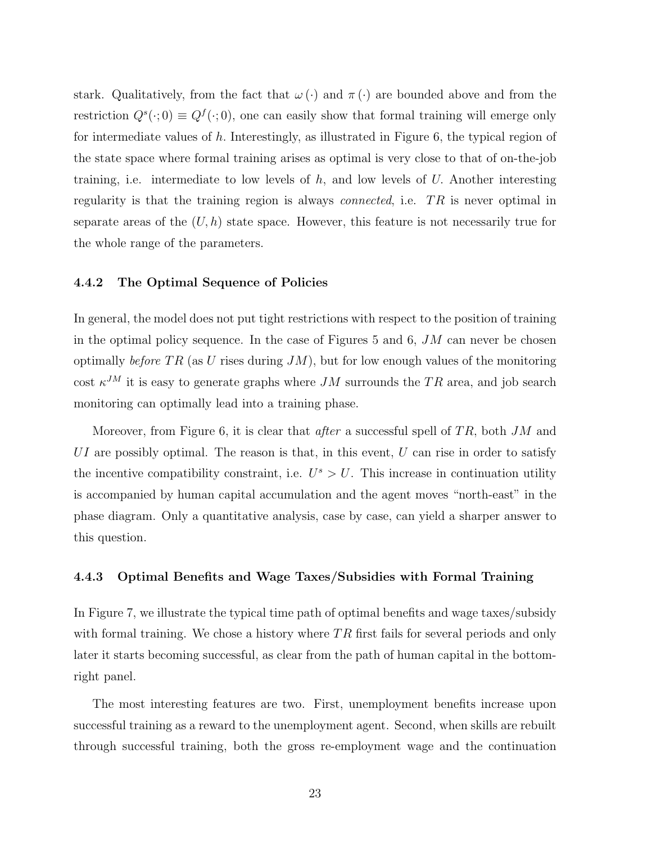stark. Qualitatively, from the fact that  $\omega(\cdot)$  and  $\pi(\cdot)$  are bounded above and from the restriction  $Q^s(\cdot;0) \equiv Q^f(\cdot;0)$ , one can easily show that formal training will emerge only for intermediate values of h. Interestingly, as illustrated in Figure 6, the typical region of the state space where formal training arises as optimal is very close to that of on-the-job training, i.e. intermediate to low levels of  $h$ , and low levels of  $U$ . Another interesting regularity is that the training region is always *connected*, i.e.  $TR$  is never optimal in separate areas of the  $(U, h)$  state space. However, this feature is not necessarily true for the whole range of the parameters.

#### 4.4.2 The Optimal Sequence of Policies

In general, the model does not put tight restrictions with respect to the position of training in the optimal policy sequence. In the case of Figures 5 and 6,  $JM$  can never be chosen optimally before TR (as U rises during  $JM$ ), but for low enough values of the monitoring cost  $\kappa^{JM}$  it is easy to generate graphs where JM surrounds the TR area, and job search monitoring can optimally lead into a training phase.

Moreover, from Figure 6, it is clear that *after* a successful spell of  $TR$ , both  $JM$  and UI are possibly optimal. The reason is that, in this event,  $U$  can rise in order to satisfy the incentive compatibility constraint, i.e.  $U^s > U$ . This increase in continuation utility is accompanied by human capital accumulation and the agent moves "north-east" in the phase diagram. Only a quantitative analysis, case by case, can yield a sharper answer to this question.

#### 4.4.3 Optimal Benefits and Wage Taxes/Subsidies with Formal Training

In Figure 7, we illustrate the typical time path of optimal benefits and wage taxes/subsidy with formal training. We chose a history where  $TR$  first fails for several periods and only later it starts becoming successful, as clear from the path of human capital in the bottomright panel.

The most interesting features are two. First, unemployment benefits increase upon successful training as a reward to the unemployment agent. Second, when skills are rebuilt through successful training, both the gross re-employment wage and the continuation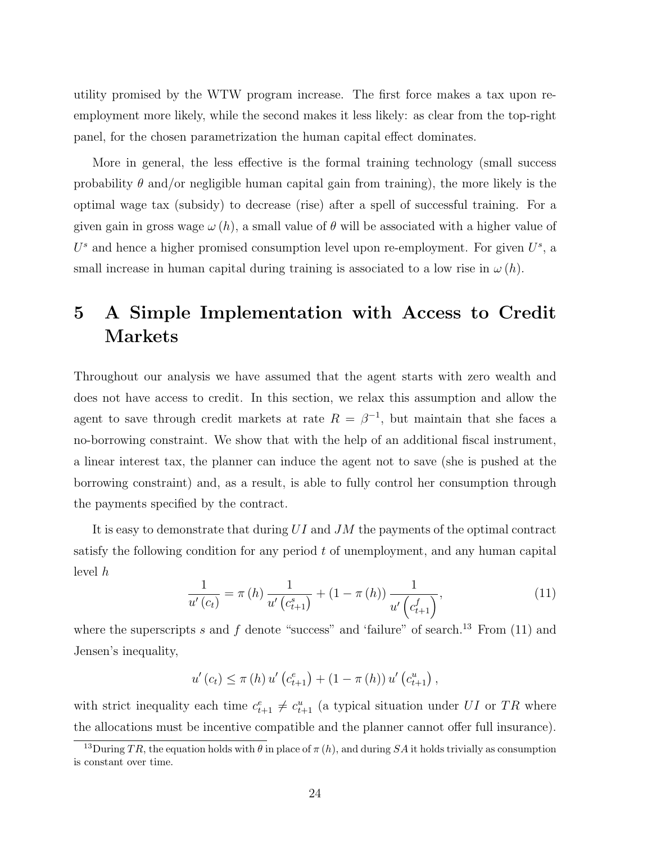utility promised by the WTW program increase. The first force makes a tax upon reemployment more likely, while the second makes it less likely: as clear from the top-right panel, for the chosen parametrization the human capital effect dominates.

More in general, the less effective is the formal training technology (small success probability  $\theta$  and/or negligible human capital gain from training), the more likely is the optimal wage tax (subsidy) to decrease (rise) after a spell of successful training. For a given gain in gross wage  $\omega(h)$ , a small value of  $\theta$  will be associated with a higher value of  $U^s$  and hence a higher promised consumption level upon re-employment. For given  $U^s$ , a small increase in human capital during training is associated to a low rise in  $\omega(h)$ .

# 5 A Simple Implementation with Access to Credit Markets

Throughout our analysis we have assumed that the agent starts with zero wealth and does not have access to credit. In this section, we relax this assumption and allow the agent to save through credit markets at rate  $R = \beta^{-1}$ , but maintain that she faces a no-borrowing constraint. We show that with the help of an additional fiscal instrument, a linear interest tax, the planner can induce the agent not to save (she is pushed at the borrowing constraint) and, as a result, is able to fully control her consumption through the payments specified by the contract.

It is easy to demonstrate that during UI and JM the payments of the optimal contract satisfy the following condition for any period t of unemployment, and any human capital level h

$$
\frac{1}{u'(c_t)} = \pi(h) \frac{1}{u'(c_{t+1}^s)} + (1 - \pi(h)) \frac{1}{u'(c_{t+1}^f)},
$$
\n(11)

where the superscripts s and f denote "success" and 'failure" of search.<sup>13</sup> From  $(11)$  and Jensen's inequality,

$$
u'(c_{t}) \leq \pi(h) u'(c_{t+1}^{e}) + (1 - \pi(h)) u'(c_{t+1}^{u}),
$$

with strict inequality each time  $c_{t+1}^e \neq c_{t+1}^u$  (a typical situation under UI or TR where the allocations must be incentive compatible and the planner cannot offer full insurance).

<sup>&</sup>lt;sup>13</sup>During TR, the equation holds with  $\theta$  in place of  $\pi(h)$ , and during SA it holds trivially as consumption is constant over time.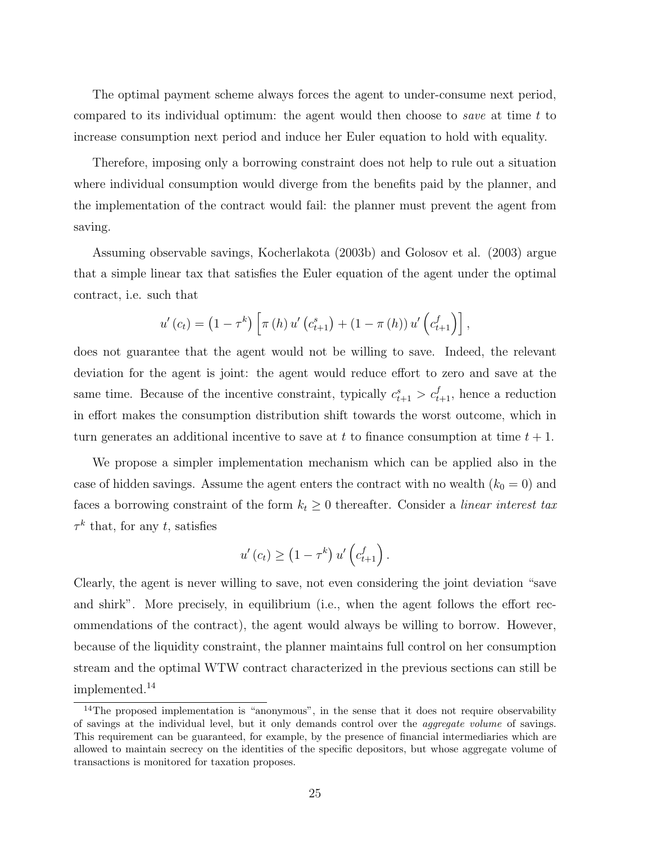The optimal payment scheme always forces the agent to under-consume next period, compared to its individual optimum: the agent would then choose to *save* at time  $t$  to increase consumption next period and induce her Euler equation to hold with equality.

Therefore, imposing only a borrowing constraint does not help to rule out a situation where individual consumption would diverge from the benefits paid by the planner, and the implementation of the contract would fail: the planner must prevent the agent from saving.

Assuming observable savings, Kocherlakota (2003b) and Golosov et al. (2003) argue that a simple linear tax that satisfies the Euler equation of the agent under the optimal contract, i.e. such that

$$
u'(c_t) = (1 - \tau^k) \left[ \pi(h) u'(c_{t+1}^s) + (1 - \pi(h)) u'(c_{t+1}^f) \right],
$$

does not guarantee that the agent would not be willing to save. Indeed, the relevant deviation for the agent is joint: the agent would reduce effort to zero and save at the same time. Because of the incentive constraint, typically  $c_{t+1}^s > c_{t+1}^f$ , hence a reduction in effort makes the consumption distribution shift towards the worst outcome, which in turn generates an additional incentive to save at t to finance consumption at time  $t + 1$ .

We propose a simpler implementation mechanism which can be applied also in the case of hidden savings. Assume the agent enters the contract with no wealth  $(k_0 = 0)$  and faces a borrowing constraint of the form  $k_t \geq 0$  thereafter. Consider a *linear interest tax*  $\tau^k$  that, for any t, satisfies

$$
u'(c_t) \ge (1 - \tau^k) u'\left(c_{t+1}^f\right).
$$

Clearly, the agent is never willing to save, not even considering the joint deviation "save and shirk". More precisely, in equilibrium (i.e., when the agent follows the effort recommendations of the contract), the agent would always be willing to borrow. However, because of the liquidity constraint, the planner maintains full control on her consumption stream and the optimal WTW contract characterized in the previous sections can still be implemented.<sup>14</sup>

<sup>&</sup>lt;sup>14</sup>The proposed implementation is "anonymous", in the sense that it does not require observability of savings at the individual level, but it only demands control over the aggregate volume of savings. This requirement can be guaranteed, for example, by the presence of financial intermediaries which are allowed to maintain secrecy on the identities of the specific depositors, but whose aggregate volume of transactions is monitored for taxation proposes.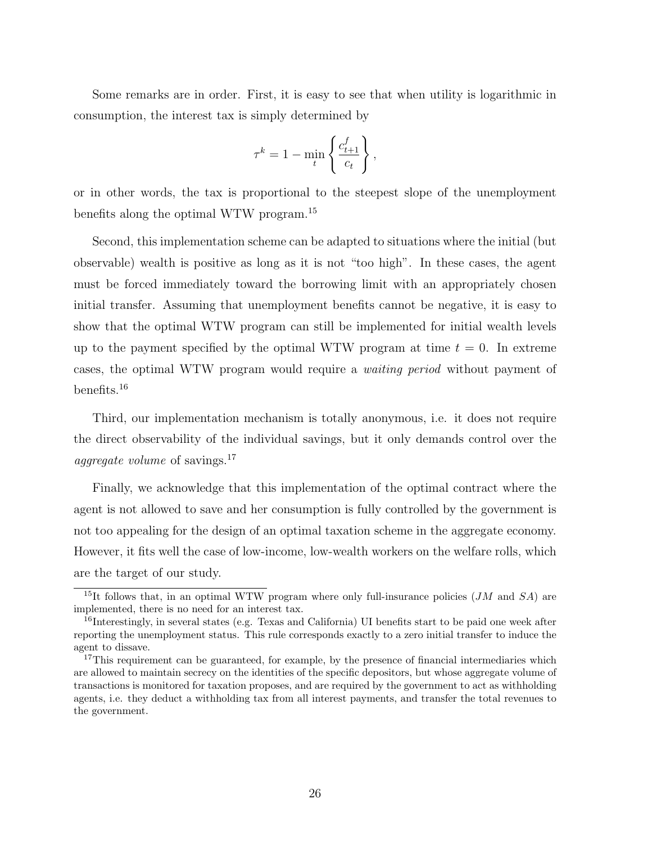Some remarks are in order. First, it is easy to see that when utility is logarithmic in consumption, the interest tax is simply determined by

$$
\tau^k = 1 - \min_t \left\{ \frac{c_{t+1}^f}{c_t} \right\},
$$

or in other words, the tax is proportional to the steepest slope of the unemployment benefits along the optimal WTW program.<sup>15</sup>

Second, this implementation scheme can be adapted to situations where the initial (but observable) wealth is positive as long as it is not "too high". In these cases, the agent must be forced immediately toward the borrowing limit with an appropriately chosen initial transfer. Assuming that unemployment benefits cannot be negative, it is easy to show that the optimal WTW program can still be implemented for initial wealth levels up to the payment specified by the optimal WTW program at time  $t = 0$ . In extreme cases, the optimal WTW program would require a waiting period without payment of benefits.<sup>16</sup>

Third, our implementation mechanism is totally anonymous, i.e. it does not require the direct observability of the individual savings, but it only demands control over the *aggregate volume* of savings.<sup>17</sup>

Finally, we acknowledge that this implementation of the optimal contract where the agent is not allowed to save and her consumption is fully controlled by the government is not too appealing for the design of an optimal taxation scheme in the aggregate economy. However, it fits well the case of low-income, low-wealth workers on the welfare rolls, which are the target of our study.

<sup>&</sup>lt;sup>15</sup>It follows that, in an optimal WTW program where only full-insurance policies (*JM* and *SA*) are implemented, there is no need for an interest tax.

<sup>&</sup>lt;sup>16</sup>Interestingly, in several states (e.g. Texas and California) UI benefits start to be paid one week after reporting the unemployment status. This rule corresponds exactly to a zero initial transfer to induce the agent to dissave.

<sup>&</sup>lt;sup>17</sup>This requirement can be guaranteed, for example, by the presence of financial intermediaries which are allowed to maintain secrecy on the identities of the specific depositors, but whose aggregate volume of transactions is monitored for taxation proposes, and are required by the government to act as withholding agents, i.e. they deduct a withholding tax from all interest payments, and transfer the total revenues to the government.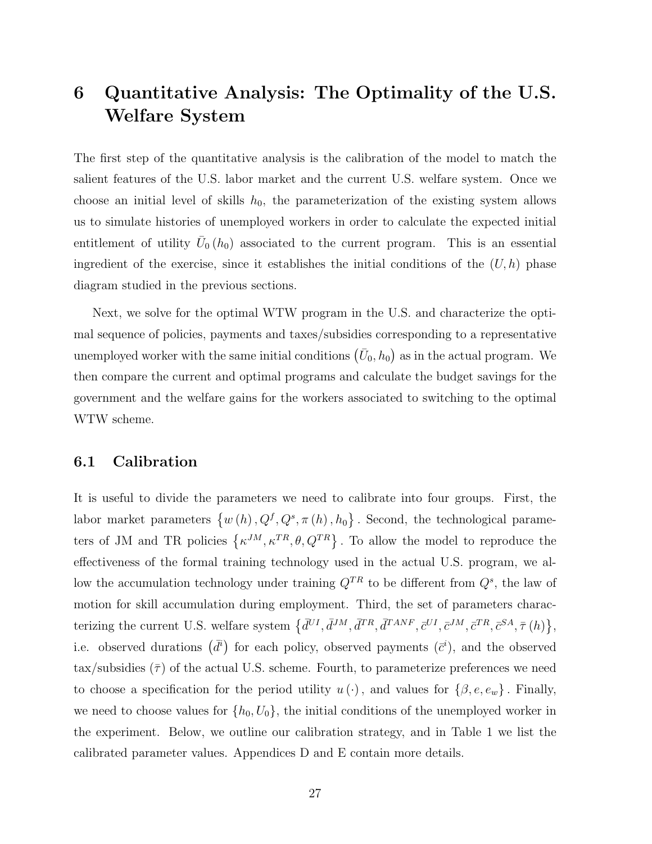# 6 Quantitative Analysis: The Optimality of the U.S. Welfare System

The first step of the quantitative analysis is the calibration of the model to match the salient features of the U.S. labor market and the current U.S. welfare system. Once we choose an initial level of skills  $h_0$ , the parameterization of the existing system allows us to simulate histories of unemployed workers in order to calculate the expected initial entitlement of utility  $\bar{U}_0(h_0)$  associated to the current program. This is an essential ingredient of the exercise, since it establishes the initial conditions of the  $(U, h)$  phase diagram studied in the previous sections.

Next, we solve for the optimal WTW program in the U.S. and characterize the optimal sequence of policies, payments and taxes/subsidies corresponding to a representative unemployed worker with the same initial conditions  $(\bar{U}_0, h_0)$ ¢ as in the actual program. We then compare the current and optimal programs and calculate the budget savings for the government and the welfare gains for the workers associated to switching to the optimal WTW scheme.

## 6.1 Calibration

It is useful to divide the parameters we need to calibrate into four groups. First, the labor market parameters  $\{w(h), Q^f, Q^s, \pi(h), h_0\}$ ª . Second, the technological parameters of JM and TR policies  $\{\kappa^{JM}, \kappa^{TR}, \theta, Q^{TR}\}\$ . To allow the model to reproduce the effectiveness of the formal training technology used in the actual U.S. program, we allow the accumulation technology under training  $Q^{TR}$  to be different from  $Q^s$ , the law of motion for skill accumulation during employment. Third, the set of parameters characterizing the current U.S. welfare system  $\{d^{UI}, d^{JM}, d^{TR}, d^{TANF}, c^{UI}, c^{JM}, c^{TR}, c^{SA}, \bar{\tau}^{\,(h)}\}$ ª , i.e. observed durations  $(\bar{d}^i)$ for each policy, observed payments  $(\bar{c}^i)$ , and the observed tax/subsidies  $(\bar{\tau})$  of the actual U.S. scheme. Fourth, to parameterize preferences we need to choose a specification for the period utility  $u(\cdot)$ , and values for  $\{\beta, e, e_w\}$ . Finally, we need to choose values for  $\{h_0, U_0\}$ , the initial conditions of the unemployed worker in the experiment. Below, we outline our calibration strategy, and in Table 1 we list the calibrated parameter values. Appendices D and E contain more details.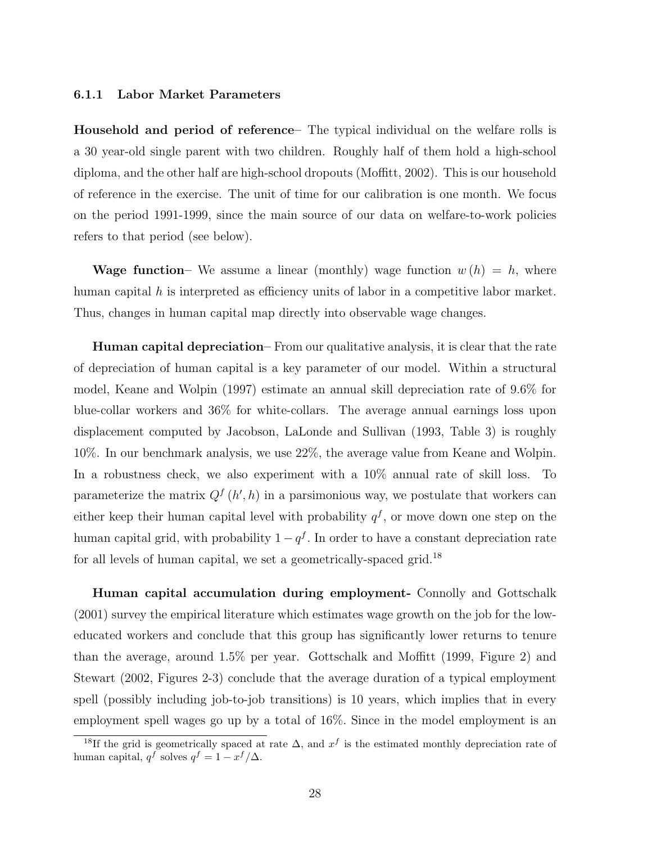#### 6.1.1 Labor Market Parameters

Household and period of reference– The typical individual on the welfare rolls is a 30 year-old single parent with two children. Roughly half of them hold a high-school diploma, and the other half are high-school dropouts (Moffitt, 2002). This is our household of reference in the exercise. The unit of time for our calibration is one month. We focus on the period 1991-1999, since the main source of our data on welfare-to-work policies refers to that period (see below).

Wage function– We assume a linear (monthly) wage function  $w(h) = h$ , where human capital h is interpreted as efficiency units of labor in a competitive labor market. Thus, changes in human capital map directly into observable wage changes.

Human capital depreciation– From our qualitative analysis, it is clear that the rate of depreciation of human capital is a key parameter of our model. Within a structural model, Keane and Wolpin (1997) estimate an annual skill depreciation rate of 9.6% for blue-collar workers and 36% for white-collars. The average annual earnings loss upon displacement computed by Jacobson, LaLonde and Sullivan (1993, Table 3) is roughly 10%. In our benchmark analysis, we use 22%, the average value from Keane and Wolpin. In a robustness check, we also experiment with a 10% annual rate of skill loss. To parameterize the matrix  $Q^{f}(h, h)$  in a parsimonious way, we postulate that workers can either keep their human capital level with probability  $q<sup>f</sup>$ , or move down one step on the human capital grid, with probability  $1 - q<sup>f</sup>$ . In order to have a constant depreciation rate for all levels of human capital, we set a geometrically-spaced grid.<sup>18</sup>

Human capital accumulation during employment- Connolly and Gottschalk (2001) survey the empirical literature which estimates wage growth on the job for the loweducated workers and conclude that this group has significantly lower returns to tenure than the average, around 1.5% per year. Gottschalk and Moffitt (1999, Figure 2) and Stewart (2002, Figures 2-3) conclude that the average duration of a typical employment spell (possibly including job-to-job transitions) is 10 years, which implies that in every employment spell wages go up by a total of 16%. Since in the model employment is an

<sup>&</sup>lt;sup>18</sup>If the grid is geometrically spaced at rate  $\Delta$ , and  $x^f$  is the estimated monthly depreciation rate of human capital,  $q^f$  solves  $q^f = 1 - x^f/\Delta$ .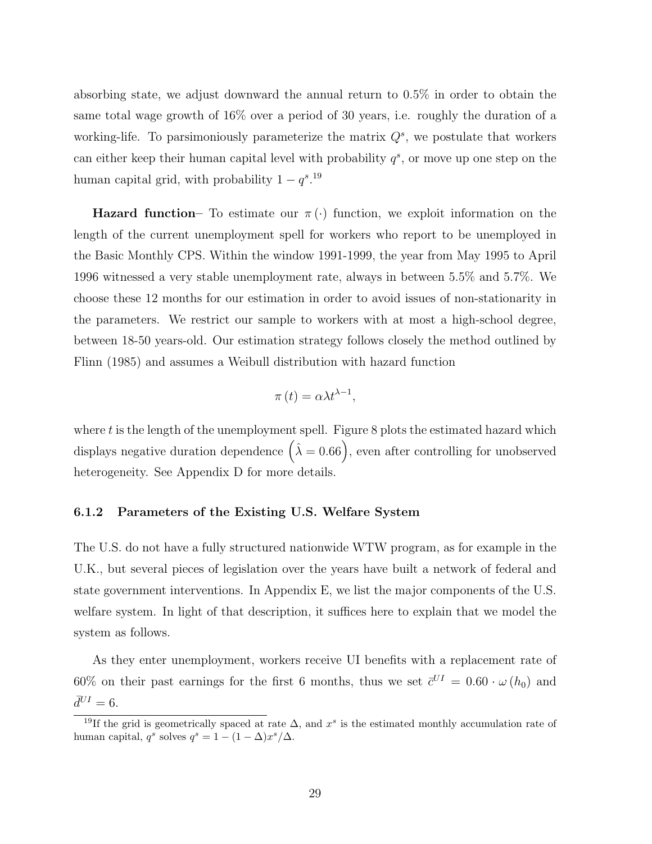absorbing state, we adjust downward the annual return to 0.5% in order to obtain the same total wage growth of 16% over a period of 30 years, i.e. roughly the duration of a working-life. To parsimoniously parameterize the matrix  $Q<sup>s</sup>$ , we postulate that workers can either keep their human capital level with probability  $q^s$ , or move up one step on the human capital grid, with probability  $1 - q^{s}$ .<sup>19</sup>

**Hazard function–** To estimate our  $\pi(\cdot)$  function, we exploit information on the length of the current unemployment spell for workers who report to be unemployed in the Basic Monthly CPS. Within the window 1991-1999, the year from May 1995 to April 1996 witnessed a very stable unemployment rate, always in between 5.5% and 5.7%. We choose these 12 months for our estimation in order to avoid issues of non-stationarity in the parameters. We restrict our sample to workers with at most a high-school degree, between 18-50 years-old. Our estimation strategy follows closely the method outlined by Flinn (1985) and assumes a Weibull distribution with hazard function

$$
\pi(t) = \alpha \lambda t^{\lambda - 1},
$$

where  $t$  is the length of the unemployment spell. Figure 8 plots the estimated hazard which where *t* is the length of the unemployment spen. Figure 5 plots the estimated nazard which<br>displays negative duration dependence  $(\hat{\lambda} = 0.66)$ , even after controlling for unobserved heterogeneity. See Appendix D for more details.

#### 6.1.2 Parameters of the Existing U.S. Welfare System

The U.S. do not have a fully structured nationwide WTW program, as for example in the U.K., but several pieces of legislation over the years have built a network of federal and state government interventions. In Appendix E, we list the major components of the U.S. welfare system. In light of that description, it suffices here to explain that we model the system as follows.

As they enter unemployment, workers receive UI benefits with a replacement rate of 60% on their past earnings for the first 6 months, thus we set  $\bar{c}^{UI} = 0.60 \cdot \omega(h_0)$  and  $\bar{d}^{UI} = 6.$ 

<sup>&</sup>lt;sup>19</sup>If the grid is geometrically spaced at rate  $\Delta$ , and x<sup>s</sup> is the estimated monthly accumulation rate of human capital,  $q^s$  solves  $q^s = 1 - (1 - \Delta)x^s/\Delta$ .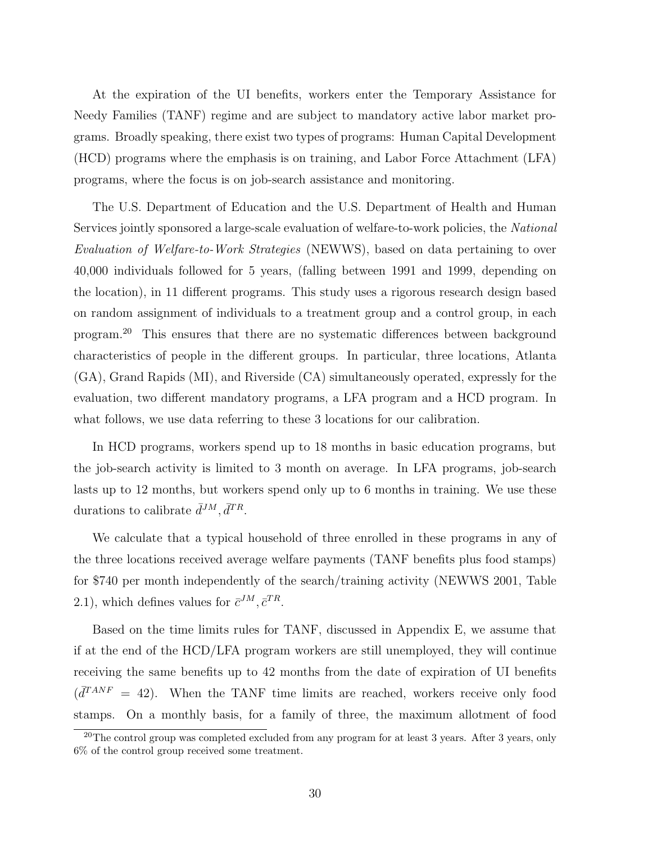At the expiration of the UI benefits, workers enter the Temporary Assistance for Needy Families (TANF) regime and are subject to mandatory active labor market programs. Broadly speaking, there exist two types of programs: Human Capital Development (HCD) programs where the emphasis is on training, and Labor Force Attachment (LFA) programs, where the focus is on job-search assistance and monitoring.

The U.S. Department of Education and the U.S. Department of Health and Human Services jointly sponsored a large-scale evaluation of welfare-to-work policies, the National Evaluation of Welfare-to-Work Strategies (NEWWS), based on data pertaining to over 40,000 individuals followed for 5 years, (falling between 1991 and 1999, depending on the location), in 11 different programs. This study uses a rigorous research design based on random assignment of individuals to a treatment group and a control group, in each program.<sup>20</sup> This ensures that there are no systematic differences between background characteristics of people in the different groups. In particular, three locations, Atlanta (GA), Grand Rapids (MI), and Riverside (CA) simultaneously operated, expressly for the evaluation, two different mandatory programs, a LFA program and a HCD program. In what follows, we use data referring to these 3 locations for our calibration.

In HCD programs, workers spend up to 18 months in basic education programs, but the job-search activity is limited to 3 month on average. In LFA programs, job-search lasts up to 12 months, but workers spend only up to 6 months in training. We use these durations to calibrate  $\bar{d}^{JM}, \bar{d}^{TR}$ .

We calculate that a typical household of three enrolled in these programs in any of the three locations received average welfare payments (TANF benefits plus food stamps) for \$740 per month independently of the search/training activity (NEWWS 2001, Table 2.1), which defines values for  $\bar{c}^{JM}, \bar{c}^{TR}$ .

Based on the time limits rules for TANF, discussed in Appendix E, we assume that if at the end of the HCD/LFA program workers are still unemployed, they will continue receiving the same benefits up to 42 months from the date of expiration of UI benefits  $\left(\overline{d}^{TANF} = 42\right)$ . When the TANF time limits are reached, workers receive only food stamps. On a monthly basis, for a family of three, the maximum allotment of food

<sup>&</sup>lt;sup>20</sup>The control group was completed excluded from any program for at least 3 years. After 3 years, only 6% of the control group received some treatment.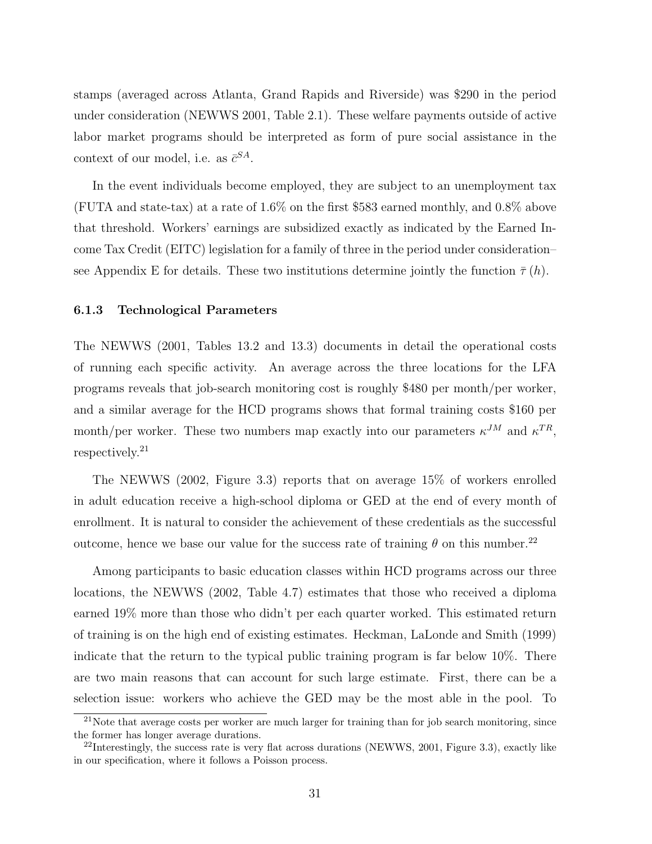stamps (averaged across Atlanta, Grand Rapids and Riverside) was \$290 in the period under consideration (NEWWS 2001, Table 2.1). These welfare payments outside of active labor market programs should be interpreted as form of pure social assistance in the context of our model, i.e. as  $\bar{c}^{SA}$ .

In the event individuals become employed, they are subject to an unemployment tax (FUTA and state-tax) at a rate of 1.6% on the first \$583 earned monthly, and 0.8% above that threshold. Workers' earnings are subsidized exactly as indicated by the Earned Income Tax Credit (EITC) legislation for a family of three in the period under consideration– see Appendix E for details. These two institutions determine jointly the function  $\bar{\tau}(h)$ .

#### 6.1.3 Technological Parameters

The NEWWS (2001, Tables 13.2 and 13.3) documents in detail the operational costs of running each specific activity. An average across the three locations for the LFA programs reveals that job-search monitoring cost is roughly \$480 per month/per worker, and a similar average for the HCD programs shows that formal training costs \$160 per month/per worker. These two numbers map exactly into our parameters  $\kappa^{JM}$  and  $\kappa^{TR}$ , respectively.<sup>21</sup>

The NEWWS (2002, Figure 3.3) reports that on average 15% of workers enrolled in adult education receive a high-school diploma or GED at the end of every month of enrollment. It is natural to consider the achievement of these credentials as the successful outcome, hence we base our value for the success rate of training  $\theta$  on this number.<sup>22</sup>

Among participants to basic education classes within HCD programs across our three locations, the NEWWS (2002, Table 4.7) estimates that those who received a diploma earned 19% more than those who didn't per each quarter worked. This estimated return of training is on the high end of existing estimates. Heckman, LaLonde and Smith (1999) indicate that the return to the typical public training program is far below 10%. There are two main reasons that can account for such large estimate. First, there can be a selection issue: workers who achieve the GED may be the most able in the pool. To

 $^{21}$ Note that average costs per worker are much larger for training than for job search monitoring, since the former has longer average durations.

 $^{22}$ Interestingly, the success rate is very flat across durations (NEWWS, 2001, Figure 3.3), exactly like in our specification, where it follows a Poisson process.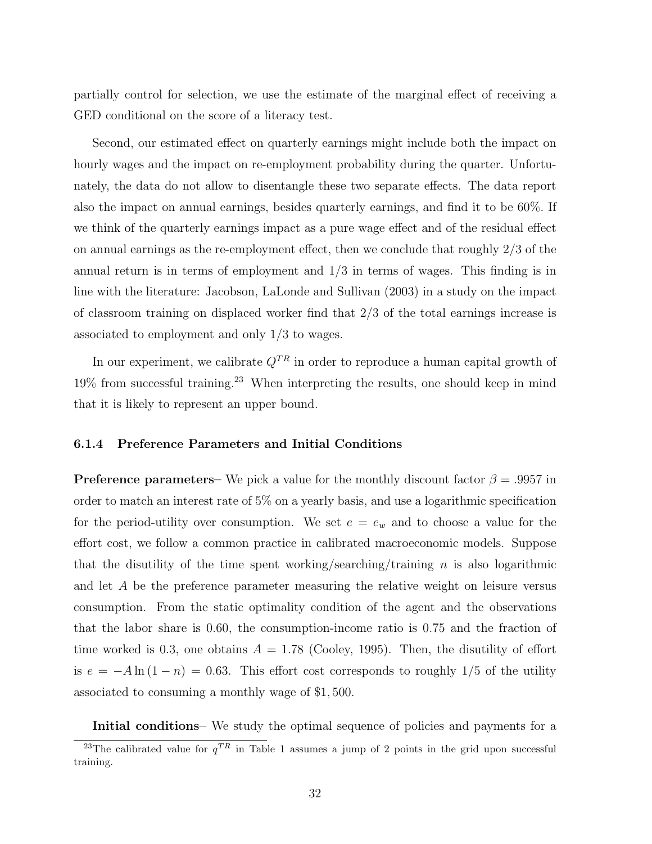partially control for selection, we use the estimate of the marginal effect of receiving a GED conditional on the score of a literacy test.

Second, our estimated effect on quarterly earnings might include both the impact on hourly wages and the impact on re-employment probability during the quarter. Unfortunately, the data do not allow to disentangle these two separate effects. The data report also the impact on annual earnings, besides quarterly earnings, and find it to be 60%. If we think of the quarterly earnings impact as a pure wage effect and of the residual effect on annual earnings as the re-employment effect, then we conclude that roughly 2/3 of the annual return is in terms of employment and 1/3 in terms of wages. This finding is in line with the literature: Jacobson, LaLonde and Sullivan (2003) in a study on the impact of classroom training on displaced worker find that 2/3 of the total earnings increase is associated to employment and only 1/3 to wages.

In our experiment, we calibrate  $Q^{TR}$  in order to reproduce a human capital growth of 19% from successful training.<sup>23</sup> When interpreting the results, one should keep in mind that it is likely to represent an upper bound.

#### 6.1.4 Preference Parameters and Initial Conditions

**Preference parameters–** We pick a value for the monthly discount factor  $\beta = .9957$  in order to match an interest rate of 5% on a yearly basis, and use a logarithmic specification for the period-utility over consumption. We set  $e = e_w$  and to choose a value for the effort cost, we follow a common practice in calibrated macroeconomic models. Suppose that the disutility of the time spent working/searching/training  $n$  is also logarithmic and let A be the preference parameter measuring the relative weight on leisure versus consumption. From the static optimality condition of the agent and the observations that the labor share is 0.60, the consumption-income ratio is 0.75 and the fraction of time worked is 0.3, one obtains  $A = 1.78$  (Cooley, 1995). Then, the disutility of effort is  $e = -A \ln(1 - n) = 0.63$ . This effort cost corresponds to roughly 1/5 of the utility associated to consuming a monthly wage of \$1, 500.

Initial conditions– We study the optimal sequence of policies and payments for a

<sup>&</sup>lt;sup>23</sup>The calibrated value for  $q^{TR}$  in Table 1 assumes a jump of 2 points in the grid upon successful training.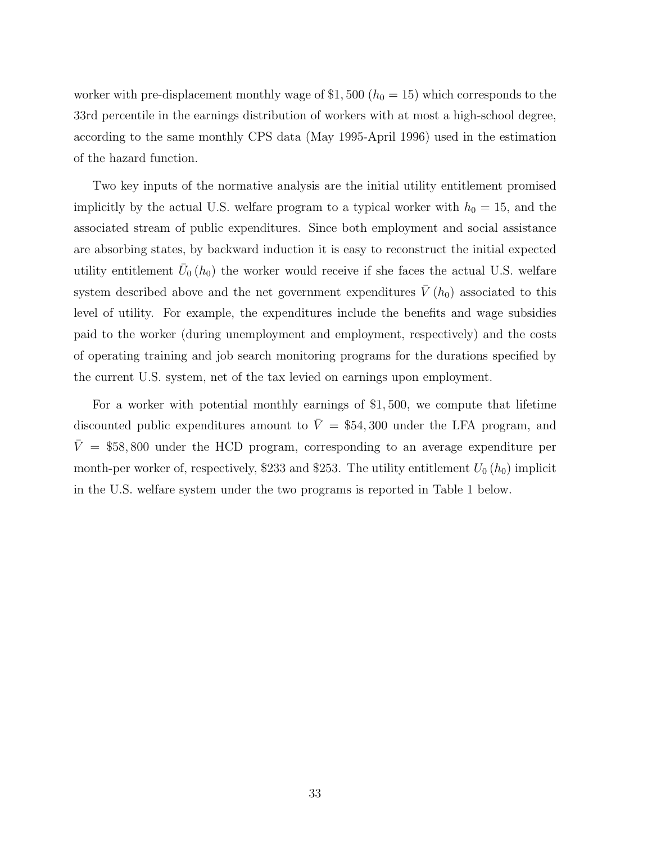worker with pre-displacement monthly wage of \$1,500 ( $h_0 = 15$ ) which corresponds to the 33rd percentile in the earnings distribution of workers with at most a high-school degree, according to the same monthly CPS data (May 1995-April 1996) used in the estimation of the hazard function.

Two key inputs of the normative analysis are the initial utility entitlement promised implicitly by the actual U.S. welfare program to a typical worker with  $h_0 = 15$ , and the associated stream of public expenditures. Since both employment and social assistance are absorbing states, by backward induction it is easy to reconstruct the initial expected utility entitlement  $\bar{U}_0(h_0)$  the worker would receive if she faces the actual U.S. welfare system described above and the net government expenditures  $\overline{V}(h_0)$  associated to this level of utility. For example, the expenditures include the benefits and wage subsidies paid to the worker (during unemployment and employment, respectively) and the costs of operating training and job search monitoring programs for the durations specified by the current U.S. system, net of the tax levied on earnings upon employment.

For a worker with potential monthly earnings of \$1, 500, we compute that lifetime discounted public expenditures amount to  $\overline{V} = $54,300$  under the LFA program, and  $\bar{V}$  = \$58,800 under the HCD program, corresponding to an average expenditure per month-per worker of, respectively, \$233 and \$253. The utility entitlement  $U_0(h_0)$  implicit in the U.S. welfare system under the two programs is reported in Table 1 below.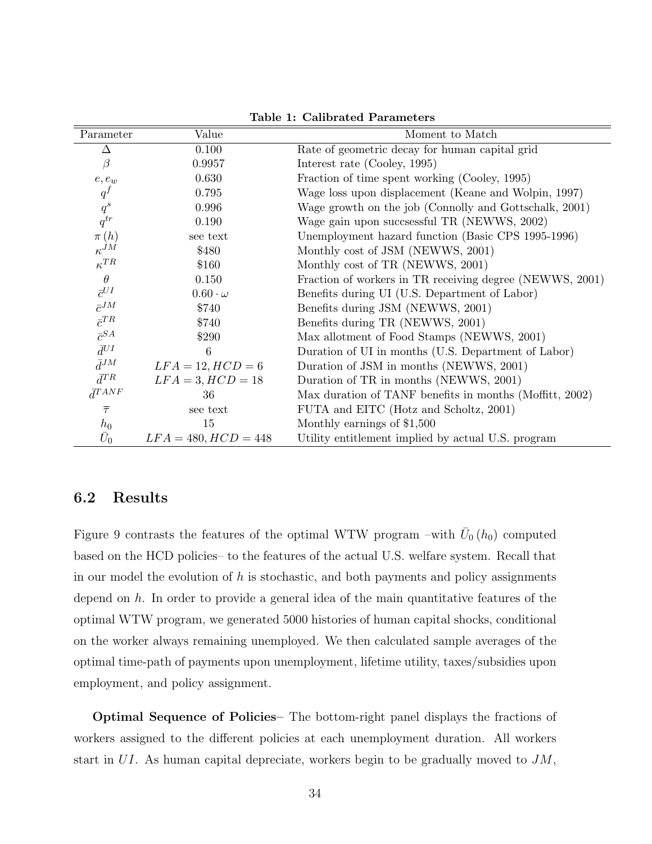| Parameter          | Value                  | Moment to Match                                          |
|--------------------|------------------------|----------------------------------------------------------|
| Δ                  | 0.100                  | Rate of geometric decay for human capital grid           |
| $\beta$            | 0.9957                 | Interest rate (Cooley, 1995)                             |
| $e,e_w$            | 0.630                  | Fraction of time spent working (Cooley, 1995)            |
| $q^f$              | 0.795                  | Wage loss upon displacement (Keane and Wolpin, 1997)     |
| $\boldsymbol{q}^s$ | 0.996                  | Wage growth on the job (Connolly and Gottschalk, 2001)   |
| $q^{tr}$           | 0.190                  | Wage gain upon succsessful TR (NEWWS, 2002)              |
| $\pi(h)$           | see text               | Unemployment hazard function (Basic CPS 1995-1996)       |
| $\kappa^{JM}$      | \$480                  | Monthly cost of JSM (NEWWS, 2001)                        |
| $\kappa^{TR}$      | \$160                  | Monthly cost of TR (NEWWS, 2001)                         |
| $\theta$           | 0.150                  | Fraction of workers in TR receiving degree (NEWWS, 2001) |
| $\bar{c}^{UI}$     | $0.60 \cdot \omega$    | Benefits during UI (U.S. Department of Labor)            |
| $\bar{c}^{JM}$     | \$740                  | Benefits during JSM (NEWWS, 2001)                        |
| $\bar{c}^{TR}$     | \$740                  | Benefits during TR (NEWWS, 2001)                         |
| $\bar{c}^{SA}$     | \$290                  | Max allotment of Food Stamps (NEWWS, 2001)               |
| $\bar{d}^{UI}$     | 6                      | Duration of UI in months (U.S. Department of Labor)      |
| $\bar{d}^{JM}$     | $LFA = 12, HCD = 6$    | Duration of JSM in months (NEWWS, 2001)                  |
| $\bar{d}^{TR}$     | $LFA = 3, HCD = 18$    | Duration of TR in months (NEWWS, 2001)                   |
| $\bar{d}^{TANF}$   | 36                     | Max duration of TANF benefits in months (Moffitt, 2002)  |
| $\overline{\tau}$  | see text               | FUTA and EITC (Hotz and Scholtz, 2001)                   |
| $h_0$              | 15                     | Monthly earnings of \$1,500                              |
| $\bar{U}_0$        | $LFA = 480, HCD = 448$ | Utility entitlement implied by actual U.S. program       |

Table 1: Calibrated Parameters

## 6.2 Results

Figure 9 contrasts the features of the optimal WTW program –with  $\bar{U}_0(h_0)$  computed based on the HCD policies– to the features of the actual U.S. welfare system. Recall that in our model the evolution of  $h$  is stochastic, and both payments and policy assignments depend on  $h$ . In order to provide a general idea of the main quantitative features of the optimal WTW program, we generated 5000 histories of human capital shocks, conditional on the worker always remaining unemployed. We then calculated sample averages of the optimal time-path of payments upon unemployment, lifetime utility, taxes/subsidies upon employment, and policy assignment.

Optimal Sequence of Policies– The bottom-right panel displays the fractions of workers assigned to the different policies at each unemployment duration. All workers start in  $UI$ . As human capital depreciate, workers begin to be gradually moved to  $JM$ ,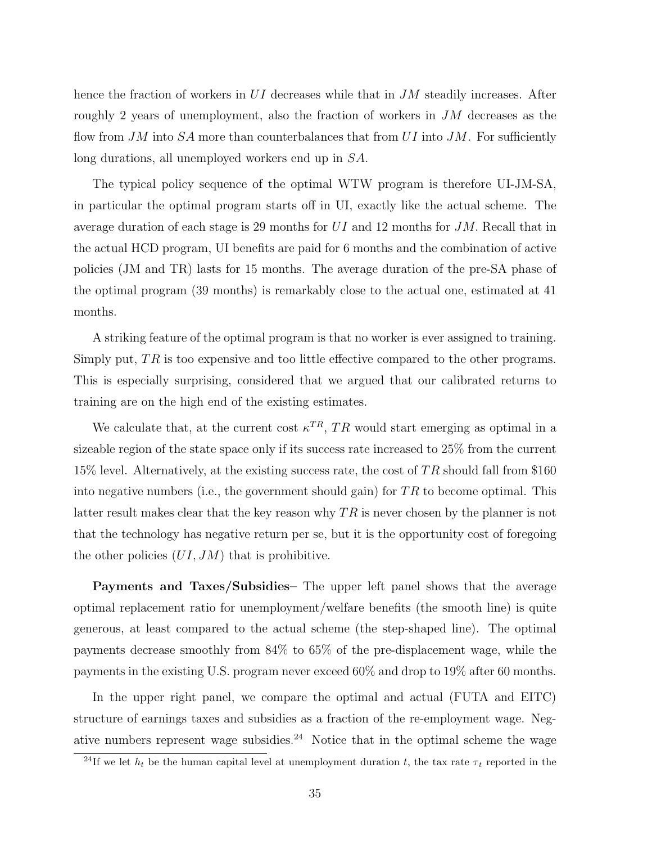hence the fraction of workers in UI decreases while that in  $JM$  steadily increases. After roughly 2 years of unemployment, also the fraction of workers in JM decreases as the flow from  $JM$  into  $SA$  more than counterbalances that from  $UI$  into  $JM$ . For sufficiently long durations, all unemployed workers end up in SA.

The typical policy sequence of the optimal WTW program is therefore UI-JM-SA, in particular the optimal program starts off in UI, exactly like the actual scheme. The average duration of each stage is 29 months for  $UI$  and 12 months for  $JM$ . Recall that in the actual HCD program, UI benefits are paid for 6 months and the combination of active policies (JM and TR) lasts for 15 months. The average duration of the pre-SA phase of the optimal program (39 months) is remarkably close to the actual one, estimated at 41 months.

A striking feature of the optimal program is that no worker is ever assigned to training. Simply put,  $TR$  is too expensive and too little effective compared to the other programs. This is especially surprising, considered that we argued that our calibrated returns to training are on the high end of the existing estimates.

We calculate that, at the current cost  $\kappa^{TR}$ , TR would start emerging as optimal in a sizeable region of the state space only if its success rate increased to 25% from the current 15% level. Alternatively, at the existing success rate, the cost of TR should fall from \$160 into negative numbers (i.e., the government should gain) for  $TR$  to become optimal. This latter result makes clear that the key reason why  $TR$  is never chosen by the planner is not that the technology has negative return per se, but it is the opportunity cost of foregoing the other policies  $(UI, JM)$  that is prohibitive.

Payments and Taxes/Subsidies– The upper left panel shows that the average optimal replacement ratio for unemployment/welfare benefits (the smooth line) is quite generous, at least compared to the actual scheme (the step-shaped line). The optimal payments decrease smoothly from 84% to 65% of the pre-displacement wage, while the payments in the existing U.S. program never exceed 60% and drop to 19% after 60 months.

In the upper right panel, we compare the optimal and actual (FUTA and EITC) structure of earnings taxes and subsidies as a fraction of the re-employment wage. Negative numbers represent wage subsidies.<sup>24</sup> Notice that in the optimal scheme the wage

<sup>&</sup>lt;sup>24</sup>If we let  $h_t$  be the human capital level at unemployment duration t, the tax rate  $\tau_t$  reported in the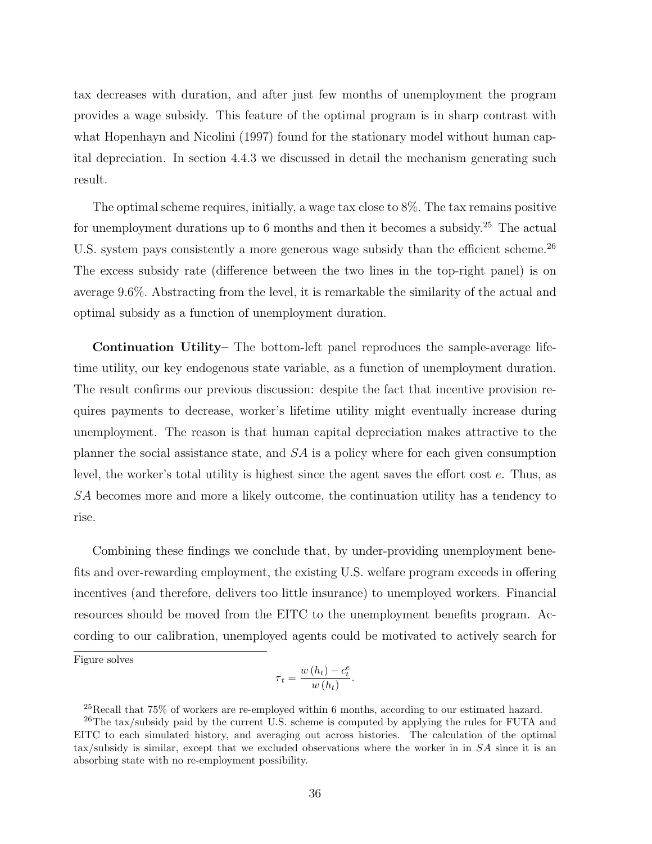tax decreases with duration, and after just few months of unemployment the program provides a wage subsidy. This feature of the optimal program is in sharp contrast with what Hopenhayn and Nicolini (1997) found for the stationary model without human capital depreciation. In section 4.4.3 we discussed in detail the mechanism generating such result.

The optimal scheme requires, initially, a wage tax close to 8%. The tax remains positive for unemployment durations up to 6 months and then it becomes a subsidy.<sup>25</sup> The actual U.S. system pays consistently a more generous wage subsidy than the efficient scheme.<sup>26</sup> The excess subsidy rate (difference between the two lines in the top-right panel) is on average 9.6%. Abstracting from the level, it is remarkable the similarity of the actual and optimal subsidy as a function of unemployment duration.

Continuation Utility– The bottom-left panel reproduces the sample-average lifetime utility, our key endogenous state variable, as a function of unemployment duration. The result confirms our previous discussion: despite the fact that incentive provision requires payments to decrease, worker's lifetime utility might eventually increase during unemployment. The reason is that human capital depreciation makes attractive to the planner the social assistance state, and SA is a policy where for each given consumption level, the worker's total utility is highest since the agent saves the effort cost e. Thus, as SA becomes more and more a likely outcome, the continuation utility has a tendency to rise.

Combining these findings we conclude that, by under-providing unemployment benefits and over-rewarding employment, the existing U.S. welfare program exceeds in offering incentives (and therefore, delivers too little insurance) to unemployed workers. Financial resources should be moved from the EITC to the unemployment benefits program. According to our calibration, unemployed agents could be motivated to actively search for

Figure solves

$$
\tau_t = \frac{w(h_t) - c_t^e}{w(h_t)}.
$$

 $^{25}$ Recall that 75% of workers are re-employed within 6 months, according to our estimated hazard.

<sup>&</sup>lt;sup>26</sup>The tax/subsidy paid by the current U.S. scheme is computed by applying the rules for FUTA and EITC to each simulated history, and averaging out across histories. The calculation of the optimal tax/subsidy is similar, except that we excluded observations where the worker in in SA since it is an absorbing state with no re-employment possibility.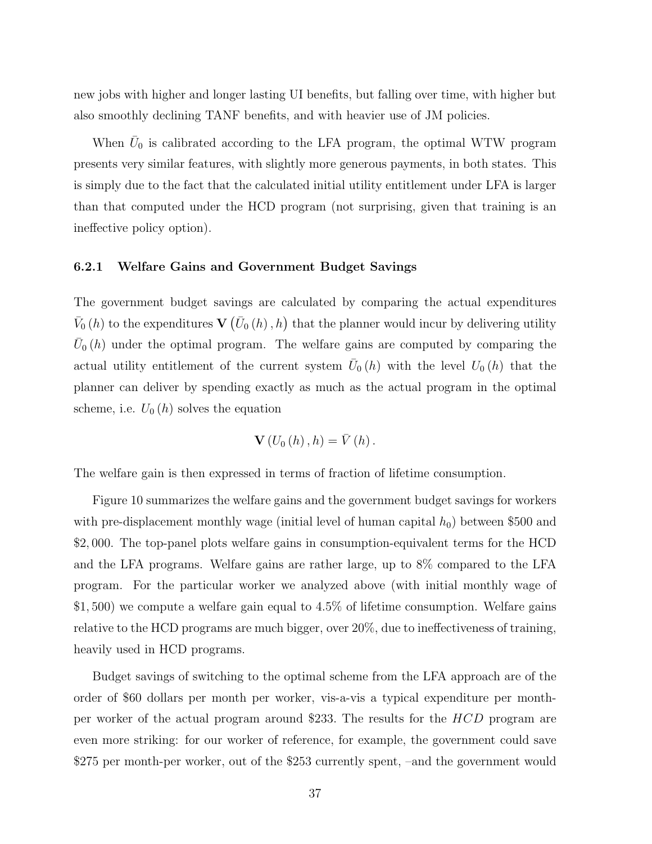new jobs with higher and longer lasting UI benefits, but falling over time, with higher but also smoothly declining TANF benefits, and with heavier use of JM policies.

When  $\bar{U}_0$  is calibrated according to the LFA program, the optimal WTW program presents very similar features, with slightly more generous payments, in both states. This is simply due to the fact that the calculated initial utility entitlement under LFA is larger than that computed under the HCD program (not surprising, given that training is an ineffective policy option).

#### 6.2.1 Welfare Gains and Government Budget Savings

The government budget savings are calculated by comparing the actual expenditures  $\bar{V}_0(h)$  to the expenditures **V**  $(\bar{U}_0(h), h)$  that the planner would incur by delivering utility  $\bar{U}_0(h)$  under the optimal program. The welfare gains are computed by comparing the actual utility entitlement of the current system  $\bar{U}_0(h)$  with the level  $U_0(h)$  that the planner can deliver by spending exactly as much as the actual program in the optimal scheme, i.e.  $U_0(h)$  solves the equation

$$
\mathbf{V}\left( U_{0}\left( h\right) ,h\right) =\bar{V}\left( h\right) .
$$

The welfare gain is then expressed in terms of fraction of lifetime consumption.

Figure 10 summarizes the welfare gains and the government budget savings for workers with pre-displacement monthly wage (initial level of human capital  $h_0$ ) between \$500 and \$2, 000. The top-panel plots welfare gains in consumption-equivalent terms for the HCD and the LFA programs. Welfare gains are rather large, up to 8% compared to the LFA program. For the particular worker we analyzed above (with initial monthly wage of \$1, 500) we compute a welfare gain equal to 4.5% of lifetime consumption. Welfare gains relative to the HCD programs are much bigger, over 20%, due to ineffectiveness of training, heavily used in HCD programs.

Budget savings of switching to the optimal scheme from the LFA approach are of the order of \$60 dollars per month per worker, vis-a-vis a typical expenditure per monthper worker of the actual program around \$233. The results for the HCD program are even more striking: for our worker of reference, for example, the government could save \$275 per month-per worker, out of the \$253 currently spent, –and the government would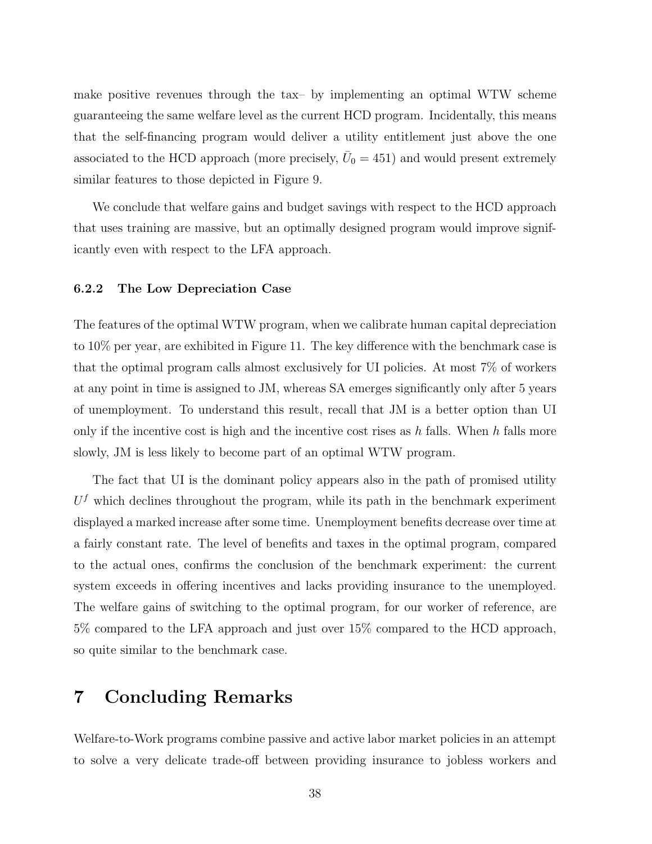make positive revenues through the tax– by implementing an optimal WTW scheme guaranteeing the same welfare level as the current HCD program. Incidentally, this means that the self-financing program would deliver a utility entitlement just above the one associated to the HCD approach (more precisely,  $\bar{U}_0 = 451$ ) and would present extremely similar features to those depicted in Figure 9.

We conclude that welfare gains and budget savings with respect to the HCD approach that uses training are massive, but an optimally designed program would improve significantly even with respect to the LFA approach.

#### 6.2.2 The Low Depreciation Case

The features of the optimal WTW program, when we calibrate human capital depreciation to 10% per year, are exhibited in Figure 11. The key difference with the benchmark case is that the optimal program calls almost exclusively for UI policies. At most 7% of workers at any point in time is assigned to JM, whereas SA emerges significantly only after 5 years of unemployment. To understand this result, recall that JM is a better option than UI only if the incentive cost is high and the incentive cost rises as  $h$  falls. When  $h$  falls more slowly, JM is less likely to become part of an optimal WTW program.

The fact that UI is the dominant policy appears also in the path of promised utility  $U<sup>f</sup>$  which declines throughout the program, while its path in the benchmark experiment displayed a marked increase after some time. Unemployment benefits decrease over time at a fairly constant rate. The level of benefits and taxes in the optimal program, compared to the actual ones, confirms the conclusion of the benchmark experiment: the current system exceeds in offering incentives and lacks providing insurance to the unemployed. The welfare gains of switching to the optimal program, for our worker of reference, are 5% compared to the LFA approach and just over 15% compared to the HCD approach, so quite similar to the benchmark case.

### 7 Concluding Remarks

Welfare-to-Work programs combine passive and active labor market policies in an attempt to solve a very delicate trade-off between providing insurance to jobless workers and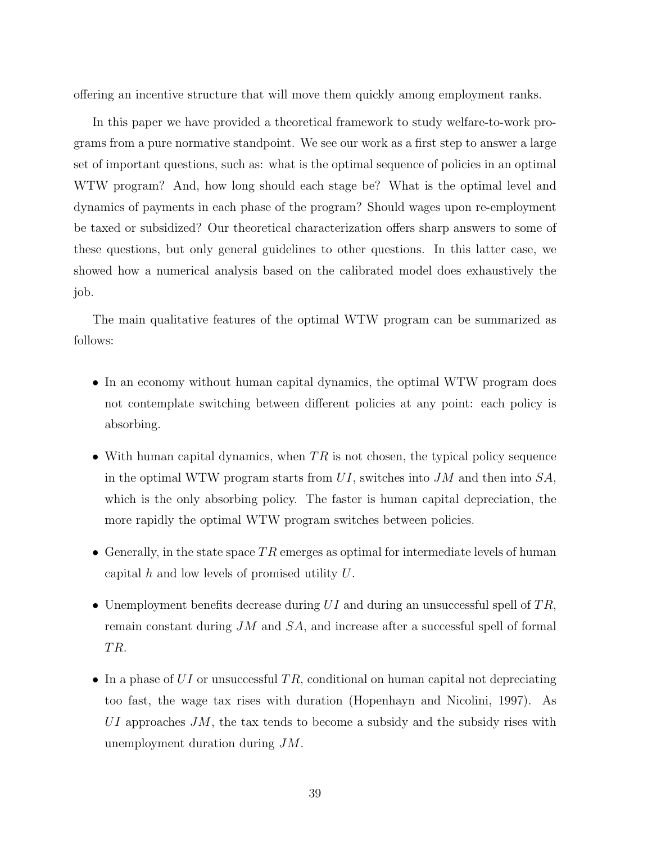offering an incentive structure that will move them quickly among employment ranks.

In this paper we have provided a theoretical framework to study welfare-to-work programs from a pure normative standpoint. We see our work as a first step to answer a large set of important questions, such as: what is the optimal sequence of policies in an optimal WTW program? And, how long should each stage be? What is the optimal level and dynamics of payments in each phase of the program? Should wages upon re-employment be taxed or subsidized? Our theoretical characterization offers sharp answers to some of these questions, but only general guidelines to other questions. In this latter case, we showed how a numerical analysis based on the calibrated model does exhaustively the job.

The main qualitative features of the optimal WTW program can be summarized as follows:

- In an economy without human capital dynamics, the optimal WTW program does not contemplate switching between different policies at any point: each policy is absorbing.
- With human capital dynamics, when  $TR$  is not chosen, the typical policy sequence in the optimal WTW program starts from  $UI$ , switches into JM and then into  $SA$ , which is the only absorbing policy. The faster is human capital depreciation, the more rapidly the optimal WTW program switches between policies.
- Generally, in the state space  $TR$  emerges as optimal for intermediate levels of human capital h and low levels of promised utility  $U$ .
- Unemployment benefits decrease during  $UI$  and during an unsuccessful spell of  $TR$ , remain constant during JM and SA, and increase after a successful spell of formal T R.
- In a phase of  $UI$  or unsuccessful TR, conditional on human capital not depreciating too fast, the wage tax rises with duration (Hopenhayn and Nicolini, 1997). As  $UI$  approaches  $JM$ , the tax tends to become a subsidy and the subsidy rises with unemployment duration during JM.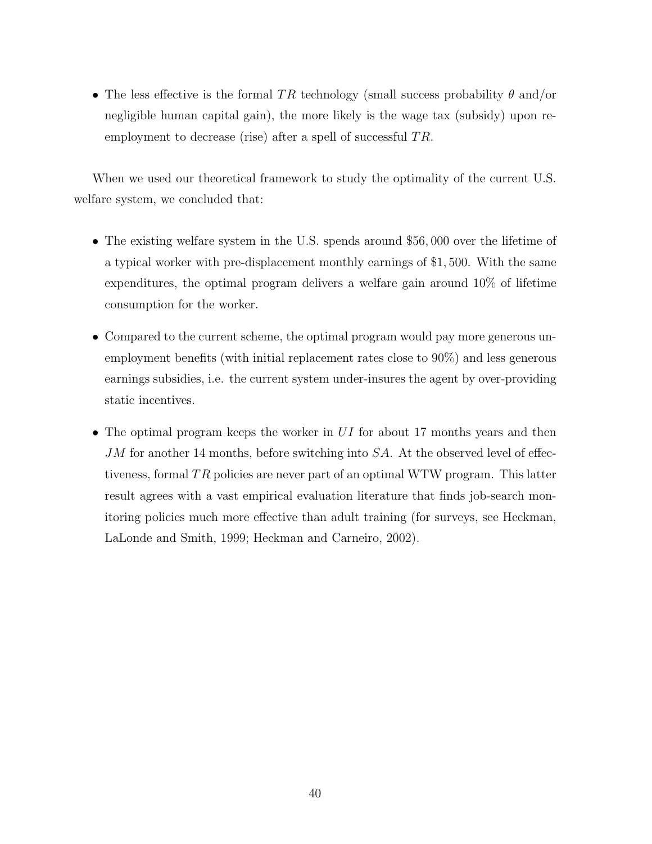• The less effective is the formal TR technology (small success probability  $\theta$  and/or negligible human capital gain), the more likely is the wage tax (subsidy) upon reemployment to decrease (rise) after a spell of successful  $TR$ .

When we used our theoretical framework to study the optimality of the current U.S. welfare system, we concluded that:

- The existing welfare system in the U.S. spends around \$56,000 over the lifetime of a typical worker with pre-displacement monthly earnings of \$1, 500. With the same expenditures, the optimal program delivers a welfare gain around 10% of lifetime consumption for the worker.
- Compared to the current scheme, the optimal program would pay more generous unemployment benefits (with initial replacement rates close to 90%) and less generous earnings subsidies, i.e. the current system under-insures the agent by over-providing static incentives.
- The optimal program keeps the worker in  $UI$  for about 17 months years and then  $JM$  for another 14 months, before switching into  $SA$ . At the observed level of effectiveness, formal  $TR$  policies are never part of an optimal WTW program. This latter result agrees with a vast empirical evaluation literature that finds job-search monitoring policies much more effective than adult training (for surveys, see Heckman, LaLonde and Smith, 1999; Heckman and Carneiro, 2002).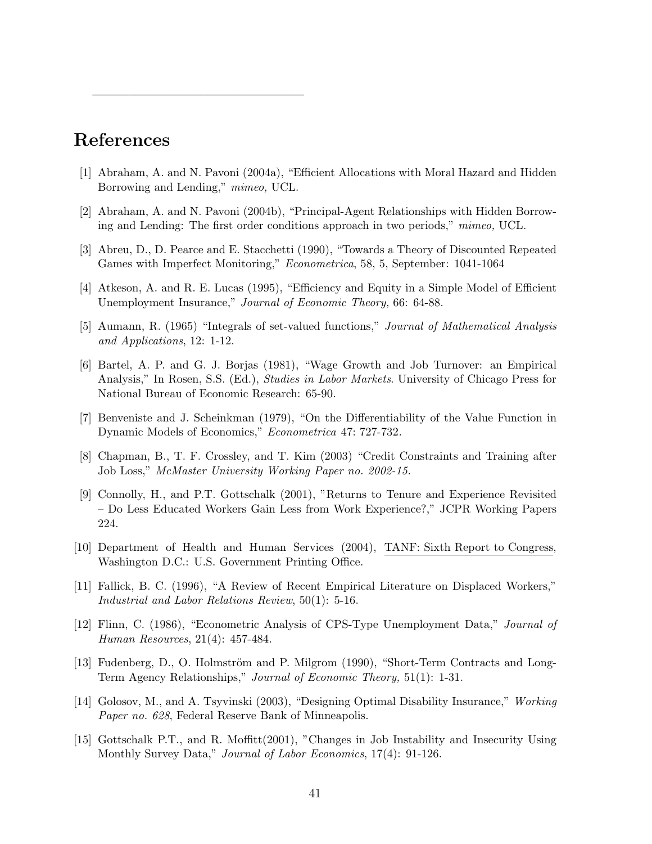# References

—————————————————

- [1] Abraham, A. and N. Pavoni (2004a), "Efficient Allocations with Moral Hazard and Hidden Borrowing and Lending," mimeo, UCL.
- [2] Abraham, A. and N. Pavoni (2004b), "Principal-Agent Relationships with Hidden Borrowing and Lending: The first order conditions approach in two periods," mimeo, UCL.
- [3] Abreu, D., D. Pearce and E. Stacchetti (1990), "Towards a Theory of Discounted Repeated Games with Imperfect Monitoring," Econometrica, 58, 5, September: 1041-1064
- [4] Atkeson, A. and R. E. Lucas (1995), "Efficiency and Equity in a Simple Model of Efficient Unemployment Insurance," Journal of Economic Theory, 66: 64-88.
- [5] Aumann, R. (1965) "Integrals of set-valued functions," Journal of Mathematical Analysis and Applications, 12: 1-12.
- [6] Bartel, A. P. and G. J. Borjas (1981), "Wage Growth and Job Turnover: an Empirical Analysis," In Rosen, S.S. (Ed.), Studies in Labor Markets. University of Chicago Press for National Bureau of Economic Research: 65-90.
- [7] Benveniste and J. Scheinkman (1979), "On the Differentiability of the Value Function in Dynamic Models of Economics," Econometrica 47: 727-732.
- [8] Chapman, B., T. F. Crossley, and T. Kim (2003) "Credit Constraints and Training after Job Loss," McMaster University Working Paper no. 2002-15.
- [9] Connolly, H., and P.T. Gottschalk (2001), "Returns to Tenure and Experience Revisited – Do Less Educated Workers Gain Less from Work Experience?," JCPR Working Papers 224.
- [10] Department of Health and Human Services (2004), TANF: Sixth Report to Congress, Washington D.C.: U.S. Government Printing Office.
- [11] Fallick, B. C. (1996), "A Review of Recent Empirical Literature on Displaced Workers," Industrial and Labor Relations Review, 50(1): 5-16.
- [12] Flinn, C. (1986), "Econometric Analysis of CPS-Type Unemployment Data," Journal of Human Resources, 21(4): 457-484.
- [13] Fudenberg, D., O. Holmström and P. Milgrom (1990), "Short-Term Contracts and Long-Term Agency Relationships," Journal of Economic Theory, 51(1): 1-31.
- [14] Golosov, M., and A. Tsyvinski (2003), "Designing Optimal Disability Insurance," Working Paper no. 628, Federal Reserve Bank of Minneapolis.
- [15] Gottschalk P.T., and R. Moffitt(2001), "Changes in Job Instability and Insecurity Using Monthly Survey Data," Journal of Labor Economics, 17(4): 91-126.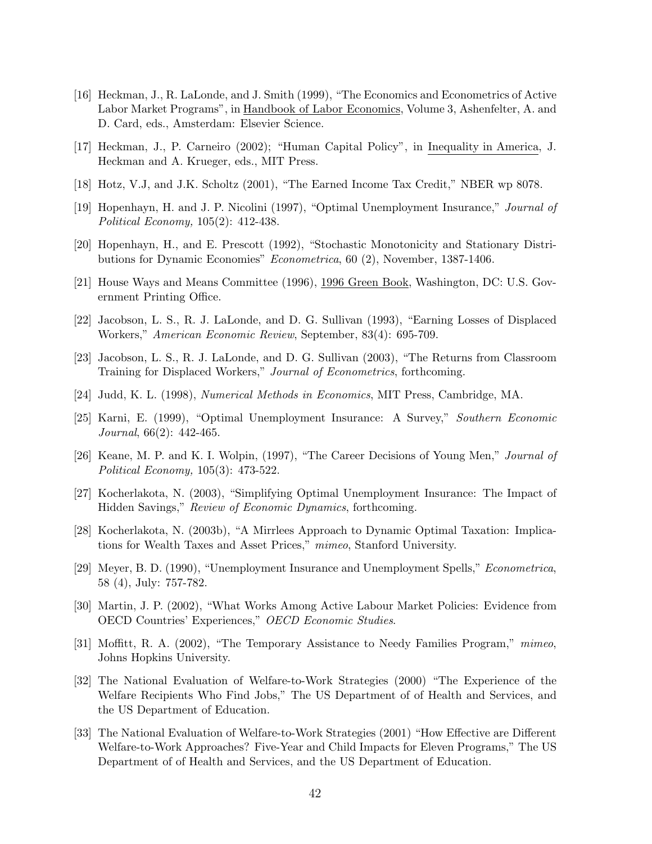- [16] Heckman, J., R. LaLonde, and J. Smith (1999), "The Economics and Econometrics of Active Labor Market Programs", in Handbook of Labor Economics, Volume 3, Ashenfelter, A. and D. Card, eds., Amsterdam: Elsevier Science.
- [17] Heckman, J., P. Carneiro (2002); "Human Capital Policy", in Inequality in America, J. Heckman and A. Krueger, eds., MIT Press.
- [18] Hotz, V.J, and J.K. Scholtz (2001), "The Earned Income Tax Credit," NBER wp 8078.
- [19] Hopenhayn, H. and J. P. Nicolini (1997), "Optimal Unemployment Insurance," Journal of Political Economy, 105(2): 412-438.
- [20] Hopenhayn, H., and E. Prescott (1992), "Stochastic Monotonicity and Stationary Distributions for Dynamic Economies" Econometrica, 60 (2), November, 1387-1406.
- [21] House Ways and Means Committee (1996), 1996 Green Book, Washington, DC: U.S. Government Printing Office.
- [22] Jacobson, L. S., R. J. LaLonde, and D. G. Sullivan (1993), "Earning Losses of Displaced Workers," American Economic Review, September, 83(4): 695-709.
- [23] Jacobson, L. S., R. J. LaLonde, and D. G. Sullivan (2003), "The Returns from Classroom Training for Displaced Workers," Journal of Econometrics, forthcoming.
- [24] Judd, K. L. (1998), Numerical Methods in Economics, MIT Press, Cambridge, MA.
- [25] Karni, E. (1999), "Optimal Unemployment Insurance: A Survey," Southern Economic Journal, 66(2): 442-465.
- [26] Keane, M. P. and K. I. Wolpin, (1997), "The Career Decisions of Young Men," Journal of Political Economy, 105(3): 473-522.
- [27] Kocherlakota, N. (2003), "Simplifying Optimal Unemployment Insurance: The Impact of Hidden Savings," Review of Economic Dynamics, forthcoming.
- [28] Kocherlakota, N. (2003b), "A Mirrlees Approach to Dynamic Optimal Taxation: Implications for Wealth Taxes and Asset Prices," mimeo, Stanford University.
- [29] Meyer, B. D. (1990), "Unemployment Insurance and Unemployment Spells," Econometrica, 58 (4), July: 757-782.
- [30] Martin, J. P. (2002), "What Works Among Active Labour Market Policies: Evidence from OECD Countries' Experiences," OECD Economic Studies.
- [31] Moffitt, R. A. (2002), "The Temporary Assistance to Needy Families Program," mimeo, Johns Hopkins University.
- [32] The National Evaluation of Welfare-to-Work Strategies (2000) "The Experience of the Welfare Recipients Who Find Jobs," The US Department of of Health and Services, and the US Department of Education.
- [33] The National Evaluation of Welfare-to-Work Strategies (2001) "How Effective are Different Welfare-to-Work Approaches? Five-Year and Child Impacts for Eleven Programs," The US Department of of Health and Services, and the US Department of Education.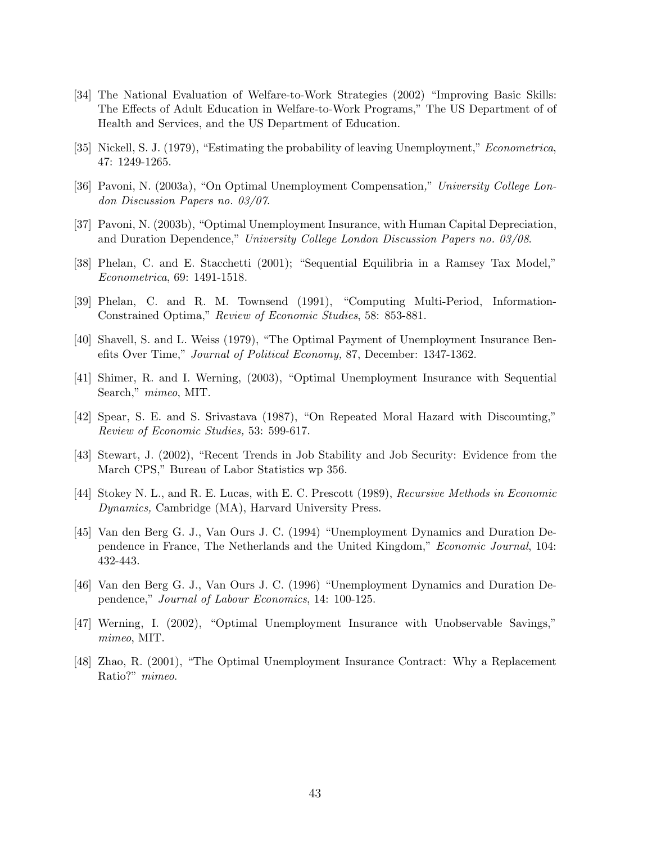- [34] The National Evaluation of Welfare-to-Work Strategies (2002) "Improving Basic Skills: The Effects of Adult Education in Welfare-to-Work Programs," The US Department of of Health and Services, and the US Department of Education.
- [35] Nickell, S. J. (1979), "Estimating the probability of leaving Unemployment," Econometrica, 47: 1249-1265.
- [36] Pavoni, N. (2003a), "On Optimal Unemployment Compensation," University College London Discussion Papers no. 03/07.
- [37] Pavoni, N. (2003b), "Optimal Unemployment Insurance, with Human Capital Depreciation, and Duration Dependence," University College London Discussion Papers no. 03/08.
- [38] Phelan, C. and E. Stacchetti (2001); "Sequential Equilibria in a Ramsey Tax Model," Econometrica, 69: 1491-1518.
- [39] Phelan, C. and R. M. Townsend (1991), "Computing Multi-Period, Information-Constrained Optima," Review of Economic Studies, 58: 853-881.
- [40] Shavell, S. and L. Weiss (1979), "The Optimal Payment of Unemployment Insurance Benefits Over Time," Journal of Political Economy, 87, December: 1347-1362.
- [41] Shimer, R. and I. Werning, (2003), "Optimal Unemployment Insurance with Sequential Search," mimeo, MIT.
- [42] Spear, S. E. and S. Srivastava (1987), "On Repeated Moral Hazard with Discounting," Review of Economic Studies, 53: 599-617.
- [43] Stewart, J. (2002), "Recent Trends in Job Stability and Job Security: Evidence from the March CPS," Bureau of Labor Statistics wp 356.
- [44] Stokey N. L., and R. E. Lucas, with E. C. Prescott (1989), Recursive Methods in Economic Dynamics, Cambridge (MA), Harvard University Press.
- [45] Van den Berg G. J., Van Ours J. C. (1994) "Unemployment Dynamics and Duration Dependence in France, The Netherlands and the United Kingdom," Economic Journal, 104: 432-443.
- [46] Van den Berg G. J., Van Ours J. C. (1996) "Unemployment Dynamics and Duration Dependence," Journal of Labour Economics, 14: 100-125.
- [47] Werning, I. (2002), "Optimal Unemployment Insurance with Unobservable Savings," mimeo, MIT.
- [48] Zhao, R. (2001), "The Optimal Unemployment Insurance Contract: Why a Replacement Ratio?" mimeo.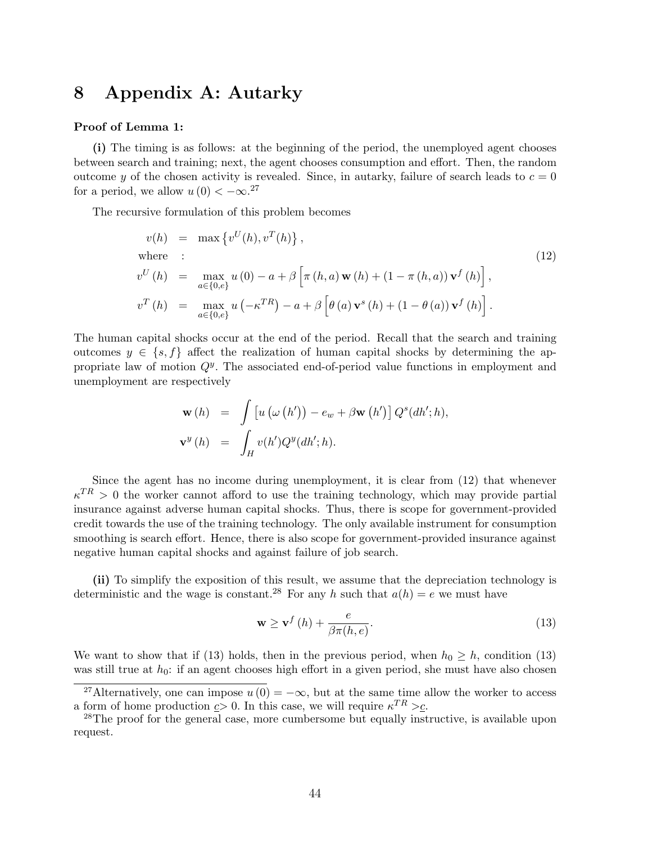### 8 Appendix A: Autarky

#### Proof of Lemma 1:

(i) The timing is as follows: at the beginning of the period, the unemployed agent chooses between search and training; next, the agent chooses consumption and effort. Then, the random outcome y of the chosen activity is revealed. Since, in autarky, failure of search leads to  $c = 0$ for a period, we allow  $u(0) < -\infty$ <sup>27</sup>

The recursive formulation of this problem becomes

$$
v(h) = \max \{ v^U(h), v^T(h) \},
$$
  
where :  

$$
v^U(h) = \max_{a \in \{0, e\}} u(0) - a + \beta \left[ \pi(h, a) \mathbf{w}(h) + (1 - \pi(h, a)) \mathbf{v}^f(h) \right],
$$
  

$$
v^T(h) = \max_{a \in \{0, e\}} u(-\kappa^{TR}) - a + \beta \left[ \theta(a) \mathbf{v}^s(h) + (1 - \theta(a)) \mathbf{v}^f(h) \right].
$$
 (12)

The human capital shocks occur at the end of the period. Recall that the search and training outcomes  $y \in \{s, f\}$  affect the realization of human capital shocks by determining the appropriate law of motion  $Q<sup>y</sup>$ . The associated end-of-period value functions in employment and unemployment are respectively

$$
\mathbf{w}(h) = \int [u (\omega (h')) - e_w + \beta \mathbf{w} (h')] Q^s(dh';h),
$$
  

$$
\mathbf{v}^y(h) = \int_H v(h')Q^y(dh';h).
$$

Since the agent has no income during unemployment, it is clear from (12) that whenever  $\kappa^{TR} > 0$  the worker cannot afford to use the training technology, which may provide partial insurance against adverse human capital shocks. Thus, there is scope for government-provided credit towards the use of the training technology. The only available instrument for consumption smoothing is search effort. Hence, there is also scope for government-provided insurance against negative human capital shocks and against failure of job search.

(ii) To simplify the exposition of this result, we assume that the depreciation technology is deterministic and the wage is constant.<sup>28</sup> For any h such that  $a(h) = e$  we must have

$$
\mathbf{w} \ge \mathbf{v}^f\left(h\right) + \frac{e}{\beta \pi(h, e)}.\tag{13}
$$

We want to show that if (13) holds, then in the previous period, when  $h_0 \geq h$ , condition (13) was still true at  $h_0$ : if an agent chooses high effort in a given period, she must have also chosen

<sup>&</sup>lt;sup>27</sup>Alternatively, one can impose  $u(0) = -\infty$ , but at the same time allow the worker to access a form of home production  $c > 0$ . In this case, we will require  $\kappa^{TR} > c$ .

<sup>&</sup>lt;sup>28</sup>The proof for the general case, more cumbersome but equally instructive, is available upon request.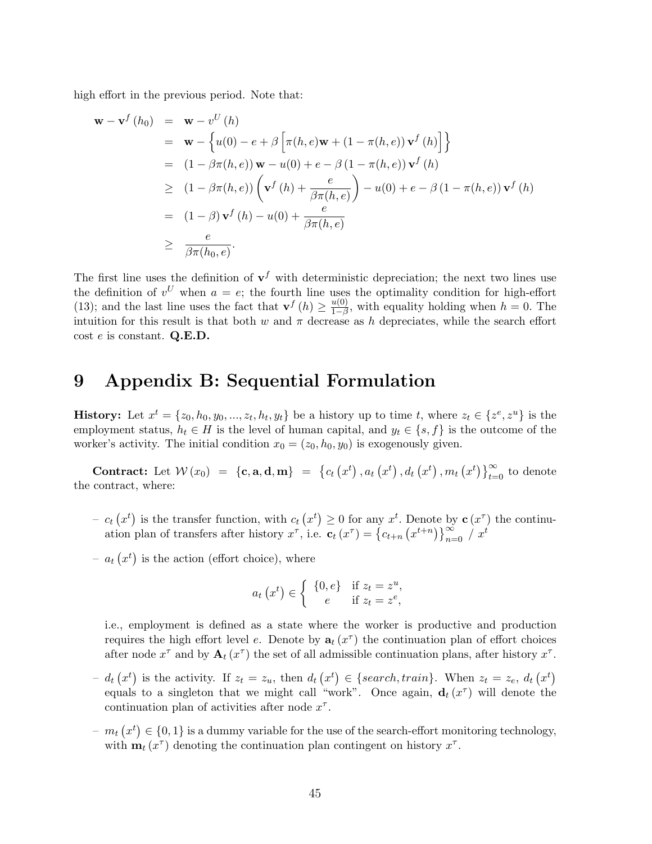high effort in the previous period. Note that:

$$
\mathbf{w} - \mathbf{v}^f(h_0) = \mathbf{w} - v^U(h)
$$
  
\n
$$
= \mathbf{w} - \left\{ u(0) - e + \beta \left[ \pi(h, e) \mathbf{w} + (1 - \pi(h, e)) \mathbf{v}^f(h) \right] \right\}
$$
  
\n
$$
= (1 - \beta \pi(h, e)) \mathbf{w} - u(0) + e - \beta (1 - \pi(h, e)) \mathbf{v}^f(h)
$$
  
\n
$$
\geq (1 - \beta \pi(h, e)) \left( \mathbf{v}^f(h) + \frac{e}{\beta \pi(h, e)} \right) - u(0) + e - \beta (1 - \pi(h, e)) \mathbf{v}^f(h)
$$
  
\n
$$
= (1 - \beta) \mathbf{v}^f(h) - u(0) + \frac{e}{\beta \pi(h, e)}
$$
  
\n
$$
\geq \frac{e}{\beta \pi(h_0, e)}.
$$

The first line uses the definition of  $v<sup>f</sup>$  with deterministic depreciation; the next two lines use the definition of  $v^U$  when  $a = e$ ; the fourth line uses the optimality condition for high-effort (13); and the last line uses the fact that  $\mathbf{v}^f(h) \geq \frac{u(0)}{1-\beta}$  $\frac{u(0)}{1-\beta}$ , with equality holding when  $h = 0$ . The intuition for this result is that both w and  $\pi$  decrease as h depreciates, while the search effort  $\cot e$  is constant. Q.E.D.

#### 9 Appendix B: Sequential Formulation

**History:** Let  $x^t = \{z_0, h_0, y_0, ..., z_t, h_t, y_t\}$  be a history up to time t, where  $z_t \in \{z^e, z^u\}$  is the employment status,  $h_t \in H$  is the level of human capital, and  $y_t \in \{s, f\}$  is the outcome of the worker's activity. The initial condition  $x_0 = (z_0, h_0, y_0)$  is exogenously given.

**Contract:** Let  $W(x_0) = \{c, a, d, m\}$  = ©  $c_t$ ¡  $x^t$  $, a_t$ ¡  $x^t$  $, d_t$ ¡  $x^t$  $, m_t$ ¡  $x^{t}$ )  $\}^{\infty}_{t-}$  $\sum_{t=0}^{\infty}$  to denote the contract, where:

- $c_t$ ¡  $x^t$ is the transfer function, with  $c_t$ ¡  $x^t$  $\geq 0$  for any  $x^t$ . Denote by  $\mathbf{c}(x^{\tau})$  the continu $c_t(x^{\tau})$  is the transfer function, with  $c_t(x^{\tau}) \geq 0$  for any  $x^{\tau}$ ,<br>ation plan of transfers after history  $x^{\tau}$ , i.e.  $\mathbf{c}_t(x^{\tau}) = \{c_{t+n}$  $\frac{1}{\sqrt{2}}$ Denote by  $\mathbf{c}(x)$ <br>  $x^{t+n}$   $\big\}$   $\sum_{n=0}^{\infty} / x^t$
- $a_t$ ¡  $x^t$ is the action (effort choice), where

$$
a_t(x^t) \in \begin{cases} \{0, e\} & \text{if } z_t = z^u, \\ e & \text{if } z_t = z^e, \end{cases}
$$

i.e., employment is defined as a state where the worker is productive and production requires the high effort level e. Denote by  $a_t(x^{\tau})$  the continuation plan of effort choices after node  $x^{\tau}$  and by  $\mathbf{A}_t(x^{\tau})$  the set of all admissible continuation plans, after history  $x^{\tau}$ .

- $d_t$ ¡  $x^t$ is the activity. If  $z_t = z_u$ , then  $d_t$ ¡  $x^t$  $\in \{search, train\}.$  When  $z_t = z_e, d_t$ ¡  $x^{t}$ equals to a singleton that we might call "work". Once again,  $\mathbf{d}_t(x^{\tau})$  will denote the continuation plan of activities after node  $x^{\tau}$ .
- $m_t$ ¡  $x^t$  $\in \{0,1\}$  is a dummy variable for the use of the search-effort monitoring technology, with  $\mathbf{m}_t(x^{\tau})$  denoting the continuation plan contingent on history  $x^{\tau}$ .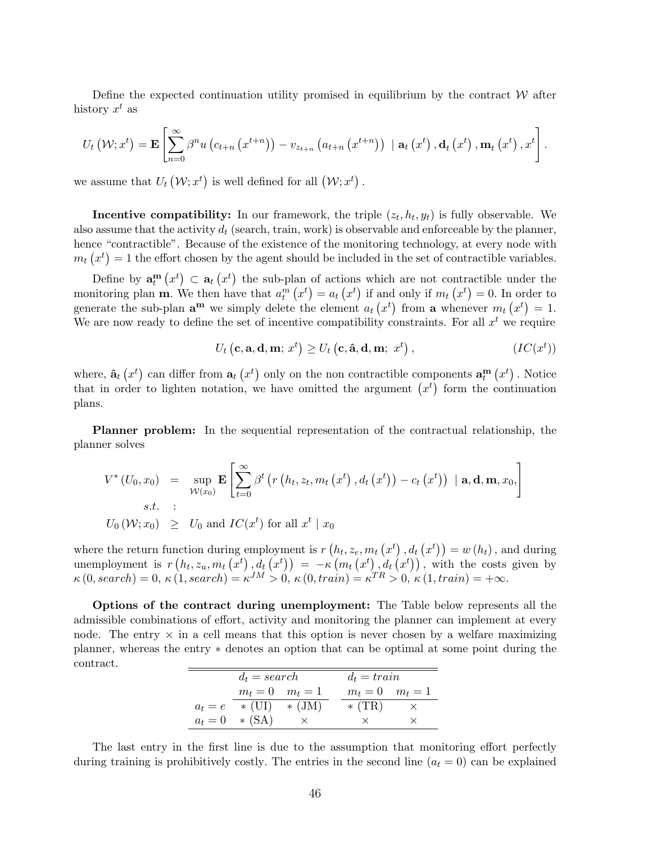Define the expected continuation utility promised in equilibrium by the contract  $W$  after history  $x^t$  as

$$
U_{t}\left(\mathcal{W};x^{t}\right)=\mathbf{E}\left[\sum_{n=0}^{\infty}\beta^{n}u\left(c_{t+n}\left(x^{t+n}\right)\right)-v_{z_{t+n}}\left(a_{t+n}\left(x^{t+n}\right)\right)\mid\mathbf{a}_{t}\left(x^{t}\right),\mathbf{d}_{t}\left(x^{t}\right),\mathbf{m}_{t}\left(x^{t}\right),x^{t}\right].
$$

we assume that  $U_t$ ¡  $\mathcal{W}; x^t$  is well defined for all  $(\mathcal{W}; x^t)$ .

**Incentive compatibility:** In our framework, the triple  $(z_t, h_t, y_t)$  is fully observable. We also assume that the activity  $d_t$  (search, train, work) is observable and enforceable by the planner, hence "contractible". Because of the existence of the monitoring technology, at every node with  $m_t(x^t) = 1$  the effort chosen by the agent should be included in the set of contractible variables.

Define by  $\mathbf{a}_t^{\mathbf{m}}$ ¡  $x^t$  $\subset$  a<sub>t</sub> ¡  $\begin{bmatrix} x^t \end{bmatrix}$ the sub-plan of actions which are not contractible under the monitoring plan **m**. We then have that  $a_t^m(x^t) = a_t(x^t)$  if and only if  $m_t(x^t) = 0$ . In order to generate the sub-plan  $\mathbf{a}^{\mathbf{m}}$  we simply delete the element  $a_t(x^t)$  from  $\mathbf{a}$  whenever  $m_t(x^t) = 1$ . We are now ready to define the set of incentive compatibility constraints. For all  $x<sup>t</sup>$  we require

$$
U_t\left(c, \mathbf{a}, \mathbf{d}, \mathbf{m}; x^t\right) \ge U_t\left(c, \hat{\mathbf{a}}, \mathbf{d}, \mathbf{m}; x^t\right), \qquad (IC(x^t))
$$

where,  $\hat{\mathbf{a}}_t$ ¡  $x^t$ can differ from  $a_t$ ¡  $(x<sup>t</sup>)$  only on the non contractible components  $\mathbf{a}_t^{\mathbf{m}}$ ¡  $x^t$ ponents  $\mathbf{a}_t^{\mathbf{m}}(x^t)$ . Notice where,  $a_t(x^r)$  can differ from  $a_t(x^r)$  only on the non-contractible components  $a_t^m(x^r)$ . Notice<br>that in order to lighten notation, we have omitted the argument  $(x^t)$  form the continuation plans.

Planner problem: In the sequential representation of the contractual relationship, the planner solves

$$
V^*(U_0, x_0) = \sup_{\mathcal{W}(x_0)} \mathbf{E} \left[ \sum_{t=0}^{\infty} \beta^t \left( r \left( h_t, z_t, m_t \left( x^t \right), d_t \left( x^t \right) \right) - c_t \left( x^t \right) \right) \mid \mathbf{a}, \mathbf{d}, \mathbf{m}, x_0, \right]
$$
  
s.t. :  
 $U_0(\mathcal{W}; x_0) \geq U_0$  and  $IC(x^t)$  for all  $x^t \mid x_0$ 

where the return function during employment is  $r$ ¡  $h_t, z_e, m_t$ ¡  $x^t$  $, d_t$ ¡ nction during employment is  $r(h_t, z_e, m_t(x^t), d_t(x^t)) = w(h_t)$ , and during where the return function during employment is  $r(h_t, z_e, m_t(x^r), d_t(x^r)) = w(h_t)$ , and during<br>unemployment is  $r(h_t, z_u, m_t(x^t), d_t(x^t)) = -\kappa(m_t(x^t), d_t(x^t))$ , with the costs given by  $\kappa(0, search) = 0, \, \kappa(1, search) = \kappa^{JM} > 0, \, \kappa(0, train) = \kappa^{TR} > 0, \, \kappa(1, train) = +\infty.$ 

Options of the contract during unemployment: The Table below represents all the admissible combinations of effort, activity and monitoring the planner can implement at every node. The entry  $\times$  in a cell means that this option is never chosen by a welfare maximizing planner, whereas the entry ∗ denotes an option that can be optimal at some point during the contract.

|           | $d_t = search$      |             | $d_t = train$ |                     |  |
|-----------|---------------------|-------------|---------------|---------------------|--|
|           | $m_t = 0$ $m_t = 1$ |             |               | $m_t = 0$ $m_t = 1$ |  |
| $a_t = e$ | $\ast$ (UI)         | $\ast$ (JM) | $*(TR)$       |                     |  |
|           | $a_t = 0$ * (SA)    |             |               |                     |  |

The last entry in the first line is due to the assumption that monitoring effort perfectly during training is prohibitively costly. The entries in the second line  $(a_t = 0)$  can be explained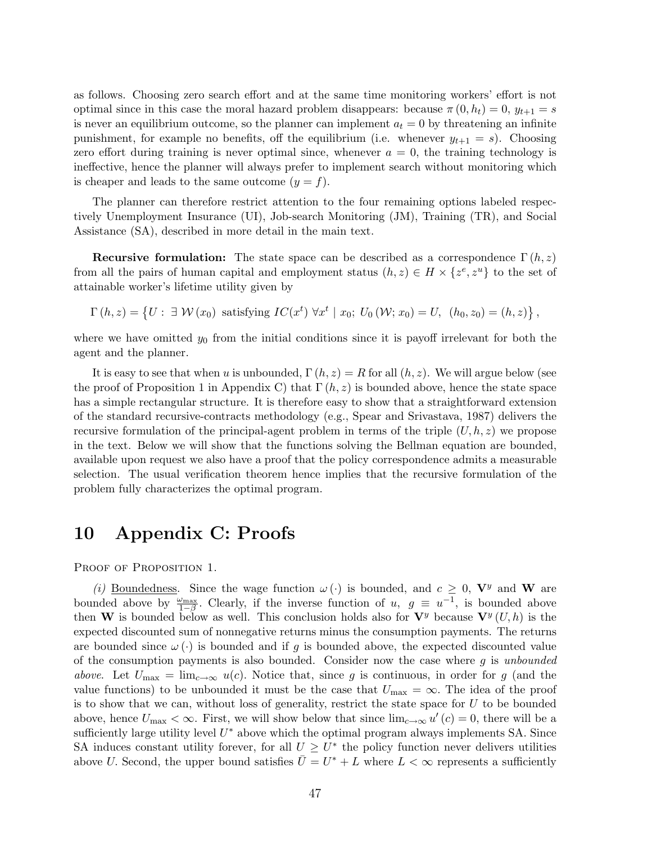as follows. Choosing zero search effort and at the same time monitoring workers' effort is not optimal since in this case the moral hazard problem disappears: because  $\pi(0, h_t) = 0$ ,  $y_{t+1} = s$ is never an equilibrium outcome, so the planner can implement  $a_t = 0$  by threatening an infinite punishment, for example no benefits, off the equilibrium (i.e. whenever  $y_{t+1} = s$ ). Choosing zero effort during training is never optimal since, whenever  $a = 0$ , the training technology is ineffective, hence the planner will always prefer to implement search without monitoring which is cheaper and leads to the same outcome  $(y = f)$ .

The planner can therefore restrict attention to the four remaining options labeled respectively Unemployment Insurance (UI), Job-search Monitoring (JM), Training (TR), and Social Assistance (SA), described in more detail in the main text.

**Recursive formulation:** The state space can be described as a correspondence  $\Gamma(h, z)$ from all the pairs of human capital and employment status  $(h, z) \in H \times \{z^e, z^u\}$  to the set of attainable worker's lifetime utility given by

$$
\Gamma(h, z) = \left\{ U : \exists W(x_0) \text{ satisfying } IC(x^t) \,\forall x^t \mid x_0; U_0(W; x_0) = U, \, (h_0, z_0) = (h, z) \right\},
$$

where we have omitted  $y_0$  from the initial conditions since it is payoff irrelevant for both the agent and the planner.

It is easy to see that when u is unbounded,  $\Gamma(h, z) = R$  for all  $(h, z)$ . We will argue below (see the proof of Proposition 1 in Appendix C) that  $\Gamma(h, z)$  is bounded above, hence the state space has a simple rectangular structure. It is therefore easy to show that a straightforward extension of the standard recursive-contracts methodology (e.g., Spear and Srivastava, 1987) delivers the recursive formulation of the principal-agent problem in terms of the triple  $(U, h, z)$  we propose in the text. Below we will show that the functions solving the Bellman equation are bounded, available upon request we also have a proof that the policy correspondence admits a measurable selection. The usual verification theorem hence implies that the recursive formulation of the problem fully characterizes the optimal program.

### 10 Appendix C: Proofs

PROOF OF PROPOSITION 1.

(i) Boundedness. Since the wage function  $\omega(\cdot)$  is bounded, and  $c \geq 0$ ,  $V^y$  and W are bounded above by  $\frac{\omega_{\text{max}}}{1-\beta}$ . Clearly, if the inverse function of  $u, g \equiv u^{-1}$ , is bounded above then W is bounded below as well. This conclusion holds also for  $V^y$  because  $V^y(U, h)$  is the expected discounted sum of nonnegative returns minus the consumption payments. The returns are bounded since  $\omega(\cdot)$  is bounded and if q is bounded above, the expected discounted value of the consumption payments is also bounded. Consider now the case where  $q$  is unbounded above. Let  $U_{\text{max}} = \lim_{c \to \infty} u(c)$ . Notice that, since g is continuous, in order for g (and the value functions) to be unbounded it must be the case that  $U_{\text{max}} = \infty$ . The idea of the proof is to show that we can, without loss of generality, restrict the state space for  $U$  to be bounded above, hence  $U_{\text{max}} < \infty$ . First, we will show below that since  $\lim_{c\to\infty} u'(c) = 0$ , there will be a sufficiently large utility level  $U^*$  above which the optimal program always implements SA. Since SA induces constant utility forever, for all  $U \geq U^*$  the policy function never delivers utilities above U. Second, the upper bound satisfies  $\overline{U} = U^* + L$  where  $L < \infty$  represents a sufficiently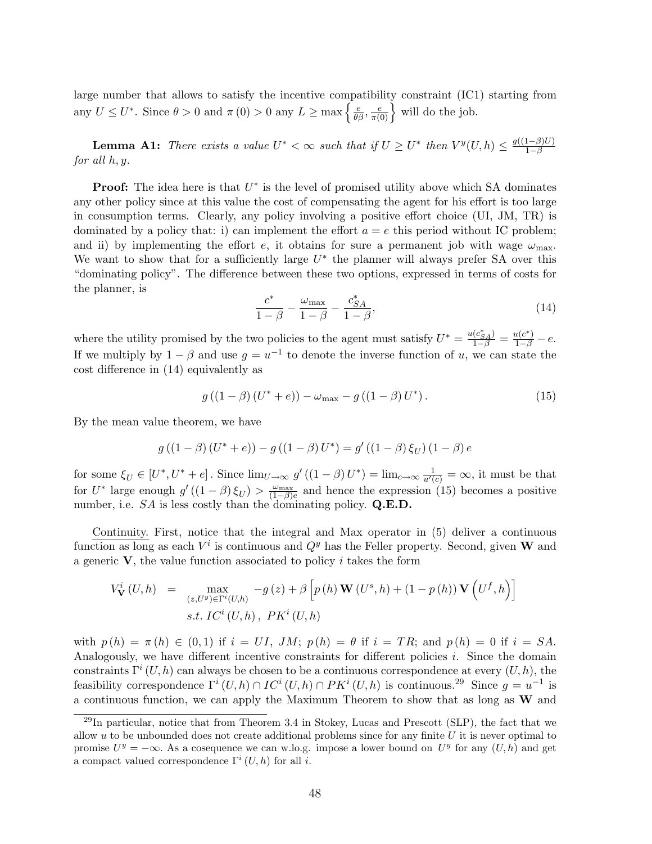large number that allows to satisfy the incentive compatibility constraint (IC1) starting from any  $U \leq U^*$ . Since  $\theta > 0$  and  $\pi(0) > 0$  any  $L \geq \max \left\{ \frac{e}{\theta \beta}, \frac{e}{\pi(0)} \right\}$ butty constraint (ICI)<br> $\frac{e}{\pi(0)}$  will do the job.

**Lemma A1:** There exists a value  $U^* < \infty$  such that if  $U \geq U^*$  then  $V^y(U, h) \leq \frac{g((1-\beta)U)}{1-\beta}$  $1-\beta$ for all h, y.

**Proof:** The idea here is that  $U^*$  is the level of promised utility above which SA dominates any other policy since at this value the cost of compensating the agent for his effort is too large in consumption terms. Clearly, any policy involving a positive effort choice (UI, JM, TR) is dominated by a policy that: i) can implement the effort  $a = e$  this period without IC problem; and ii) by implementing the effort e, it obtains for sure a permanent job with wage  $\omega_{\text{max}}$ . We want to show that for a sufficiently large  $U^*$  the planner will always prefer SA over this "dominating policy". The difference between these two options, expressed in terms of costs for the planner, is

$$
\frac{c^*}{1-\beta} - \frac{\omega_{\text{max}}}{1-\beta} - \frac{c_{SA}^*}{1-\beta},\tag{14}
$$

where the utility promised by the two policies to the agent must satisfy  $U^* = \frac{u(c^*_{SA})}{1-\beta} = \frac{u(c^*)}{1-\beta} - e$ . If we multiply by  $1 - \beta$  and use  $g = u^{-1}$  to denote the inverse function of u, we can state the cost difference in (14) equivalently as

$$
g((1 - \beta)(U^* + e)) - \omega_{\text{max}} - g((1 - \beta)U^*).
$$
 (15)

By the mean value theorem, we have

$$
g((1 - \beta) (U^* + e)) - g((1 - \beta) U^*) = g'((1 - \beta) \xi_U) (1 - \beta) e
$$

for some  $\xi_U \in [U^*, U^* + e]$ . Since  $\lim_{U \to \infty} g'((1 - \beta)U^*) = \lim_{c \to \infty} \frac{1}{u'(c)} = \infty$ , it must be that for  $U^*$  large enough  $g'((1-\beta)\xi_U) > \frac{\omega_{\text{max}}}{(1-\beta)e}$  and hence the expression (15) becomes a positive number, i.e.  $SA$  is less costly than the dominating policy.  $Q.E.D.$ 

Continuity. First, notice that the integral and Max operator in (5) deliver a continuous function as long as each  $V^i$  is continuous and  $Q^y$  has the Feller property. Second, given W and a generic  $V$ , the value function associated to policy i takes the form

$$
V_{\mathbf{V}}^{i}(U,h) = \max_{(z,U^{y}) \in \Gamma^{i}(U,h)} -g(z) + \beta \left[ p(h) \mathbf{W}(U^{s},h) + (1-p(h)) \mathbf{V}(U^{f},h) \right]
$$
  
s.t.  $IC^{i}(U,h), PK^{i}(U,h)$ 

with  $p(h) = \pi(h) \in (0,1)$  if  $i = UI$ , JM;  $p(h) = \theta$  if  $i = TR$ ; and  $p(h) = 0$  if  $i = SA$ . Analogously, we have different incentive constraints for different policies  $i$ . Since the domain constraints  $\Gamma^{i}(U, h)$  can always be chosen to be a continuous correspondence at every  $(U, h)$ , the feasibility correspondence  $\Gamma^i(U, h) \cap IC^i(U, h) \cap PK^i(U, h)$  is continuous.<sup>29</sup> Since  $g = u^{-1}$  is a continuous function, we can apply the Maximum Theorem to show that as long as W and

 $^{29}$ In particular, notice that from Theorem 3.4 in Stokey, Lucas and Prescott (SLP), the fact that we allow u to be unbounded does not create additional problems since for any finite  $U$  it is never optimal to promise  $U^y = -\infty$ . As a cosequence we can w.lo.g. impose a lower bound on  $U^y$  for any  $(U, h)$  and get a compact valued correspondence  $\Gamma^i(U, h)$  for all *i*.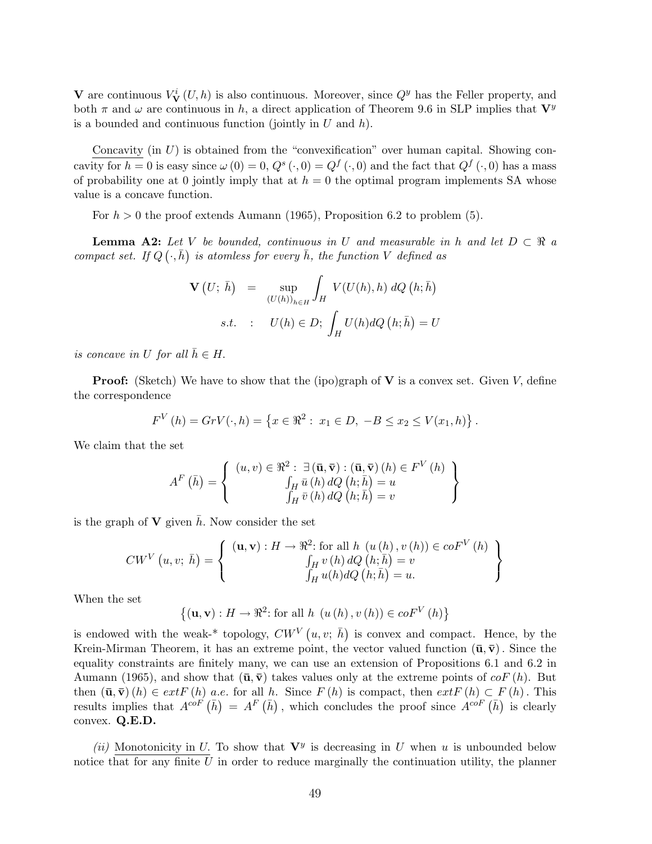V are continuous  $V^i_{\mathbf{V}}(U, h)$  is also continuous. Moreover, since  $Q^y$  has the Feller property, and both  $\pi$  and  $\omega$  are continuous in h, a direct application of Theorem 9.6 in SLP implies that  $\mathbf{V}^y$ is a bounded and continuous function (jointly in  $U$  and  $h$ ).

Concavity (in  $U$ ) is obtained from the "convexification" over human capital. Showing concavity for  $h = 0$  is easy since  $\omega(0) = 0$ ,  $Q^s(\cdot, 0) = Q^f(\cdot, 0)$  and the fact that  $Q^f(\cdot, 0)$  has a mass of probability one at 0 jointly imply that at  $h = 0$  the optimal program implements SA whose value is a concave function.

For  $h > 0$  the proof extends Aumann (1965), Proposition 6.2 to problem (5).

**Lemma A2:** Let V be bounded, continuous in U and measurable in h and let  $D \subset \Re$  a compact set. If  $Q(\cdot,\bar{h})$  is atomless for every  $\bar{h}$ , the function V defined as

$$
\mathbf{V}(U; \bar{h}) = \sup_{(U(h))_{h \in H}} \int_{H} V(U(h), h) dQ(h; \bar{h})
$$
  
s.t. :  $U(h) \in D; \int_{H} U(h) dQ(h; \bar{h}) = U$ 

is concave in U for all  $\bar{h} \in H$ .

**Proof:** (Sketch) We have to show that the (ipo)graph of  $V$  is a convex set. Given  $V$ , define the correspondence

$$
F^{V}(h) = GrV(\cdot, h) = \{x \in \Re^2 : x_1 \in D, -B \le x_2 \le V(x_1, h)\}.
$$

We claim that the set

$$
A^{F}(\bar{h}) = \left\{ \begin{array}{c} (u, v) \in \Re^{2} : \exists (\bar{\mathbf{u}}, \bar{\mathbf{v}}) : (\bar{\mathbf{u}}, \bar{\mathbf{v}}) (h) \in F^{V}(h) \\ \int_{H} \bar{u}(h) dQ(h; \bar{h}) = u \\ \int_{H} \bar{v}(h) dQ(h; \bar{h}) = v \end{array} \right\}
$$

is the graph of **V** given  $\bar{h}$ . Now consider the set

$$
CW^V(u, v; \bar{h}) = \left\{ \begin{array}{c} (\mathbf{u}, \mathbf{v}) : H \to \mathbb{R}^2 \text{: for all } h \ (u(h), v(h)) \in coF^V(h) \\ \int_H v(h) dQ(h; \bar{h}) = v \\ \int_H u(h) dQ(h; \bar{h}) = u. \end{array} \right\}
$$

When the set

$$
\{(\mathbf{u}, \mathbf{v}) : H \to \mathbb{R}^2 \colon \text{for all } h \ (u(h), v(h)) \in coF^V(h)\}
$$

is endowed with the weak-\* topology,  $CW^V(u, v; \bar{h})$ is convex and compact. Hence, by the Krein-Mirman Theorem, it has an extreme point, the vector valued function  $(\bar{\mathbf{u}}, \bar{\mathbf{v}})$ . Since the equality constraints are finitely many, we can use an extension of Propositions 6.1 and 6.2 in Aumann (1965), and show that  $(\bar{\mathbf{u}}, \bar{\mathbf{v}})$  takes values only at the extreme points of  $coF(h)$ . But then  $(\bar{\mathbf{u}}, \bar{\mathbf{v}})$   $(h) \in ext F(h)$  a.e. for all h. Since  $F(h)$  is compact, then  $ext F(h) \subset F(h)$ . This then  $(\mathbf{u}, \mathbf{v})$  (*h*)  $\in$  *extr* (*h*) *a.e.* for all *h*. Since *F* (*h*) is compact, then *extr* (*h*)  $\subset$  *F* results implies that  $A^{coF}(\bar{h}) = A^F(\bar{h})$ , which concludes the proof since  $A^{coF}(\bar{h})$ is clearly convex. Q.E.D.

(ii) Monotonicity in U. To show that  $V^y$  is decreasing in U when u is unbounded below notice that for any finite  $U$  in order to reduce marginally the continuation utility, the planner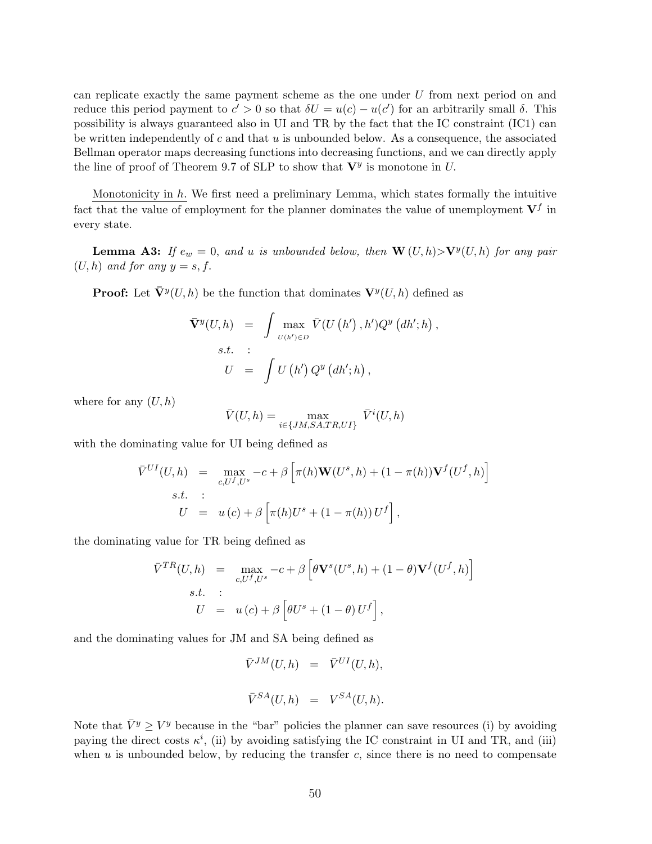can replicate exactly the same payment scheme as the one under U from next period on and reduce this period payment to  $c' > 0$  so that  $\delta U = u(c) - u(c')$  for an arbitrarily small  $\delta$ . This possibility is always guaranteed also in UI and TR by the fact that the IC constraint (IC1) can be written independently of c and that  $u$  is unbounded below. As a consequence, the associated Bellman operator maps decreasing functions into decreasing functions, and we can directly apply the line of proof of Theorem 9.7 of SLP to show that  $V^y$  is monotone in U.

Monotonicity in  $h$ . We first need a preliminary Lemma, which states formally the intuitive fact that the value of employment for the planner dominates the value of unemployment  $V^f$  in every state.

**Lemma A3:** If  $e_w = 0$ , and u is unbounded below, then  $\mathbf{W}(U, h) > \mathbf{V}^y(U, h)$  for any pair  $(U, h)$  and for any  $y = s, f$ .

**Proof:** Let  $\bar{\mathbf{V}}^y(U, h)$  be the function that dominates  $\mathbf{V}^y(U, h)$  defined as

$$
\overline{\mathbf{V}}^{y}(U,h) = \int \max_{U(h') \in D} \overline{V}(U(h'),h')Q^{y}\left(dh';h\right),
$$
  
s.t. :  

$$
U = \int U(h')Q^{y}\left(dh';h\right),
$$

where for any  $(U, h)$ 

$$
\bar{V}(U,h) = \max_{i \in \{JM, SA, TR, UI\}} \bar{V}^i(U,h)
$$

with the dominating value for UI being defined as

$$
\overline{V}^{UI}(U,h) = \max_{c, U^f, U^s} -c + \beta \left[ \pi(h) \mathbf{W}(U^s, h) + (1 - \pi(h)) \mathbf{V}^f(U^f, h) \right]
$$
  
s.t. :  

$$
U = u(c) + \beta \left[ \pi(h) U^s + (1 - \pi(h)) U^f \right],
$$

the dominating value for TR being defined as

$$
\overline{V}^{TR}(U,h) = \max_{c, U^f, U^s} -c + \beta \left[ \theta \mathbf{V}^s(U^s, h) + (1 - \theta) \mathbf{V}^f(U^f, h) \right]
$$
  
s.t. :  

$$
U = u(c) + \beta \left[ \theta U^s + (1 - \theta) U^f \right],
$$

and the dominating values for JM and SA being defined as

$$
\bar{V}^{JM}(U,h) = \bar{V}^{UI}(U,h),
$$
  

$$
\bar{V}^{SA}(U,h) = V^{SA}(U,h).
$$

Note that  $\bar{V}^y \geq V^y$  because in the "bar" policies the planner can save resources (i) by avoiding paying the direct costs  $\kappa^i$ , (ii) by avoiding satisfying the IC constraint in UI and TR, and (iii) when  $u$  is unbounded below, by reducing the transfer  $c$ , since there is no need to compensate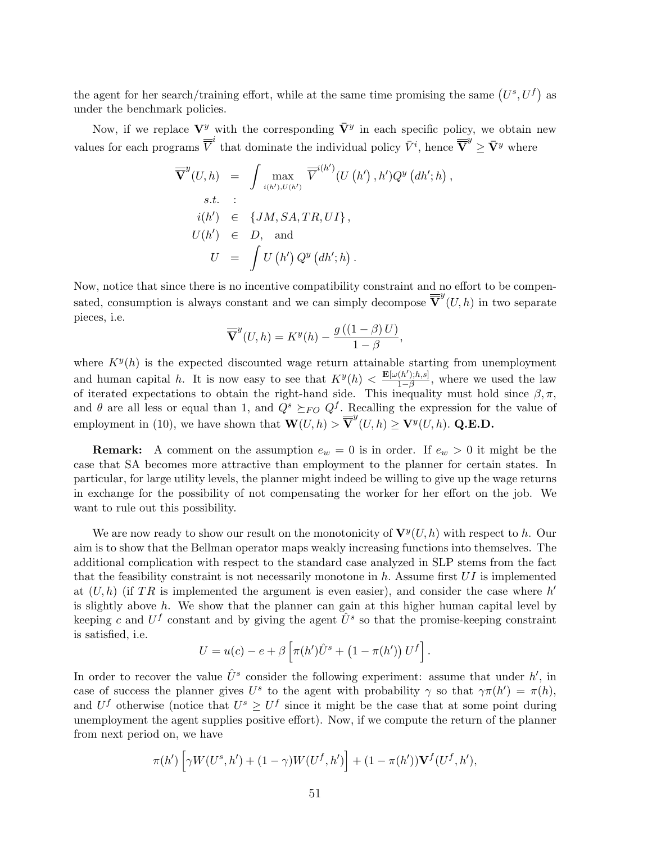the agent for her search/training effort, while at the same time promising the same  $(U^s, U^f)$ as under the benchmark policies.

Now, if we replace  $V^y$  with the corresponding  $\bar{V}^y$  in each specific policy, we obtain new values for each programs  $\overline{\overline{V}}^i$  that dominate the individual policy  $\overline{V}^i$ , hence  $\overline{\overline{V}}^y \geq \overline{V}^y$  where

,

$$
\overline{\nabla}^{y}(U, h) = \int \max_{i(h'), U(h')} \overline{\nabla}^{i(h')} (U(h'), h') Q^{y} (dh'; h)
$$
  
s.t. :  

$$
i(h') \in \{JM, SA, TR, UI\},
$$
  

$$
U(h') \in D, \text{ and}
$$
  

$$
U = \int U(h') Q^{y} (dh'; h).
$$

Now, notice that since there is no incentive compatibility constraint and no effort to be compensated, consumption is always constant and we can simply decompose  $\overline{\nabla}^y(U, h)$  in two separate pieces, i.e.

$$
\overline{\nabla}^y(U, h) = K^y(h) - \frac{g((1 - \beta)U)}{1 - \beta},
$$

where  $K^y(h)$  is the expected discounted wage return attainable starting from unemployment and human capital h. It is now easy to see that  $K^y(h) < \frac{\mathbf{E}[\omega(h');h,s]}{1-\beta}$  $\frac{(h');h,s]}{1-\beta}$ , where we used the law of iterated expectations to obtain the right-hand side. This inequality must hold since  $\beta, \pi$ , and  $\theta$  are all less or equal than 1, and  $Q^s \succeq_{FO} Q^f$ . Recalling the expression for the value of employment in (10), we have shown that  $\mathbf{W}(U, h) > \overline{\overline{\mathbf{V}}}^{y}(U, h) \geq \mathbf{V}^{y}(U, h)$ . Q.E.D.

**Remark:** A comment on the assumption  $e_w = 0$  is in order. If  $e_w > 0$  it might be the case that SA becomes more attractive than employment to the planner for certain states. In particular, for large utility levels, the planner might indeed be willing to give up the wage returns in exchange for the possibility of not compensating the worker for her effort on the job. We want to rule out this possibility.

We are now ready to show our result on the monotonicity of  $\mathbf{V}^y(U,h)$  with respect to h. Our aim is to show that the Bellman operator maps weakly increasing functions into themselves. The additional complication with respect to the standard case analyzed in SLP stems from the fact that the feasibility constraint is not necessarily monotone in h. Assume first  $UI$  is implemented at  $(U, h)$  (if TR is implemented the argument is even easier), and consider the case where  $h'$ is slightly above h. We show that the planner can gain at this higher human capital level by keeping c and  $U^f$  constant and by giving the agent  $\hat{U}^s$  so that the promise-keeping constraint is satisfied, i.e. h i

$$
U = u(c) - e + \beta \left[ \pi(h')\hat{U}^s + (1 - \pi(h')) U^f \right].
$$

In order to recover the value  $\hat{U}^s$  consider the following experiment: assume that under  $h'$ , in case of success the planner gives  $U^s$  to the agent with probability  $\gamma$  so that  $\gamma \pi(h') = \pi(h)$ , and  $U^f$  otherwise (notice that  $U^s \geq U^f$  since it might be the case that at some point during unemployment the agent supplies positive effort). Now, if we compute the return of the planner from next period on, we have

$$
\pi(h')\left[\gamma W(U^s,h')+(1-\gamma)W(U^f,h')\right]+(1-\pi(h'))\mathbf{V}^f(U^f,h'),
$$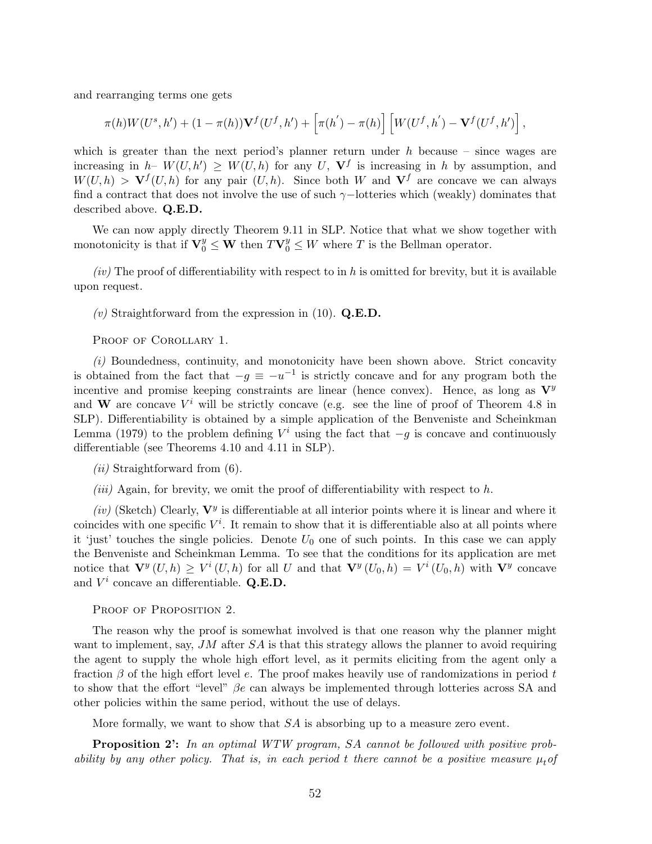and rearranging terms one gets

$$
\pi(h)W(U^s,h')+(1-\pi(h))\mathbf{V}^f(U^f,h')+\left[\pi(h')-\pi(h)\right]\left[W(U^f,h')-\mathbf{V}^f(U^f,h')\right],
$$

which is greater than the next period's planner return under  $h$  because – since wages are increasing in  $h$ -  $W(U, h') \geq W(U, h)$  for any U,  $V^f$  is increasing in h by assumption, and  $W(U, h) > V^f(U, h)$  for any pair  $(U, h)$ . Since both W and  $V^f$  are concave we can always find a contract that does not involve the use of such  $\gamma$ -lotteries which (weakly) dominates that described above. Q.E.D.

We can now apply directly Theorem 9.11 in SLP. Notice that what we show together with monotonicity is that if  $\mathbf{V}_0^y \leq \mathbf{W}$  then  $T\mathbf{V}_0^y \leq W$  where T is the Bellman operator.

 $(iv)$  The proof of differentiability with respect to in h is omitted for brevity, but it is available upon request.

(v) Straightforward from the expression in (10).  $Q.E.D.$ 

PROOF OF COROLLARY 1.

 $(i)$  Boundedness, continuity, and monotonicity have been shown above. Strict concavity is obtained from the fact that  $-g \equiv -u^{-1}$  is strictly concave and for any program both the incentive and promise keeping constraints are linear (hence convex). Hence, as long as  $\mathbf{V}^y$ and W are concave  $V^i$  will be strictly concave (e.g. see the line of proof of Theorem 4.8 in SLP). Differentiability is obtained by a simple application of the Benveniste and Scheinkman Lemma (1979) to the problem defining  $V^i$  using the fact that  $-g$  is concave and continuously differentiable (see Theorems 4.10 and 4.11 in SLP).

 $(ii)$  Straightforward from  $(6)$ .

(*iii*) Again, for brevity, we omit the proof of differentiability with respect to h.

(iv) (Sketch) Clearly,  $V^y$  is differentiable at all interior points where it is linear and where it coincides with one specific  $V^i$ . It remain to show that it is differentiable also at all points where it 'just' touches the single policies. Denote  $U_0$  one of such points. In this case we can apply the Benveniste and Scheinkman Lemma. To see that the conditions for its application are met notice that  $\mathbf{V}^y(U,h) \geq V^i(U,h)$  for all U and that  $\mathbf{V}^y(U_0,h) = V^i(U_0,h)$  with  $\mathbf{V}^y$  concave and  $V^i$  concave an differentiable. Q.E.D.

PROOF OF PROPOSITION 2.

The reason why the proof is somewhat involved is that one reason why the planner might want to implement, say, JM after  $SA$  is that this strategy allows the planner to avoid requiring the agent to supply the whole high effort level, as it permits eliciting from the agent only a fraction  $\beta$  of the high effort level e. The proof makes heavily use of randomizations in period t to show that the effort "level"  $\beta e$  can always be implemented through lotteries across SA and other policies within the same period, without the use of delays.

More formally, we want to show that SA is absorbing up to a measure zero event.

**Proposition 2':** In an optimal WTW program, SA cannot be followed with positive probability by any other policy. That is, in each period t there cannot be a positive measure  $\mu_t$  of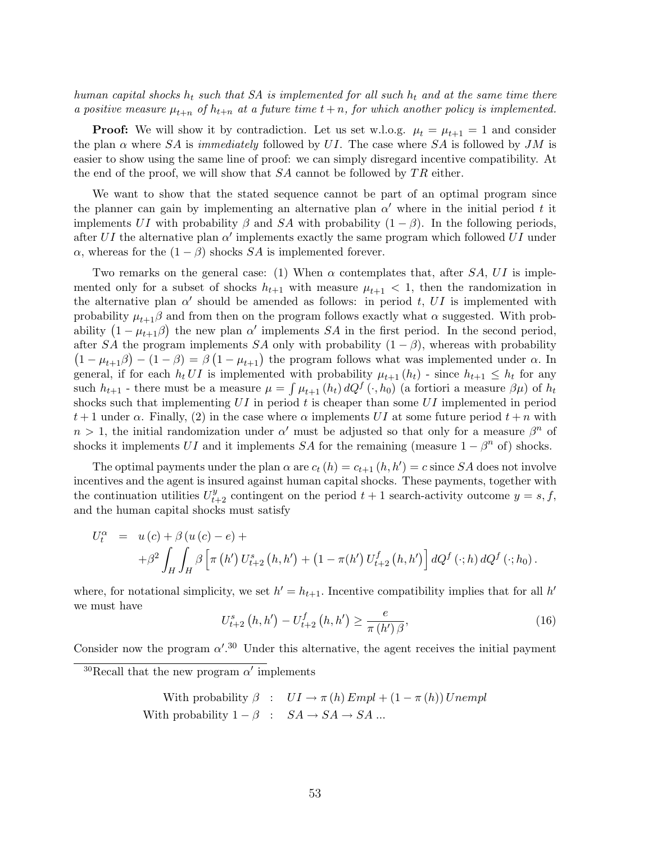human capital shocks  $h_t$  such that SA is implemented for all such  $h_t$  and at the same time there a positive measure  $\mu_{t+n}$  of  $h_{t+n}$  at a future time  $t+n$ , for which another policy is implemented.

**Proof:** We will show it by contradiction. Let us set w.l.o.g.  $\mu_t = \mu_{t+1} = 1$  and consider the plan  $\alpha$  where SA is immediately followed by UI. The case where SA is followed by JM is easier to show using the same line of proof: we can simply disregard incentive compatibility. At the end of the proof, we will show that  $SA$  cannot be followed by  $TR$  either.

We want to show that the stated sequence cannot be part of an optimal program since the planner can gain by implementing an alternative plan  $\alpha'$  where in the initial period t it implements UI with probability  $\beta$  and SA with probability  $(1 - \beta)$ . In the following periods, after UI the alternative plan  $\alpha'$  implements exactly the same program which followed UI under  $\alpha$ , whereas for the  $(1 - \beta)$  shocks SA is implemented forever.

Two remarks on the general case: (1) When  $\alpha$  contemplates that, after SA, UI is implemented only for a subset of shocks  $h_{t+1}$  with measure  $\mu_{t+1} < 1$ , then the randomization in the alternative plan  $\alpha'$  should be amended as follows: in period t, UI is implemented with probability  $\mu_{t+1}\beta$  and from then on the program follows exactly what  $\alpha$  suggested. With probprobability  $\mu_{t+1}$  and from then on the program follows exactly what  $\alpha$  suggested. With probability  $(1 - \mu_{t+1}\beta)$  the new plan  $\alpha'$  implements  $SA$  in the first period. In the second period, after SA the program implements SA only with probability  $(1 - \beta)$ , whereas with probability Their SA the program implements SA only with probability  $(1 - \beta)$ , whereas with probability  $1 - \mu_{t+1}\beta$   $- (1 - \beta) = \beta (1 - \mu_{t+1})$  the program follows what was implemented under  $\alpha$ . In general, if for each  $h_t U I$  is implemented with probability  $\mu_{t+1}(h_t)$  - since  $h_{t+1} \leq h_t$  for any such  $h_{t+1}$  - there must be a measure  $\mu = \int \mu_{t+1} (h_t) dQ^f(\cdot, h_0)$  (a fortiori a measure  $\beta \mu$ ) of  $h_t$ shocks such that implementing  $UI$  in period t is cheaper than some  $UI$  implemented in period  $t+1$  under  $\alpha$ . Finally, (2) in the case where  $\alpha$  implements UI at some future period  $t+n$  with  $n > 1$ , the initial randomization under  $\alpha'$  must be adjusted so that only for a measure  $\beta^n$  of shocks it implements UI and it implements SA for the remaining (measure  $1 - \beta^n$  of) shocks.

The optimal payments under the plan  $\alpha$  are  $c_t(h) = c_{t+1}(h, h') = c$  since SA does not involve incentives and the agent is insured against human capital shocks. These payments, together with the continuation utilities  $U_{t+2}^y$  contingent on the period  $t+1$  search-activity outcome  $y = s, f$ , and the human capital shocks must satisfy

$$
U_t^{\alpha} = u(c) + \beta (u(c) - e) ++ \beta^2 \int_H \int_H \beta \left[ \pi (h') U_{t+2}^s (h, h') + (1 - \pi (h') U_{t+2}^f (h, h') \right] dQ^f (\cdot; h) dQ^f (\cdot; h_0).
$$

where, for notational simplicity, we set  $h' = h_{t+1}$ . Incentive compatibility implies that for all  $h'$ we must have ¢ ¢

$$
U_{t+2}^{s}(h, h') - U_{t+2}^{f}(h, h') \ge \frac{e}{\pi (h')\beta},
$$
\n(16)

Consider now the program  $\alpha'$ .<sup>30</sup> Under this alternative, the agent receives the initial payment

With probability 
$$
\beta
$$
 :  $UI \rightarrow \pi(h) \text{Empl} + (1 - \pi(h)) \text{Unempl}$   
With probability  $1 - \beta$  :  $SA \rightarrow SA \rightarrow SA \dots$ 

<sup>&</sup>lt;sup>30</sup>Recall that the new program  $\alpha'$  implements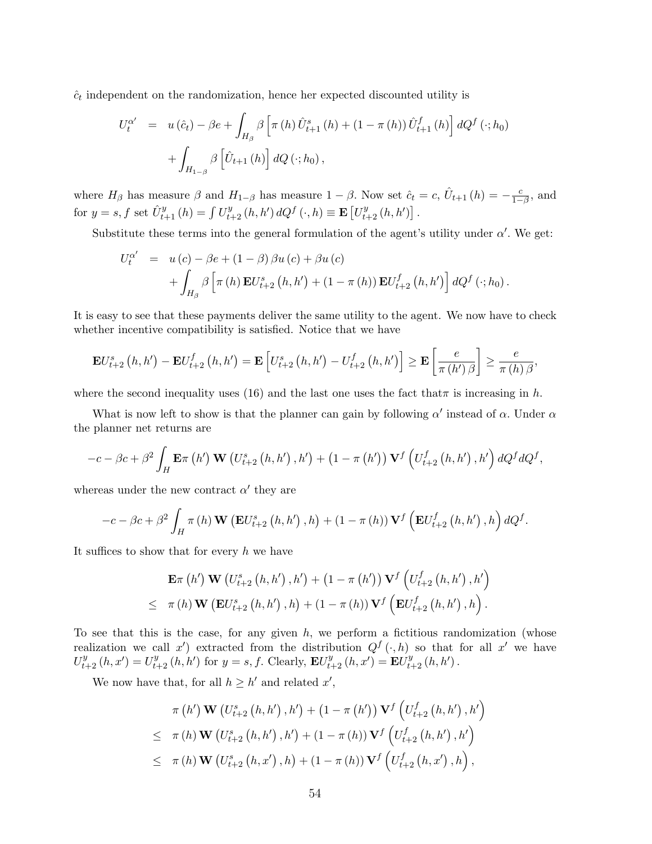$\hat{c}_t$  independent on the randomization, hence her expected discounted utility is

$$
U_t^{\alpha'} = u(\hat{c}_t) - \beta e + \int_{H_{\beta}} \beta \left[ \pi(h) \hat{U}_{t+1}^s (h) + (1 - \pi(h)) \hat{U}_{t+1}^f (h) \right] dQ^f (\cdot; h_0) + \int_{H_{1-\beta}} \beta \left[ \hat{U}_{t+1} (h) \right] dQ (\cdot; h_0),
$$

where  $H_{\beta}$  has measure  $\beta$  and  $H_{1-\beta}$  has measure  $1-\beta$ . Now set  $\hat{c}_t = c$ ,  $\hat{U}_{t+1}(h) = -\frac{c}{1-\beta}$ 3. Now set  $\hat{c}_t = c$ ,  $\hat{U}_{t+1}(h) = -\frac{c}{1-\beta}$ , and for  $y = s, f$  set  $\hat{U}_{t+1}^y(h) = \int U_{t+2}^y(h, h') dQ^f(\cdot, h) \equiv \mathbf{E}\left[U_{t+2}^y(h, h')\right]$ .

Substitute these terms into the general formulation of the agent's utility under  $\alpha'$ . We get:

$$
U_t^{\alpha'} = u(c) - \beta e + (1 - \beta) \beta u(c) + \beta u(c) + \int_{H_{\beta}} \beta \left[ \pi(h) \mathbf{E} U_{t+2}^s (h, h') + (1 - \pi(h)) \mathbf{E} U_{t+2}^f (h, h') \right] dQ^f (\cdot; h_0).
$$

It is easy to see that these payments deliver the same utility to the agent. We now have to check whether incentive compatibility is satisfied. Notice that we have

$$
\mathbf{E}U_{t+2}^{s}\left(h,h^{\prime}\right)-\mathbf{E}U_{t+2}^{f}\left(h,h^{\prime}\right)=\mathbf{E}\left[U_{t+2}^{s}\left(h,h^{\prime}\right)-U_{t+2}^{f}\left(h,h^{\prime}\right)\right]\geq\mathbf{E}\left[\frac{e}{\pi\left(h^{\prime}\right)\beta}\right]\geq\frac{e}{\pi\left(h\right)\beta},
$$

where the second inequality uses (16) and the last one uses the fact that  $\pi$  is increasing in h.

What is now left to show is that the planner can gain by following  $\alpha'$  instead of  $\alpha$ . Under  $\alpha$ the planner net returns are

$$
-c - \beta c + \beta^2 \int_H \mathbf{E} \pi \left( h' \right) \mathbf{W} \left( U_{t+2}^s \left( h, h' \right), h' \right) + \left( 1 - \pi \left( h' \right) \right) \mathbf{V}^f \left( U_{t+2}^f \left( h, h' \right), h' \right) dQ^f dQ^f,
$$

whereas under the new contract  $\alpha'$  they are

$$
-c - \beta c + \beta^2 \int_H \pi(h) \mathbf{W} \left( \mathbf{E} U_{t+2}^s \left( h, h' \right), h \right) + (1 - \pi(h)) \mathbf{V}^f \left( \mathbf{E} U_{t+2}^f \left( h, h' \right), h \right) dQ^f.
$$

It suffices to show that for every  $h$  we have

$$
\mathbf{E}\pi(h')\mathbf{W}(U_{t+2}^{s}(h,h'),h') + (1-\pi(h'))\mathbf{V}^{f}(U_{t+2}^{f}(h,h'),h')\leq \pi(h)\mathbf{W}(\mathbf{E}U_{t+2}^{s}(h,h'),h) + (1-\pi(h))\mathbf{V}^{f}(\mathbf{E}U_{t+2}^{f}(h,h'),h).
$$

To see that this is the case, for any given  $h$ , we perform a fictitious randomization (whose realization we call x') extracted from the distribution  $Q^f(\cdot, h)$  so that for all x' we have  $U_{t+2}^y(h, x') = U_{t+2}^y(h, h')$  for  $y = s, f$ . Clearly,  $\mathbf{E}U_{t+2}^y(h, x') = \mathbf{E}U_{t+2}^y(h, h')$ .

We now have that, for all  $h \geq h'$  and related  $x'$ ,

$$
\pi(h') \mathbf{W}(U_{t+2}^{s}(h,h'),h') + (1 - \pi(h')) \mathbf{V}^{f}(U_{t+2}^{f}(h,h'),h')
$$
  
\n
$$
\leq \pi(h) \mathbf{W}(U_{t+2}^{s}(h,h'),h') + (1 - \pi(h)) \mathbf{V}^{f}(U_{t+2}^{f}(h,h'),h')
$$
  
\n
$$
\leq \pi(h) \mathbf{W}(U_{t+2}^{s}(h,x'),h) + (1 - \pi(h)) \mathbf{V}^{f}(U_{t+2}^{f}(h,x'),h),
$$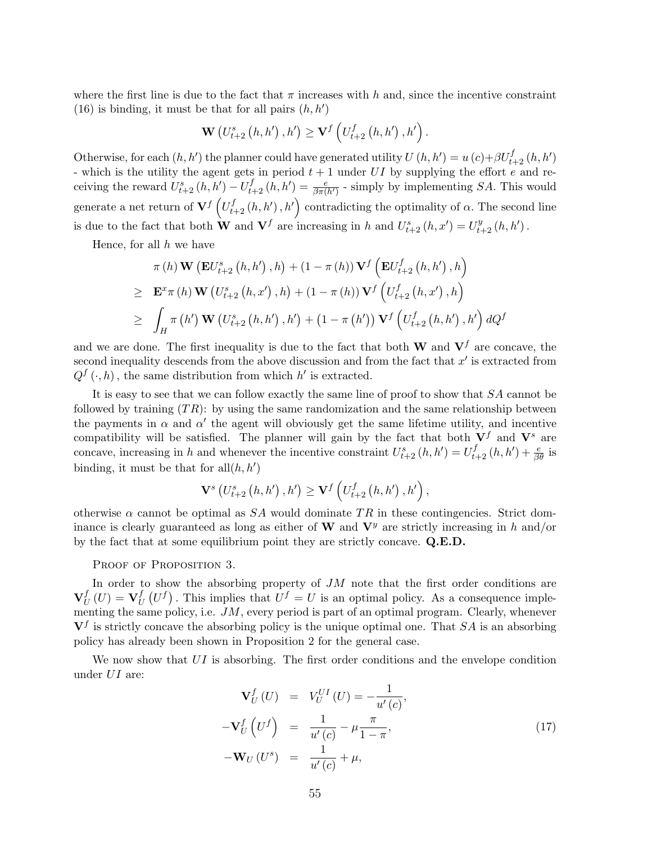where the first line is due to the fact that  $\pi$  increases with h and, since the incentive constraint (16) is binding, it must be that for all pairs  $(h, h')$ 

$$
\mathbf{W}\left(U_{t+2}^{s}\left(h,h'\right),h'\right)\geq\mathbf{V}^{f}\left(U_{t+2}^{f}\left(h,h'\right),h'\right).
$$

Otherwise, for each  $(h, h')$  the planner could have generated utility  $U(h, h') = u(c) + \beta U_{t+2}^f(h, h')$ - which is the utility the agent gets in period  $t + 1$  under UI by supplying the effort e and receiving the reward  $U_{t+2}^s(h, h') - U_{t+2}^f(h, h') = \frac{e}{\beta \pi(h')}$  - simply by implementing SA. This would generate a net return of  ${\bf V}^f\left(U_{t+2}^f\left(h,h'\right),h'\right)$  contradicting the optimality of  $\alpha$ . The second line is due to the fact that both **W** and  $\mathbf{V}^f$  are increasing in h and  $U_{t+2}^s(h, x') = U_{t+2}^y(h, h')$ .

Hence, for all  $h$  we have

$$
\pi(h) \mathbf{W} (\mathbf{E}U_{t+2}^{s}(h,h'), h) + (1 - \pi(h)) \mathbf{V}^{f} (\mathbf{E}U_{t+2}^{f}(h,h'), h)
$$
  
\n
$$
\geq \mathbf{E}^{x} \pi(h) \mathbf{W} (U_{t+2}^{s}(h,x'), h) + (1 - \pi(h)) \mathbf{V}^{f} (U_{t+2}^{f}(h,x'), h)
$$
  
\n
$$
\geq \int_{H} \pi(h') \mathbf{W} (U_{t+2}^{s}(h,h'), h') + (1 - \pi(h')) \mathbf{V}^{f} (U_{t+2}^{f}(h,h'), h') dQ^{f}
$$

and we are done. The first inequality is due to the fact that both **W** and  $V<sup>f</sup>$  are concave, the second inequality descends from the above discussion and from the fact that  $x'$  is extracted from  $Q^{f}(\cdot,h)$ , the same distribution from which h' is extracted.

It is easy to see that we can follow exactly the same line of proof to show that  $SA$  cannot be followed by training  $(T_R)$ : by using the same randomization and the same relationship between the payments in  $\alpha$  and  $\alpha'$  the agent will obviously get the same lifetime utility, and incentive compatibility will be satisfied. The planner will gain by the fact that both  $V^f$  and  $V^s$  are concave, increasing in h and whenever the incentive constraint  $U_{t+2}^s(h, h') = U_{t+2}^f(h, h') + \frac{e}{\beta \theta}$  is binding, it must be that for  $all(h, h')$ 

$$
\mathbf{V}^{s}\left(U_{t+2}^{s}\left(h,h'\right),h'\right)\geq\mathbf{V}^{f}\left(U_{t+2}^{f}\left(h,h'\right),h'\right),
$$

otherwise  $\alpha$  cannot be optimal as SA would dominate TR in these contingencies. Strict dominance is clearly guaranteed as long as either of W and  $V<sup>y</sup>$  are strictly increasing in h and/or by the fact that at some equilibrium point they are strictly concave. Q.E.D.

PROOF OF PROPOSITION 3.

In order to show the absorbing property of  $JM$  note that the first order conditions are  $\mathbf{V}^f_I$  $_{U}^{f}\left( U\right) =\mathbf{V}_{U}^{f}$  $U(U^f)$ . This implies that  $U^f = U$  is an optimal policy. As a consequence implementing the same policy, i.e.  $JM$ , every period is part of an optimal program. Clearly, whenever  $V<sup>f</sup>$  is strictly concave the absorbing policy is the unique optimal one. That SA is an absorbing policy has already been shown in Proposition 2 for the general case.

We now show that  $UI$  is absorbing. The first order conditions and the envelope condition under UI are:

$$
\mathbf{V}_U^f(U) = V_U^{UI}(U) = -\frac{1}{u'(c)},
$$
  
\n
$$
-\mathbf{V}_U^f\left(U^f\right) = \frac{1}{u'(c)} - \mu \frac{\pi}{1-\pi},
$$
  
\n
$$
-\mathbf{W}_U(U^s) = \frac{1}{u'(c)} + \mu,
$$
\n(17)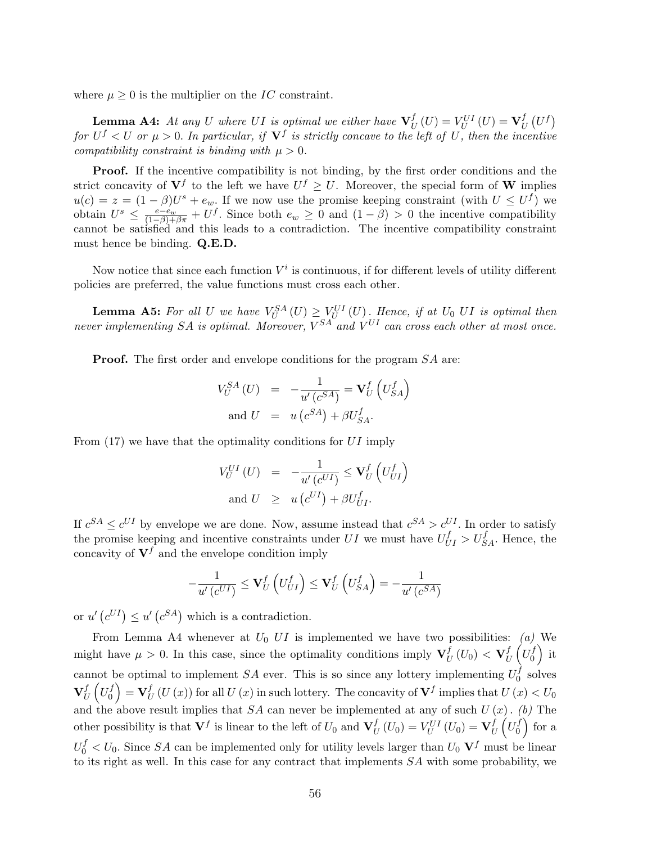where  $\mu > 0$  is the multiplier on the IC constraint.

**Lemma A4:** At any U where UI is optimal we either have  $V_I^f$  $U_U^f(U) = V_U^{UI}(U) = \mathbf{V}_U^f$  $\boldsymbol{U}$ ¡  $U^f$ for  $U^f < U$  or  $\mu > 0$ . In particular, if  $\mathbf{V}^f$  is strictly concave to the left of U, then the incentive compatibility constraint is binding with  $\mu > 0$ .

Proof. If the incentive compatibility is not binding, by the first order conditions and the strict concavity of  $V^f$  to the left we have  $U^f \geq U$ . Moreover, the special form of W implies  $u(c) = z = (1 - \beta)U^s + e_w$ . If we now use the promise keeping constraint (with  $U \leq U^f$ ) we obtain  $U^s \n\t\leq \frac{e-e_w}{(1-\beta)+\beta\pi} + U^f$ . Since both  $e_w \geq 0$  and  $(1-\beta) > 0$  the incentive compatibility cannot be satisfied and this leads to a contradiction. The incentive compatibility constraint must hence be binding. Q.E.D.

Now notice that since each function  $V^i$  is continuous, if for different levels of utility different policies are preferred, the value functions must cross each other.

**Lemma A5:** For all U we have  $V_U^{SA}(U) \geq V_U^{UI}(U)$ . Hence, if at  $U_0$  UI is optimal then never implementing SA is optimal. Moreover,  $V^{SA}$  and  $V^{UI}$  can cross each other at most once.

**Proof.** The first order and envelope conditions for the program  $SA$  are:

$$
V_U^{SA} (U) = -\frac{1}{u'(c^{SA})} = \mathbf{V}_U^f (U_{SA}^f)
$$
  
and 
$$
U = u (c^{SA}) + \beta U_{SA}^f.
$$

From (17) we have that the optimality conditions for UI imply

$$
V_U^{UI}(U) = -\frac{1}{u'(c^{UI})} \leq \mathbf{V}_U^f \left( U_{UI}^f \right)
$$
  
and 
$$
U \geq u (c^{UI}) + \beta U_{UI}^f.
$$

If  $c^{SA} \leq c^{UI}$  by envelope we are done. Now, assume instead that  $c^{SA} > c^{UI}$ . In order to satisfy the promise keeping and incentive constraints under UI we must have  $U_{UI}^f > U_{SA}^f$ . Hence, the concavity of  $V^f$  and the envelope condition imply

$$
-\frac{1}{u'\left(c^{UI}\right)} \leq \mathbf{V}_{U}^{f}\left(U_{UI}^{f}\right) \leq \mathbf{V}_{U}^{f}\left(U_{SA}^{f}\right) = -\frac{1}{u'\left(c^{SA}\right)}
$$

or  $u'$  (  $c^{UI}$ )  $\leq u'$  (  $c^{SA}$ ) which is a contradiction.

From Lemma A4 whenever at  $U_0$  UI is implemented we have two possibilities: (a) We might have  $\mu > 0$ . In this case, since the optimality conditions imply  $\mathbf{V}_I^f$  $_{U}^{f}\left( U_{0}\right) <\mathbf{V}_{U}^{f}$  $_{U}^{f}\left( U_{0}^{f}\right)$  $\left(\begin{smallmatrix}J\0\end{smallmatrix}\right)$  it cannot be optimal to implement SA ever. This is so since any lottery implementing  $U_0^f$ not be optimal to implement  $SA$  ever. This is so since any lottery implementing  $U_0^J$  solves  $\mathbf{V}^f_I$  $_{U}^{f}\left( U_{0}^{f}\right)$  $\left(\begin{smallmatrix} f \ 0 \end{smallmatrix}\right) = \mathbf{V}^f_U$  $U_U^f(U(x))$  for all  $U(x)$  in such lottery. The concavity of  $\mathbf{V}^f$  implies that  $U(x) < U_0$ and the above result implies that  $SA$  can never be implemented at any of such  $U(x)$ . (b) The other possibility is that  $V^f$  is linear to the left of  $U_0$  and  $V^f_L$  $U_U^f\left(U_0\right)=V_U^{UI}\left(U_0\right)=\mathbf{V}_U^f$ U  $\stackrel{?}{\cdot}$  $U_0^f$  $\boldsymbol{0}$  $\frac{b}{\sqrt{2}}$ for a  $U_0^f < U_0$ . Since SA can be implemented only for utility levels larger than  $U_0$   $V^f$  must be linear to its right as well. In this case for any contract that implements SA with some probability, we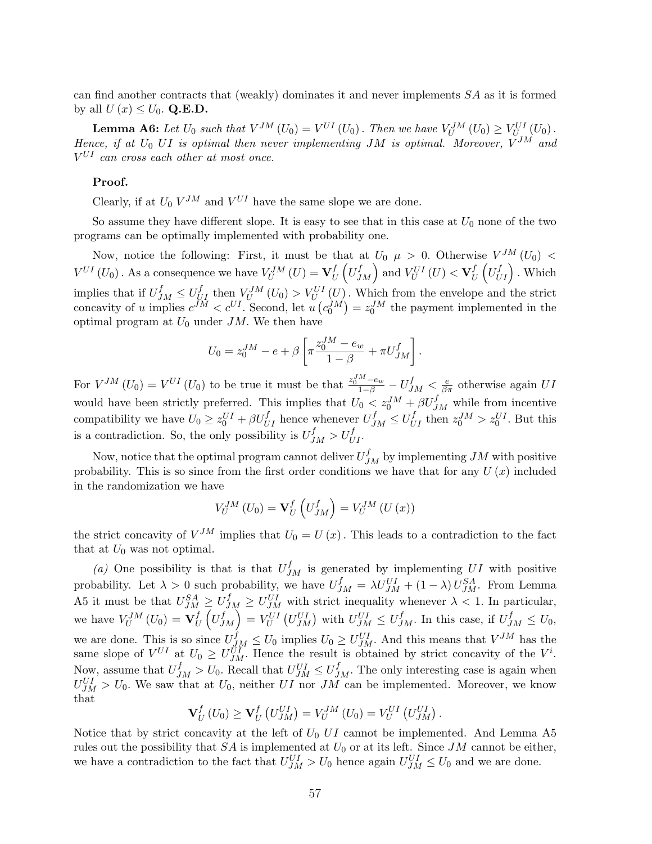can find another contracts that (weakly) dominates it and never implements  $SA$  as it is formed by all  $U(x) \leq U_0$ . Q.E.D.

**Lemma A6:** Let  $U_0$  such that  $V^{JM}(U_0) = V^{UI}(U_0)$ . Then we have  $V^{JM}_U(U_0) \geq V^{UI}_{U_{\infty}}(U_0)$ . Hence, if at  $U_0$  UI is optimal then never implementing JM is optimal. Moreover,  $V^{JM}$  and  $V^{UI}$  can cross each other at most once.

#### Proof.

Clearly, if at  $U_0 V^{JM}$  and  $V^{UI}$  have the same slope we are done.

So assume they have different slope. It is easy to see that in this case at  $U_0$  none of the two programs can be optimally implemented with probability one.

Now, notice the following: First, it must be that at  $U_0$   $\mu > 0$ . Otherwise  $V^{JM}(U_0)$  <  $V^{UI}\left( U_{0}\right) .$  As a consequence we have  $V_{U}^{JM}\left( U\right) =\mathbf{V}_{U}^{f}$  $_{U}^{f}\left( U_{J}^{f}\right)$ at  $U_0$   $\mu > 0$ . Otherwish  $_{U}^{f}\left( U_{U}^{f}\right)$  $\begin{array}{l} \binom{f}{U_1} \leq \ \binom{f}{U} \end{array}$ . Which implies that if  $U_{JM}^f \leq U_{UI}^f$  then  $V_U^{JM}(U_0) > V_U^{UI}(U)$ . Which from the envelope and the strict concavity of u implies  $c^{jM} < c^{UI}$ . Second, let u ¡  $c_0^{JM}$ ¢  $=z_0^{JM}$  the payment implemented in the optimal program at  $U_0$  under JM. We then have

$$
U_0 = z_0^{JM} - e + \beta \left[ \pi \frac{z_0^{JM} - e_w}{1 - \beta} + \pi U_{JM}^f \right].
$$

For  $V^{JM}(U_0) = V^{UI}(U_0)$  to be true it must be that  $\frac{z_0^{JM}-e_w}{1-\beta} - U^{f}_{JM} < \frac{e}{\beta \pi}$  otherwise again UI would have been strictly preferred. This implies that  $U_0 < z_0^{JM} + \beta U_{JM}^f$  while from incentive compatibility we have  $U_0 \ge z_0^{UI} + \beta U_{UI}^f$  hence whenever  $U_{JM}^f \le U_{UI}^f$  then  $z_0^{JI} > z_0^{UI}$ . But this is a contradiction. So, the only possibility is  $U_{JM}^f > U_{UI}^f$ .

Now, notice that the optimal program cannot deliver  $U_{JM}^f$  by implementing  $JM$  with positive probability. This is so since from the first order conditions we have that for any  $U(x)$  included in the randomization we have

$$
V_U^{JM}(U_0) = \mathbf{V}_U^f\left(U_{JM}^f\right) = V_U^{JM}\left(U\left(x\right)\right)
$$

the strict concavity of  $V^{JM}$  implies that  $U_0 = U(x)$ . This leads to a contradiction to the fact that at  $U_0$  was not optimal.

(a) One possibility is that is that  $U_{JM}^f$  is generated by implementing UI with positive probability. Let  $\lambda > 0$  such probability, we have  $U_{JM}^f = \lambda U_{JM}^{UI} + (1 - \lambda) U_{JM}^{SA}$ . From Lemma A5 it must be that  $U_{JM}^{SA} \geq U_{JM}^{f} \geq U_{JM}^{UI}$  with strict inequality whenever  $\lambda < 1$ . In particular, we have  $V_U^{JM} (U_0) = \mathbf{V}_U^f$ U  $\leq$  $U_I^f$  $\begin{pmatrix} U_{JM} & \leq U_{JM} \ f_M \end{pmatrix} = V_U^{UI}$ ¡  $U_{JM}^{UI}$  with  $U_{JM}^{UI} \leq U_{JM}^{f}$ . In this case, if  $U_{JM}^{f} \leq U_{0}$ , we are done. This is so since  $U_{JM}^f \leq U_0$  implies  $U_0 \geq U_{JM}^{UI}$ . And this means that  $V^{JM}$  has the same slope of  $V^{UI}$  at  $U_0 \geq U_{JM}^{UI}$ . Hence the result is obtained by strict concavity of the  $V^i$ . Now, assume that  $U_{JM}^f > U_0$ . Recall that  $U_{JM}^{UI} \leq U_{JM}^f$ . The only interesting case is again when  $U_{JM}^{UI} > U_0$ . We saw that at  $U_0$ , neither UI nor JM can be implemented. Moreover, we know that ¡ ¡

$$
\mathbf{V}_U^f\left(U_0\right) \geq \mathbf{V}_U^f\left(U_{JM}^{UI}\right) = V_U^{JM}\left(U_0\right) = V_U^{UI}\left(U_{JM}^{UI}\right).
$$

Notice that by strict concavity at the left of  $U_0$  UI cannot be implemented. And Lemma A5 rules out the possibility that  $SA$  is implemented at  $U_0$  or at its left. Since  $JM$  cannot be either, we have a contradiction to the fact that  $U_{JM}^{UI} > U_0$  hence again  $U_{JM}^{UI} \leq U_0$  and we are done.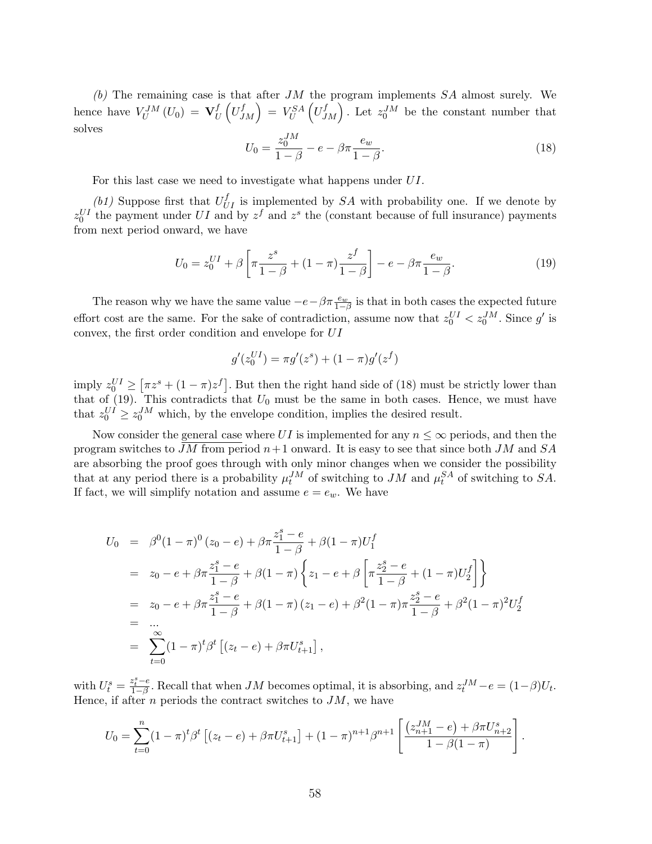(b) The remaining case is that after  $JM$  the program implements  $SA$  almost surely. We hence have  $V_U^{JM}(U_0) = \mathbf{V}_U^f$  $_{U}^{f}\left( U_{J}^{f}\right)$  $\begin{pmatrix} f \\ JM \end{pmatrix} = V^{SA}_U \left( U^{f}_J \right)$  $J_M$ . Let  $z_0^{JM}$  be the constant number that solves

$$
U_0 = \frac{z_0^{JM}}{1 - \beta} - e - \beta \pi \frac{e_w}{1 - \beta}.
$$
\n(18)

For this last case we need to investigate what happens under UI.

(b1) Suppose first that  $U_{UI}^f$  is implemented by SA with probability one. If we denote by  $z_0^{UI}$  the payment under UI and by  $z^f$  and  $z^s$  the (constant because of full insurance) payments from next period onward, we have

$$
U_0 = z_0^{UI} + \beta \left[ \pi \frac{z^s}{1 - \beta} + (1 - \pi) \frac{z^f}{1 - \beta} \right] - e - \beta \pi \frac{e_w}{1 - \beta}.
$$
 (19)

The reason why we have the same value  $-e - \beta \pi \frac{e_w}{1-\beta}$  is that in both cases the expected future effort cost are the same. For the sake of contradiction, assume now that  $z_0^{UI} < z_0^{JM}$ . Since  $g'$  is convex, the first order condition and envelope for UI

$$
g'(z_0^{UI}) = \pi g'(z^s) + (1 - \pi)g'(z^f)
$$

imply  $z_0^{UI} \geq$  $\left[ \pi z^s + (1-\pi)z^f \right]$ . But then the right hand side of (18) must be strictly lower than that of  $(19)$ . This contradicts that  $U_0$  must be the same in both cases. Hence, we must have that  $z_0^{UI} \ge z_0^{JM}$  which, by the envelope condition, implies the desired result.

Now consider the general case where UI is implemented for any  $n \leq \infty$  periods, and then the program switches to JM from period  $n+1$  onward. It is easy to see that since both JM and SA are absorbing the proof goes through with only minor changes when we consider the possibility that at any period there is a probability  $\mu_t^{JM}$  of switching to  $JM$  and  $\mu_t^{SA}$  of switching to  $SA$ . If fact, we will simplify notation and assume  $e = e_w$ . We have

$$
U_0 = \beta^0 (1 - \pi)^0 (z_0 - e) + \beta \pi \frac{z_1^s - e}{1 - \beta} + \beta (1 - \pi) U_1^f
$$
  
\n
$$
= z_0 - e + \beta \pi \frac{z_1^s - e}{1 - \beta} + \beta (1 - \pi) \left\{ z_1 - e + \beta \left[ \pi \frac{z_2^s - e}{1 - \beta} + (1 - \pi) U_2^f \right] \right\}
$$
  
\n
$$
= z_0 - e + \beta \pi \frac{z_1^s - e}{1 - \beta} + \beta (1 - \pi) (z_1 - e) + \beta^2 (1 - \pi) \pi \frac{z_2^s - e}{1 - \beta} + \beta^2 (1 - \pi)^2 U_2^f
$$
  
\n
$$
= \sum_{t=0}^{\infty} (1 - \pi)^t \beta^t \left[ (z_t - e) + \beta \pi U_{t+1}^s \right],
$$

with  $U_t^s = \frac{z_t^s - e}{1-\beta}$ . Recall that when JM becomes optimal, it is absorbing, and  $z_t^{JM} - e = (1-\beta)U_t$ . Hence, if after  $n$  periods the contract switches to  $JM$ , we have

$$
U_0 = \sum_{t=0}^n (1-\pi)^t \beta^t \left[ (z_t - e) + \beta \pi U_{t+1}^s \right] + (1-\pi)^{n+1} \beta^{n+1} \left[ \frac{(z_{n+1}^{JM} - e) + \beta \pi U_{n+2}^s}{1 - \beta (1-\pi)} \right].
$$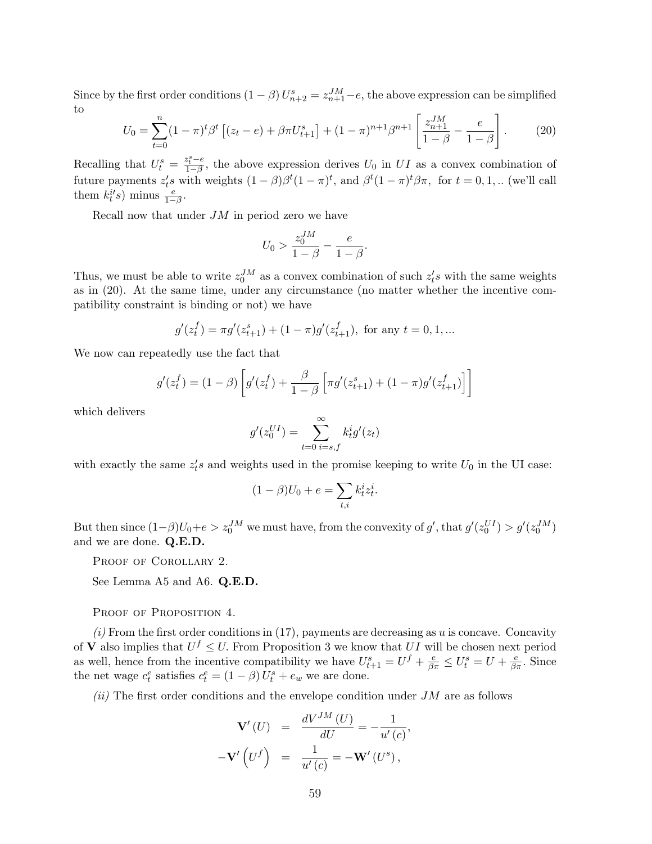Since by the first order conditions  $(1 - \beta) U_{n+2}^s = z_{n+1}^{JM} - e$ , the above expression can be simplified to  $\overline{a}$ 

$$
U_0 = \sum_{t=0}^n (1-\pi)^t \beta^t \left[ (z_t - e) + \beta \pi U_{t+1}^s \right] + (1-\pi)^{n+1} \beta^{n+1} \left[ \frac{z_{n+1}^{JM}}{1-\beta} - \frac{e}{1-\beta} \right]. \tag{20}
$$

Recalling that  $U_t^s = \frac{z_t^s - e}{1 - \beta}$ , the above expression derives  $U_0$  in  $UI$  as a convex combination of future payments  $z_t's$  with weights  $(1 - \beta)\beta^t (1 - \pi)^t$ , and  $\beta^t (1 - \pi)^t \beta \pi$ , for  $t = 0, 1, ...$  (we'll call them  $k_t^{i'}s$ ) minus  $\frac{e}{1-\beta}$ .

Recall now that under  $JM$  in period zero we have

$$
U_0 > \frac{z_0^{JM}}{1 - \beta} - \frac{e}{1 - \beta}.
$$

Thus, we must be able to write  $z_0^{JM}$  as a convex combination of such  $z_t^{\prime}s$  with the same weights as in (20). At the same time, under any circumstance (no matter whether the incentive compatibility constraint is binding or not) we have

$$
g'(z_t^f) = \pi g'(z_{t+1}^s) + (1 - \pi)g'(z_{t+1}^f), \text{ for any } t = 0, 1, ...
$$

We now can repeatedly use the fact that

$$
g'(z_t^f) = (1 - \beta) \left[ g'(z_t^f) + \frac{\beta}{1 - \beta} \left[ \pi g'(z_{t+1}^s) + (1 - \pi) g'(z_{t+1}^f) \right] \right]
$$

which delivers

$$
g'(z_0^{UI}) = \sum_{t=0}^{\infty} k_t^{i} g'(z_t)
$$

with exactly the same  $z_t$ 's and weights used in the promise keeping to write  $U_0$  in the UI case:

$$
(1 - \beta)U_0 + e = \sum_{t,i} k_t^i z_t^i.
$$

But then since  $(1-\beta)U_0 + e > z_0^{JM}$  we must have, from the convexity of g', that  $g'(z_0^{UI}) > g'(z_0^{JM})$ and we are done. Q.E.D.

PROOF OF COROLLARY 2.

See Lemma A5 and A6. Q.E.D.

PROOF OF PROPOSITION 4.

 $(i)$  From the first order conditions in (17), payments are decreasing as u is concave. Concavity of **V** also implies that  $U^f \leq U$ . From Proposition 3 we know that UI will be chosen next period as well, hence from the incentive compatibility we have  $U_{t+1}^s = U^f + \frac{e}{\beta \pi} \leq U_t^s = U + \frac{e}{\beta \pi}$ . Since the net wage  $c_t^e$  satisfies  $c_t^e = (1 - \beta) U_t^s + e_w$  we are done.

 $(ii)$  The first order conditions and the envelope condition under JM are as follows

$$
\mathbf{V}'(U) = \frac{dV^{JM}(U)}{dU} = -\frac{1}{u'(c)},
$$
  

$$
-\mathbf{V}'(U^f) = \frac{1}{u'(c)} = -\mathbf{W}'(U^s),
$$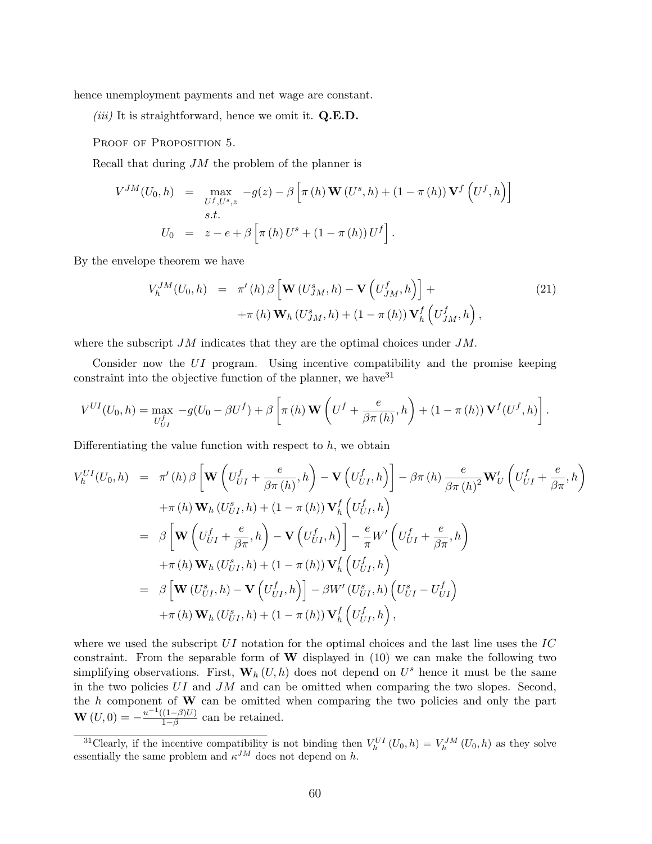hence unemployment payments and net wage are constant.

(*iii*) It is straightforward, hence we omit it.  $Q.E.D.$ 

PROOF OF PROPOSITION 5.

Recall that during  $JM$  the problem of the planner is

$$
V^{JM}(U_0, h) = \max_{U^f, U^s, z} -g(z) - \beta \left[ \pi(h) \mathbf{W}(U^s, h) + (1 - \pi(h)) \mathbf{V}^f(U^f, h) \right]
$$
  
s.t.  

$$
U_0 = z - e + \beta \left[ \pi(h) U^s + (1 - \pi(h)) U^f \right].
$$

By the envelope theorem we have

$$
V_h^{JM}(U_0, h) = \pi'(h) \beta \left[ \mathbf{W}(U_{JM}^s, h) - \mathbf{V}\left(U_{JM}^f, h\right) \right] +
$$
  
 
$$
+ \pi(h) \mathbf{W}_h(U_{JM}^s, h) + (1 - \pi(h)) \mathbf{V}_h^f\left(U_{JM}^f, h\right),
$$
 (21)

where the subscript  $JM$  indicates that they are the optimal choices under  $JM$ .

Consider now the UI program. Using incentive compatibility and the promise keeping constraint into the objective function of the planner, we have  $31$ 

$$
V^{UI}(U_0, h) = \max_{U_{UI}^f} -g(U_0 - \beta U^f) + \beta \left[ \pi(h) \mathbf{W} \left( U^f + \frac{e}{\beta \pi(h)}, h \right) + (1 - \pi(h)) \mathbf{V}^f (U^f, h) \right].
$$

Differentiating the value function with respect to  $h$ , we obtain

$$
V_{h}^{UI}(U_{0},h) = \pi'(h) \beta \left[\mathbf{W}\left(U_{UI}^{f} + \frac{e}{\beta \pi(h)}, h\right) - \mathbf{V}\left(U_{UI}^{f}, h\right)\right] - \beta \pi(h) \frac{e}{\beta \pi(h)^{2}} \mathbf{W}'_{U} \left(U_{UI}^{f} + \frac{e}{\beta \pi}, h\right)
$$
  
+ $\pi(h) \mathbf{W}_{h} (U_{UI}^{s}, h) + (1 - \pi(h)) \mathbf{V}_{h}^{f} \left(U_{UI}^{f}, h\right)$   
=  $\beta \left[\mathbf{W}\left(U_{UI}^{f} + \frac{e}{\beta \pi}, h\right) - \mathbf{V}\left(U_{UI}^{f}, h\right)\right] - \frac{e}{\pi} W'\left(U_{UI}^{f} + \frac{e}{\beta \pi}, h\right)$   
+ $\pi(h) \mathbf{W}_{h} (U_{UI}^{s}, h) + (1 - \pi(h)) \mathbf{V}_{h}^{f} \left(U_{UI}^{f}, h\right)$   
=  $\beta \left[\mathbf{W} (U_{UI}^{s}, h) - \mathbf{V}\left(U_{UI}^{f}, h\right)\right] - \beta W'(U_{UI}^{s}, h) \left(U_{UI}^{s} - U_{UI}^{f}\right)$   
+ $\pi(h) \mathbf{W}_{h} (U_{UI}^{s}, h) + (1 - \pi(h)) \mathbf{V}_{h}^{f} \left(U_{UI}^{f}, h\right),$ 

where we used the subscript  $UI$  notation for the optimal choices and the last line uses the  $IC$ constraint. From the separable form of  $W$  displayed in (10) we can make the following two simplifying observations. First,  $\mathbf{W}_h(U, h)$  does not depend on  $U^s$  hence it must be the same in the two policies  $UI$  and  $JM$  and can be omitted when comparing the two slopes. Second, the  $h$  component of  $W$  can be omitted when comparing the two policies and only the part  $\mathbf{W}(U,0) = -\frac{u^{-1}((1-\beta)U)}{1-\beta}$  $\frac{(1-\beta)U}{1-\beta}$  can be retained.

<sup>&</sup>lt;sup>31</sup>Clearly, if the incentive compatibility is not binding then  $V_h^{UI}(U_0, h) = V_h^{JM}(U_0, h)$  as they solve essentially the same problem and  $\kappa^{JM}$  does not depend on h.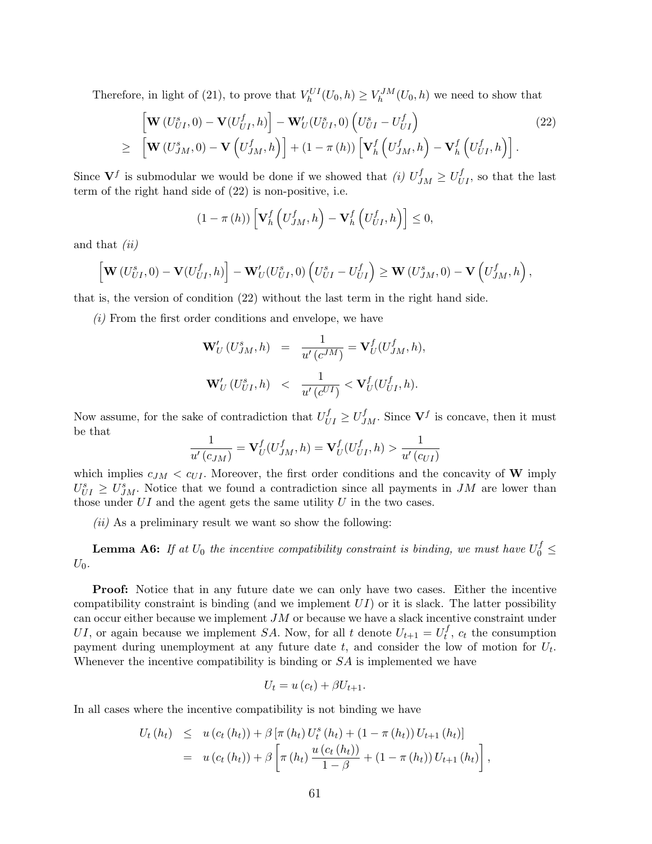Therefore, in light of (21), to prove that  $V_h^{UI}(U_0, h) \geq V_h^{JM}(U_0, h)$  we need to show that

$$
\begin{aligned}\n\left[\mathbf{W}\left(U_{UI}^{s},0\right)-\mathbf{V}\left(U_{UI}^{f},h\right)\right]-\mathbf{W}_{U}^{\prime}\left(U_{UI}^{s},0\right)\left(U_{UI}^{s}-U_{UI}^{f}\right) \\
\geq\quad\left[\mathbf{W}\left(U_{JM}^{s},0\right)-\mathbf{V}\left(U_{JM}^{f},h\right)\right]+\left(1-\pi\left(h\right)\right)\left[\mathbf{V}_{h}^{f}\left(U_{JM}^{f},h\right)-\mathbf{V}_{h}^{f}\left(U_{UI}^{f},h\right)\right].\n\end{aligned}\n\tag{22}
$$

Since  $V^f$  is submodular we would be done if we showed that (i)  $U^f_{JM} \geq U^f_{UI}$ , so that the last term of the right hand side of (22) is non-positive, i.e.

$$
(1 - \pi(h)) \left[ \mathbf{V}_h^f \left( U_{JM}^f, h \right) - \mathbf{V}_h^f \left( U_{UI}^f, h \right) \right] \leq 0,
$$

and that (ii)

$$
\left[\mathbf{W}\left(U_{UI}^s,0\right)-\mathbf{V}\left(U_{UI}^f,h\right)\right]-\mathbf{W}'_U(U_{UI}^s,0)\left(U_{UI}^s-U_{UI}^f\right)\geq \mathbf{W}\left(U_{JM}^s,0\right)-\mathbf{V}\left(U_{JM}^f,h\right),
$$

that is, the version of condition (22) without the last term in the right hand side.

(i) From the first order conditions and envelope, we have

$$
\begin{array}{rcl}\n\mathbf{W}'_U\left(U^s_{JM},h\right) & = & \displaystyle\frac{1}{u'\left(c^{JM}\right)} = \mathbf{V}^f_U(U^f_{JM},h), \\
\mathbf{W}'_U\left(U^s_{UI},h\right) & < & \displaystyle\frac{1}{u'\left(c^{UI}\right)} < \mathbf{V}^f_U(U^f_{UI},h).\n\end{array}
$$

Now assume, for the sake of contradiction that  $U_{UI}^f \ge U_{JM}^f$ . Since  $V^f$  is concave, then it must be that

$$
\frac{1}{u'(c_{JM})} = \mathbf{V}_U^f(U_{JM}^f, h) = \mathbf{V}_U^f(U_{UI}^f, h) > \frac{1}{u'(c_{UI})}
$$

which implies  $c_{JM} < c_{UI}$ . Moreover, the first order conditions and the concavity of W imply  $U_{UI}^{s} \geq U_{JM}^{s}$ . Notice that we found a contradiction since all payments in JM are lower than those under  $UI$  and the agent gets the same utility  $U$  in the two cases.

 $(ii)$  As a preliminary result we want so show the following:

**Lemma A6:** If at  $U_0$  the incentive compatibility constraint is binding, we must have  $U_0^f \leq$  $U_0$ .

**Proof:** Notice that in any future date we can only have two cases. Either the incentive compatibility constraint is binding (and we implement  $UI$ ) or it is slack. The latter possibility can occur either because we implement JM or because we have a slack incentive constraint under UI, or again because we implement SA. Now, for all t denote  $U_{t+1} = U_t^f$  $t<sub>t</sub>$ ,  $c<sub>t</sub>$  the consumption payment during unemployment at any future date  $t$ , and consider the low of motion for  $U_t$ . Whenever the incentive compatibility is binding or  $SA$  is implemented we have

$$
U_t = u(c_t) + \beta U_{t+1}.
$$

In all cases where the incentive compatibility is not binding we have

$$
U_t(h_t) \leq u(c_t(h_t)) + \beta \left[ \pi(h_t) U_t^s(h_t) + (1 - \pi(h_t)) U_{t+1}(h_t) \right]
$$
  
=  $u(c_t(h_t)) + \beta \left[ \pi(h_t) \frac{u(c_t(h_t))}{1 - \beta} + (1 - \pi(h_t)) U_{t+1}(h_t) \right],$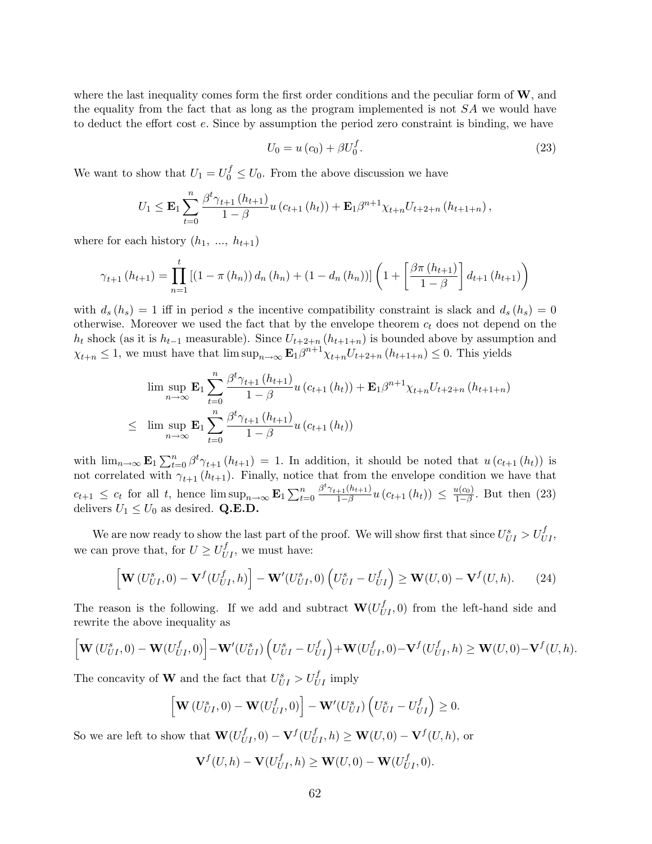where the last inequality comes form the first order conditions and the peculiar form of  $W$ , and the equality from the fact that as long as the program implemented is not  $SA$  we would have to deduct the effort cost e. Since by assumption the period zero constraint is binding, we have

$$
U_0 = u(c_0) + \beta U_0^f. \tag{23}
$$

We want to show that  $U_1 = U_0^f \leq U_0$ . From the above discussion we have

$$
U_1 \leq \mathbf{E}_1 \sum_{t=0}^n \frac{\beta^t \gamma_{t+1} (h_{t+1})}{1-\beta} u(c_{t+1} (h_t)) + \mathbf{E}_1 \beta^{n+1} \chi_{t+n} U_{t+2+n} (h_{t+1+n}),
$$

where for each history  $(h_1, ..., h_{t+1})$ 

$$
\gamma_{t+1}(h_{t+1}) = \prod_{n=1}^{t} \left[ (1 - \pi(h_n)) d_n(h_n) + (1 - d_n(h_n)) \right] \left( 1 + \left[ \frac{\beta \pi(h_{t+1})}{1 - \beta} \right] d_{t+1}(h_{t+1}) \right)
$$

with  $d_s(h_s) = 1$  iff in period s the incentive compatibility constraint is slack and  $d_s(h_s) = 0$ otherwise. Moreover we used the fact that by the envelope theorem  $c_t$  does not depend on the  $h_t$  shock (as it is  $h_{t-1}$  measurable). Since  $U_{t+2+n}$  ( $h_{t+1+n}$ ) is bounded above by assumption and  $\chi_{t+n} \leq 1$ , we must have that  $\limsup_{n \to \infty} \mathbf{E}_1 \beta^{n+1} \chi_{t+n} U_{t+2+n} (h_{t+1+n}) \leq 0$ . This yields

$$
\limsup_{n \to \infty} \mathbf{E}_1 \sum_{t=0}^n \frac{\beta^t \gamma_{t+1}(h_{t+1})}{1-\beta} u(c_{t+1}(h_t)) + \mathbf{E}_1 \beta^{n+1} \chi_{t+n} U_{t+2+n}(h_{t+1+n})
$$
\n
$$
\leq \limsup_{n \to \infty} \mathbf{E}_1 \sum_{t=0}^n \frac{\beta^t \gamma_{t+1}(h_{t+1})}{1-\beta} u(c_{t+1}(h_t))
$$

with  $\lim_{n\to\infty} \mathbf{E}_1 \sum_{t=1}^n$  $t_{t=0}^{n} \beta^{t} \gamma_{t+1} (h_{t+1}) = 1$ . In addition, it should be noted that  $u(c_{t+1} (h_t))$  is not correlated with  $\gamma_{t+1}$  ( $h_{t+1}$ ). Finally, notice that from the envelope condition we have that  $c_{t+1} \leq c_t$  for all t, hence  $\limsup_{n\to\infty} \mathbf{E}_1 \sum_{t=1}^n$  $t=0$  $\beta^t \gamma_{t+1}(h_{t+1})$  $\frac{u(t+1)}{1-\beta}u\left(c_{t+1}\left(h_{t}\right)\right) \leq \frac{u(c_{0})}{1-\beta}$  $\frac{\mu(c_0)}{1-\beta}$ . But then (23) delivers  $U_1 \leq U_0$  as desired. **Q.E.D.** 

We are now ready to show the last part of the proof. We will show first that since  $U_{UI}^s > U_{UI}^f$ , we can prove that, for  $U \ge U_{UI}^f$ , we must have:

$$
\left[\mathbf{W}\left(U_{UI}^s,0\right)-\mathbf{V}^f\left(U_{UI}^f,h\right)\right]-\mathbf{W}'\left(U_{UI}^s,0\right)\left(U_{UI}^s-U_{UI}^f\right)\geq \mathbf{W}\left(U,0\right)-\mathbf{V}^f\left(U,h\right). \tag{24}
$$

The reason is the following. If we add and subtract  $\mathbf{W}(U_{UI}^f, 0)$  from the left-hand side and rewrite the above inequality as

$$
\Big[\mathbf{W}\left(U_{UI}^s,0\right)-\mathbf{W}\left(U_{UI}^f,0\right)\Big]-\mathbf{W}'\left(U_{UI}^s\right)\left(U_{UI}^s-U_{UI}^f\right)+\mathbf{W}\left(U_{UI}^f,0\right)-\mathbf{V}^f\left(U_{UI}^f,h\right)\geq \mathbf{W}\left(U,0\right)-\mathbf{V}^f\left(U,h\right).
$$

The concavity of **W** and the fact that  $U_{UI}^s > U_{UI}^f$  imply

$$
\left[\mathbf{W}\left(U_{UI}^s,0\right)-\mathbf{W}\left(U_{UI}^f,0\right)\right]-\mathbf{W}'\left(U_{UI}^s\right)\left(U_{UI}^s-U_{UI}^f\right)\geq 0.
$$

So we are left to show that  $\mathbf{W}(U_{UI}^f, 0) - \mathbf{V}^f(U_{UI}^f, h) \geq \mathbf{W}(U, 0) - \mathbf{V}^f(U, h)$ , or

$$
\mathbf{V}^{f}(U,h)-\mathbf{V}(U_{UI}^{f},h)\geq \mathbf{W}(U,0)-\mathbf{W}(U_{UI}^{f},0).
$$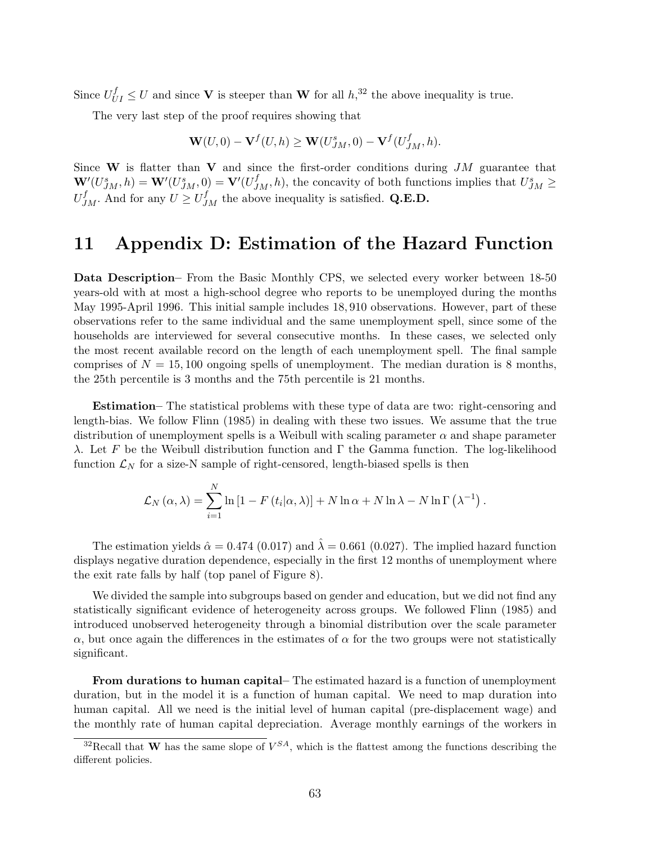Since  $U_{UI}^f \leq U$  and since **V** is steeper than **W** for all  $h$ <sup>32</sup>, the above inequality is true.

The very last step of the proof requires showing that

$$
\mathbf{W}(U,0) - \mathbf{V}^{f}(U,h) \geq \mathbf{W}(U_{JM}^s,0) - \mathbf{V}^{f}(U_{JM}^f,h).
$$

Since W is flatter than V and since the first-order conditions during  $JM$  guarantee that  $\mathbf{W}'(U_{JM}^s, h) = \mathbf{W}'(U_{JM}^s, 0) = \mathbf{V}'(U_{JM}^f, h)$ , the concavity of both functions implies that  $U_{JM}^s \geq$  $U_{JM}^f$ . And for any  $U \ge U_{JM}^f$  the above inequality is satisfied. Q.E.D.

## 11 Appendix D: Estimation of the Hazard Function

Data Description– From the Basic Monthly CPS, we selected every worker between 18-50 years-old with at most a high-school degree who reports to be unemployed during the months May 1995-April 1996. This initial sample includes 18, 910 observations. However, part of these observations refer to the same individual and the same unemployment spell, since some of the households are interviewed for several consecutive months. In these cases, we selected only the most recent available record on the length of each unemployment spell. The final sample comprises of  $N = 15,100$  ongoing spells of unemployment. The median duration is 8 months, the 25th percentile is 3 months and the 75th percentile is 21 months.

Estimation– The statistical problems with these type of data are two: right-censoring and length-bias. We follow Flinn (1985) in dealing with these two issues. We assume that the true distribution of unemployment spells is a Weibull with scaling parameter  $\alpha$  and shape parameter λ. Let F be the Weibull distribution function and Γ the Gamma function. The log-likelihood function  $\mathcal{L}_N$  for a size-N sample of right-censored, length-biased spells is then

$$
\mathcal{L}_N(\alpha,\lambda) = \sum_{i=1}^N \ln\left[1 - F(t_i|\alpha,\lambda)\right] + N \ln \alpha + N \ln \lambda - N \ln \Gamma(\lambda^{-1}).
$$

The estimation yields  $\hat{\alpha} = 0.474$  (0.017) and  $\hat{\lambda} = 0.661$  (0.027). The implied hazard function displays negative duration dependence, especially in the first 12 months of unemployment where the exit rate falls by half (top panel of Figure 8).

We divided the sample into subgroups based on gender and education, but we did not find any statistically significant evidence of heterogeneity across groups. We followed Flinn (1985) and introduced unobserved heterogeneity through a binomial distribution over the scale parameter  $\alpha$ , but once again the differences in the estimates of  $\alpha$  for the two groups were not statistically significant.

From durations to human capital– The estimated hazard is a function of unemployment duration, but in the model it is a function of human capital. We need to map duration into human capital. All we need is the initial level of human capital (pre-displacement wage) and the monthly rate of human capital depreciation. Average monthly earnings of the workers in

<sup>&</sup>lt;sup>32</sup>Recall that **W** has the same slope of  $V^{SA}$ , which is the flattest among the functions describing the different policies.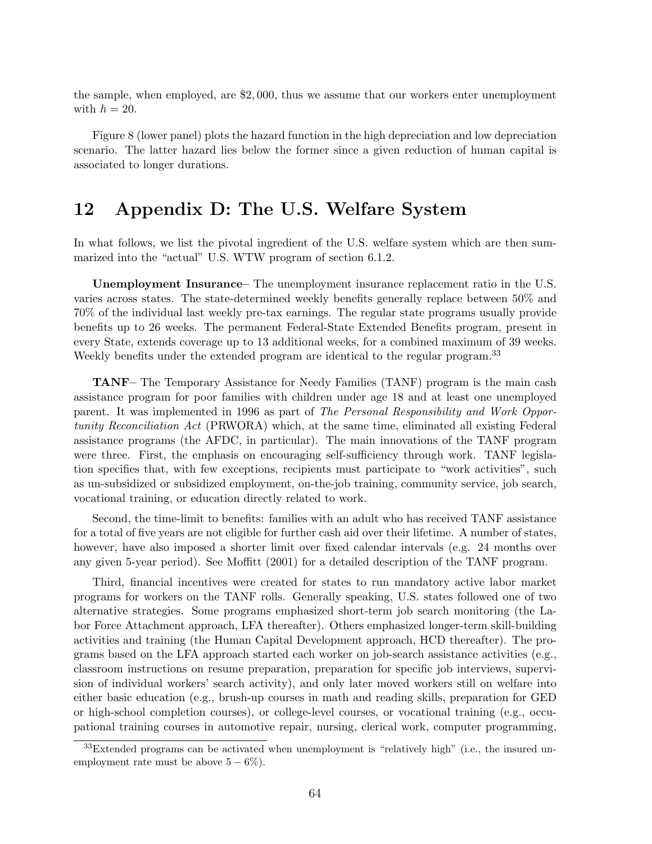the sample, when employed, are \$2, 000, thus we assume that our workers enter unemployment with  $h = 20$ .

Figure 8 (lower panel) plots the hazard function in the high depreciation and low depreciation scenario. The latter hazard lies below the former since a given reduction of human capital is associated to longer durations.

### 12 Appendix D: The U.S. Welfare System

In what follows, we list the pivotal ingredient of the U.S. welfare system which are then summarized into the "actual" U.S. WTW program of section 6.1.2.

Unemployment Insurance– The unemployment insurance replacement ratio in the U.S. varies across states. The state-determined weekly benefits generally replace between 50% and 70% of the individual last weekly pre-tax earnings. The regular state programs usually provide benefits up to 26 weeks. The permanent Federal-State Extended Benefits program, present in every State, extends coverage up to 13 additional weeks, for a combined maximum of 39 weeks. Weekly benefits under the extended program are identical to the regular program.<sup>33</sup>

TANF– The Temporary Assistance for Needy Families (TANF) program is the main cash assistance program for poor families with children under age 18 and at least one unemployed parent. It was implemented in 1996 as part of The Personal Responsibility and Work Opportunity Reconciliation Act (PRWORA) which, at the same time, eliminated all existing Federal assistance programs (the AFDC, in particular). The main innovations of the TANF program were three. First, the emphasis on encouraging self-sufficiency through work. TANF legislation specifies that, with few exceptions, recipients must participate to "work activities", such as un-subsidized or subsidized employment, on-the-job training, community service, job search, vocational training, or education directly related to work.

Second, the time-limit to benefits: families with an adult who has received TANF assistance for a total of five years are not eligible for further cash aid over their lifetime. A number of states, however, have also imposed a shorter limit over fixed calendar intervals (e.g. 24 months over any given 5-year period). See Moffitt (2001) for a detailed description of the TANF program.

Third, financial incentives were created for states to run mandatory active labor market programs for workers on the TANF rolls. Generally speaking, U.S. states followed one of two alternative strategies. Some programs emphasized short-term job search monitoring (the Labor Force Attachment approach, LFA thereafter). Others emphasized longer-term skill-building activities and training (the Human Capital Development approach, HCD thereafter). The programs based on the LFA approach started each worker on job-search assistance activities (e.g., classroom instructions on resume preparation, preparation for specific job interviews, supervision of individual workers' search activity), and only later moved workers still on welfare into either basic education (e.g., brush-up courses in math and reading skills, preparation for GED or high-school completion courses), or college-level courses, or vocational training (e.g., occupational training courses in automotive repair, nursing, clerical work, computer programming,

<sup>&</sup>lt;sup>33</sup>Extended programs can be activated when unemployment is "relatively high" (i.e., the insured unemployment rate must be above  $5 - 6\%$ ).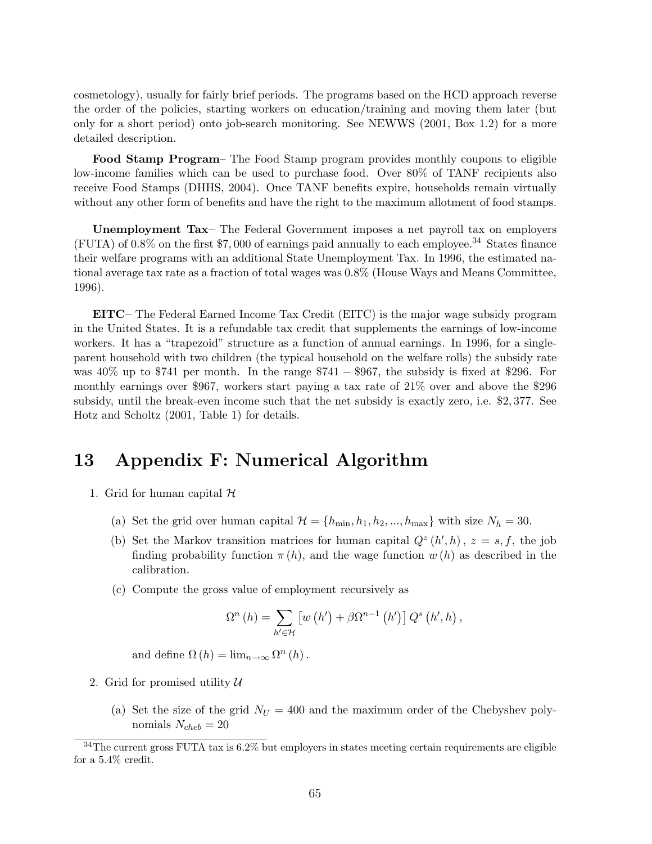cosmetology), usually for fairly brief periods. The programs based on the HCD approach reverse the order of the policies, starting workers on education/training and moving them later (but only for a short period) onto job-search monitoring. See NEWWS (2001, Box 1.2) for a more detailed description.

Food Stamp Program– The Food Stamp program provides monthly coupons to eligible low-income families which can be used to purchase food. Over 80% of TANF recipients also receive Food Stamps (DHHS, 2004). Once TANF benefits expire, households remain virtually without any other form of benefits and have the right to the maximum allotment of food stamps.

Unemployment Tax– The Federal Government imposes a net payroll tax on employers (FUTA) of  $0.8\%$  on the first \$7,000 of earnings paid annually to each employee.<sup>34</sup> States finance their welfare programs with an additional State Unemployment Tax. In 1996, the estimated national average tax rate as a fraction of total wages was 0.8% (House Ways and Means Committee, 1996).

EITC– The Federal Earned Income Tax Credit (EITC) is the major wage subsidy program in the United States. It is a refundable tax credit that supplements the earnings of low-income workers. It has a "trapezoid" structure as a function of annual earnings. In 1996, for a singleparent household with two children (the typical household on the welfare rolls) the subsidy rate was  $40\%$  up to \$741 per month. In the range \$741 – \$967, the subsidy is fixed at \$296. For monthly earnings over \$967, workers start paying a tax rate of 21% over and above the \$296 subsidy, until the break-even income such that the net subsidy is exactly zero, i.e. \$2, 377. See Hotz and Scholtz (2001, Table 1) for details.

# 13 Appendix F: Numerical Algorithm

- 1. Grid for human capital  $H$ 
	- (a) Set the grid over human capital  $\mathcal{H} = \{h_{\min}, h_1, h_2, ..., h_{\max}\}\$  with size  $N_h = 30$ .
	- (b) Set the Markov transition matrices for human capital  $Q^z(h',h)$ ,  $z = s, f$ , the job finding probability function  $\pi(h)$ , and the wage function  $w(h)$  as described in the calibration.
	- (c) Compute the gross value of employment recursively as

$$
\Omega^{n}(h) = \sum_{h' \in \mathcal{H}} \left[ w\left(h'\right) + \beta \Omega^{n-1}\left(h'\right) \right] Q^{s}\left(h', h\right),
$$

and define  $\Omega(h) = \lim_{n \to \infty} \Omega^n(h)$ .

- 2. Grid for promised utility  $\mathcal U$ 
	- (a) Set the size of the grid  $N_U = 400$  and the maximum order of the Chebyshev polynomials  $N_{cheb} = 20$

 $34$ The current gross FUTA tax is  $6.2\%$  but employers in states meeting certain requirements are eligible for a 5.4% credit.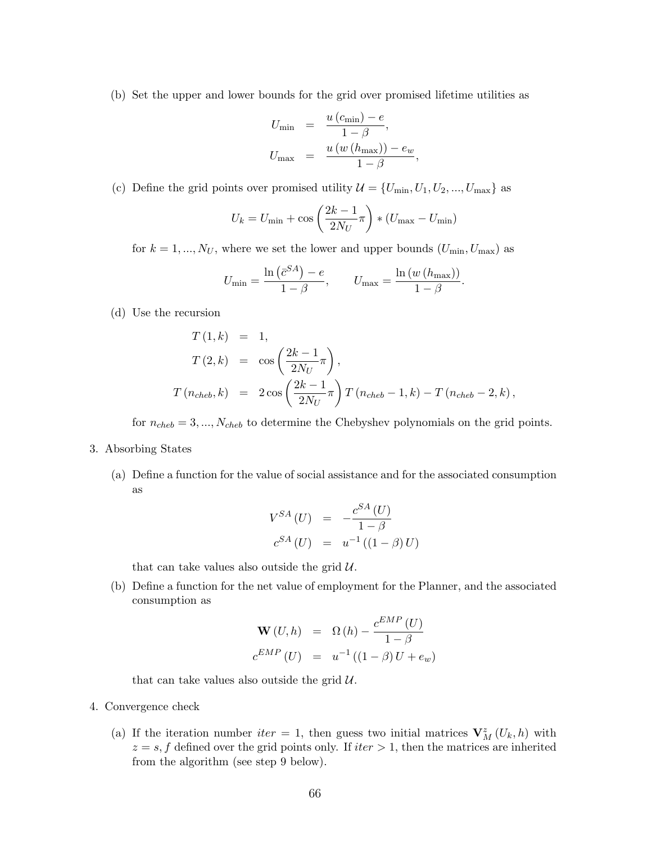(b) Set the upper and lower bounds for the grid over promised lifetime utilities as

$$
U_{\min} = \frac{u(c_{\min}) - e}{1 - \beta},
$$
  

$$
U_{\max} = \frac{u(w(h_{\max})) - e_w}{1 - \beta},
$$

(c) Define the grid points over promised utility  $\mathcal{U} = \{U_{\min}, U_1, U_2, ..., U_{\max}\}\$ as

$$
U_k = U_{\min} + \cos\left(\frac{2k-1}{2N_U}\pi\right) * (U_{\max} - U_{\min})
$$

for  $k = 1, ..., N_U$ , where we set the lower and upper bounds  $(U_{\min}, U_{\max})$  as

$$
U_{\min} = \frac{\ln\left(\bar{c}^{SA}\right) - e}{1 - \beta}, \qquad U_{\max} = \frac{\ln\left(w\left(h_{\max}\right)\right)}{1 - \beta}.
$$

(d) Use the recursion

$$
T(1,k) = 1,
$$
  
\n
$$
T(2,k) = \cos\left(\frac{2k-1}{2N_U}\pi\right),
$$
  
\n
$$
T(n_{cheb},k) = 2\cos\left(\frac{2k-1}{2N_U}\pi\right)T(n_{cheb}-1,k) - T(n_{cheb}-2,k),
$$

for  $n_{cheb} = 3, ..., N_{cheb}$  to determine the Chebyshev polynomials on the grid points.

- 3. Absorbing States
	- (a) Define a function for the value of social assistance and for the associated consumption as

$$
V^{SA} (U) = -\frac{c^{SA} (U)}{1 - \beta}
$$
  

$$
c^{SA} (U) = u^{-1} ((1 - \beta) U)
$$

that can take values also outside the grid  $\mathcal{U}$ .

(b) Define a function for the net value of employment for the Planner, and the associated consumption as

$$
\mathbf{W}(U,h) = \Omega(h) - \frac{c^{EMP}(U)}{1-\beta}
$$

$$
c^{EMP}(U) = u^{-1}((1-\beta)U + e_w)
$$

that can take values also outside the grid  $\mathcal{U}$ .

- 4. Convergence check
	- (a) If the iteration number *iter* = 1, then guess two initial matrices  $V_M^z(U_k, h)$  with  $z = s$ , f defined over the grid points only. If  $iter > 1$ , then the matrices are inherited from the algorithm (see step 9 below).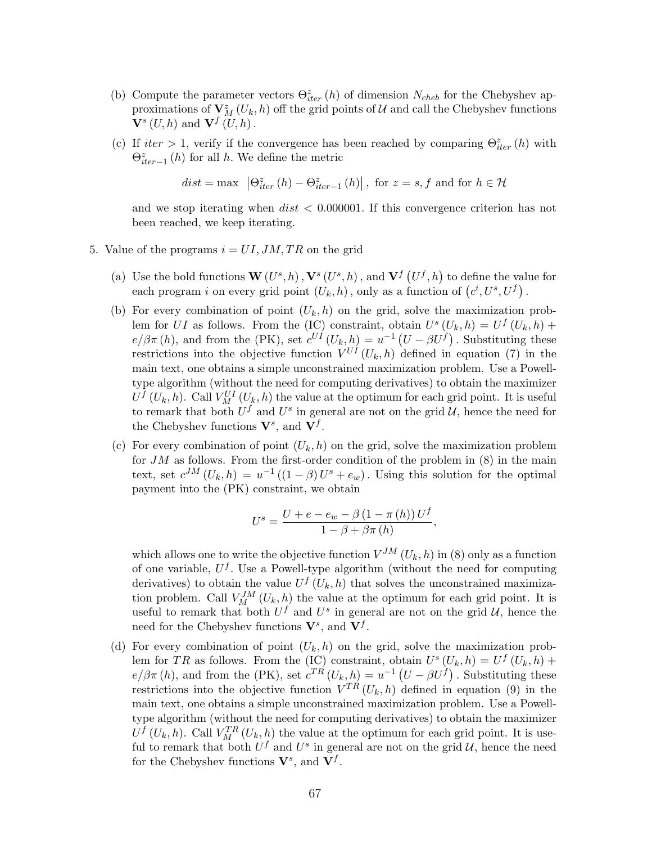- (b) Compute the parameter vectors  $\Theta_{iter}^z(h)$  of dimension  $N_{cheb}$  for the Chebyshev approximations of  $V_M^z(U_k, h)$  off the grid points of U and call the Chebyshev functions  $\mathbf{V}^{s}\left( U,h\right)$  and  $\mathbf{V}^{f}\left( U,h\right)$ .
- (c) If  $iter > 1$ , verify if the convergence has been reached by comparing  $\Theta_{iter}^z(h)$  with  $\Theta_{iter-1}^{z}(h)$  for all h. We define the metric

$$
dist = \max \left| \Theta_{iter}^{z}(h) - \Theta_{iter-1}^{z}(h) \right|, \text{ for } z = s, f \text{ and for } h \in \mathcal{H}
$$

and we stop iterating when  $dist < 0.000001$ . If this convergence criterion has not been reached, we keep iterating.

- 5. Value of the programs  $i = UI, JM, TR$  on the grid
	- (a) Use the bold functions  $\mathbf{W}(U^{s}, h)$ ,  $\mathbf{V}^{s}(U^{s}, h)$ , and  $\mathbf{V}^{f}$  (  $U^f, h$  to define the value for but the bold functions  $\mathbf{w}(U^*, h)$ ,  $\mathbf{v}^*(U^*, h)$ , and  $\mathbf{v}^*(U^*, h)$  to define the value can program i on every grid point  $(U_k, h)$ , only as a function of  $(c^i, U^s, U^f)$ .
	- (b) For every combination of point  $(U_k, h)$  on the grid, solve the maximization problem for UI as follows. From the (IC) constraint, obtain  $U^s(U_k, h) = U^f(U_k, h) +$  $e/\beta\pi(h)$ , and from the (PK), set  $c^{UI}(U_k, h) = u^{-1}(U - \beta U^f)$ . Substituting these restrictions into the objective function  $V^{UI}(U_k, h)$  defined in equation (7) in the main text, one obtains a simple unconstrained maximization problem. Use a Powelltype algorithm (without the need for computing derivatives) to obtain the maximizer  $U^f(U_k, h)$ . Call  $V_M^{UI}(U_k, h)$  the value at the optimum for each grid point. It is useful to remark that both  $U^f$  and  $U^s$  in general are not on the grid  $\mathcal{U}$ , hence the need for the Chebyshev functions  $V^s$ , and  $V^f$ .
	- (c) For every combination of point  $(U_k, h)$  on the grid, solve the maximization problem for  $JM$  as follows. From the first-order condition of the problem in  $(8)$  in the main text, set  $c^{JM}(U_k, h) = u^{-1}((1 - \beta)U^s + e_w)$ . Using this solution for the optimal payment into the (PK) constraint, we obtain

$$
U^{s} = \frac{U + e - e_w - \beta (1 - \pi (h)) U^{f}}{1 - \beta + \beta \pi (h)},
$$

which allows one to write the objective function  $V^{JM}(U_k, h)$  in (8) only as a function of one variable,  $U^f$ . Use a Powell-type algorithm (without the need for computing derivatives) to obtain the value  $U^f(U_k, h)$  that solves the unconstrained maximization problem. Call  $V_M^{JM}(U_k, h)$  the value at the optimum for each grid point. It is useful to remark that both  $U^f$  and  $U^s$  in general are not on the grid  $\mathcal{U}$ , hence the need for the Chebyshev functions  $V^s$ , and  $V^f$ .

(d) For every combination of point  $(U_k, h)$  on the grid, solve the maximization problem for TR as follows. From the (IC) constraint, obtain  $U^s(U_k, h) = U^f(U_k, h) +$  $e/\beta\pi(h)$ , and from the (PK), set  $c^{TR}(U_k, h) = u^{-1}(U - \beta U^f)$ . Substituting these restrictions into the objective function  $V^{TR}(U_k, h)$  defined in equation (9) in the main text, one obtains a simple unconstrained maximization problem. Use a Powelltype algorithm (without the need for computing derivatives) to obtain the maximizer  $U^f(U_k, h)$ . Call  $V_M^{TR}(U_k, h)$  the value at the optimum for each grid point. It is useful to remark that both  $U^f$  and  $U^s$  in general are not on the grid  $\mathcal{U}$ , hence the need for the Chebyshev functions  $V^s$ , and  $V^f$ .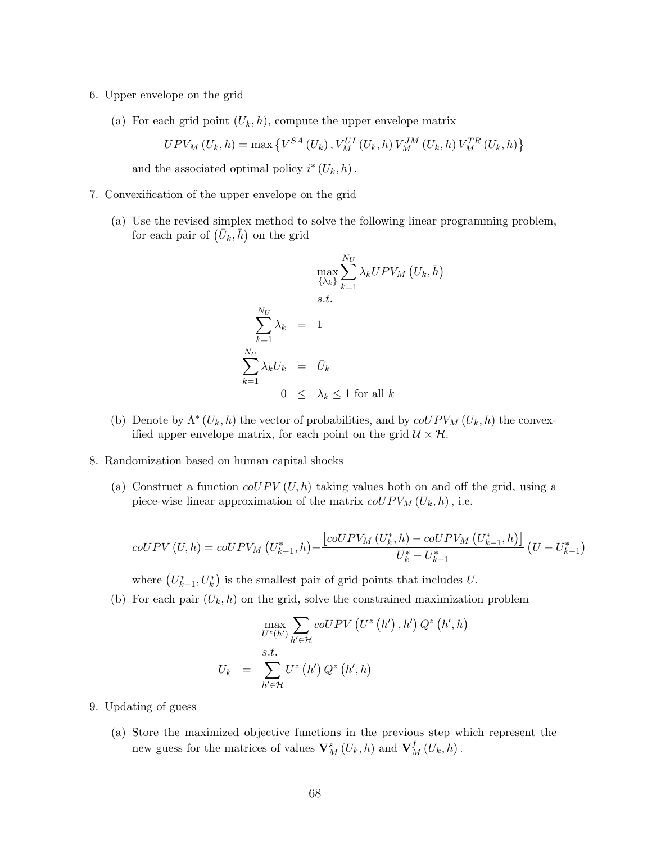- 6. Upper envelope on the grid
	- (a) For each grid point  $(U_k, h)$ , compute the upper envelope matrix

$$
UPV_{M}\left(U_{k},h\right)=\max\left\{ V^{SA}\left(U_{k}\right),V_{M}^{UI}\left(U_{k},h\right)V_{M}^{JM}\left(U_{k},h\right)V_{M}^{TR}\left(U_{k},h\right)\right\}
$$

and the associated optimal policy  $i^*(U_k, h)$ .

- 7. Convexification of the upper envelope on the grid
	- (a) Use the revised simplex method to solve the following linear programming problem, Use the revised simplex method to<br>for each pair of  $(\bar{U}_k, \bar{h})$  on the grid

$$
\max_{\{\lambda_k\}} \sum_{k=1}^{N_U} \lambda_k U P V_M \left( U_k, \bar{h} \right)
$$
  
s.t.  

$$
\sum_{k=1}^{N_U} \lambda_k = 1
$$
  

$$
\sum_{k=1}^{N_U} \lambda_k U_k = \bar{U}_k
$$
  

$$
0 \le \lambda_k \le 1 \text{ for all } k
$$

- (b) Denote by  $\Lambda^*(U_k, h)$  the vector of probabilities, and by  $\text{coUPV}_M(U_k, h)$  the convexified upper envelope matrix, for each point on the grid  $\mathcal{U} \times \mathcal{H}$ .
- 8. Randomization based on human capital shocks
	- (a) Construct a function  $coUPV(U, h)$  taking values both on and off the grid, using a piece-wise linear approximation of the matrix  $\mathit{coUPV}_{M}\left(U_{k},h\right)$ , i.e.

$$
coUPV (U, h) = coUPV_M (U_{k-1}^*, h) + \frac{[coUPV_M (U_k^*, h) - coUPV_M (U_{k-1}^*, h)]}{U_k^* - U_{k-1}^*} (U - U_{k-1}^*)
$$

where  $(U_{k-1}^*, U_k^*)$ ¢ is the smallest pair of grid points that includes U.

(b) For each pair  $(U_k, h)$  on the grid, solve the constrained maximization problem

$$
\max_{U^{z}(h')} \sum_{h' \in \mathcal{H}} coUPV(U^{z}(h'), h') Q^{z}(h', h)
$$

$$
U_{k} = \sum_{h' \in \mathcal{H}} U^{z}(h') Q^{z}(h', h)
$$

- 9. Updating of guess
	- (a) Store the maximized objective functions in the previous step which represent the new guess for the matrices of values  $\mathbf{V}_M^s(U_k, h)$  and  $\mathbf{V}_M^f(U_k, h)$ .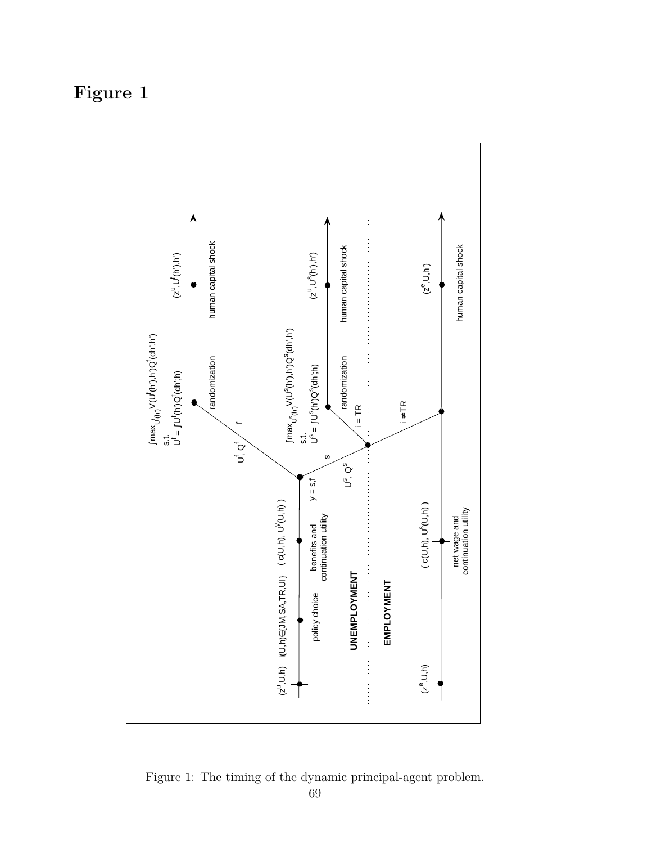# Figure 1



Figure 1: The timing of the dynamic principal-agent problem.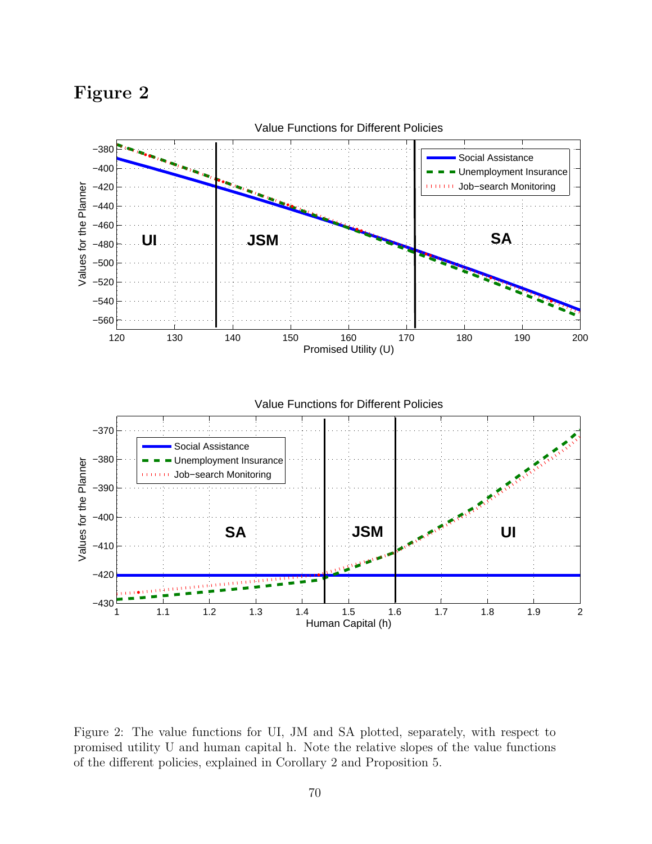Figure 2



Figure 2: The value functions for UI, JM and SA plotted, separately, with respect to promised utility U and human capital h. Note the relative slopes of the value functions of the different policies, explained in Corollary 2 and Proposition 5.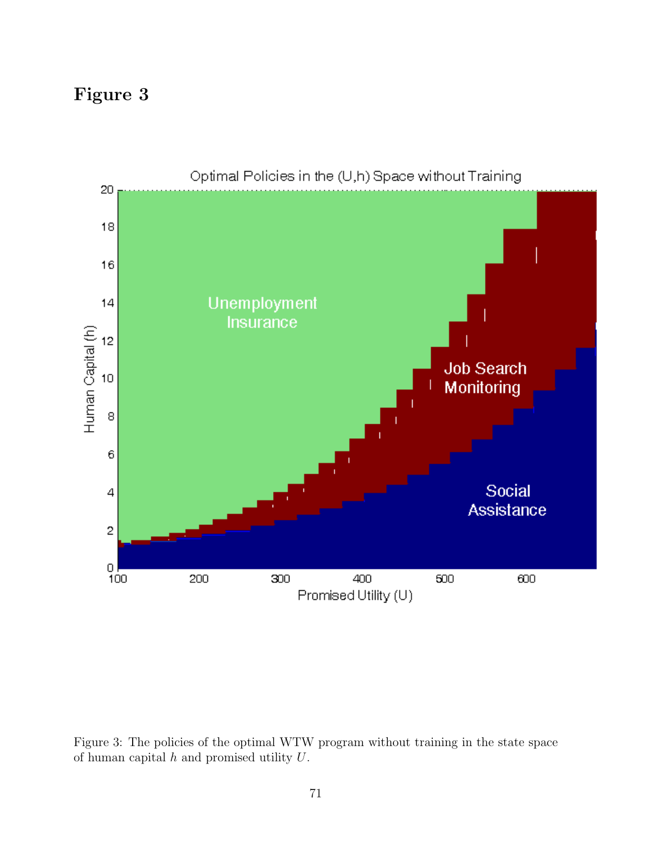# Figure 3



Figure 3: The policies of the optimal WTW program without training in the state space of human capital  $h$  and promised utility  $U$ .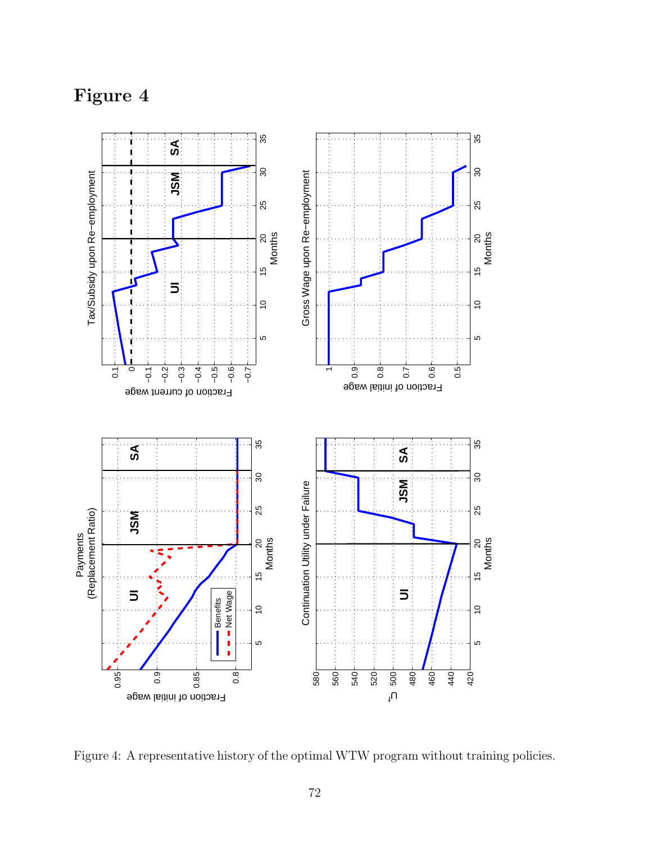Figure 4



Figure 4: A representative history of the optimal WTW program without training policies.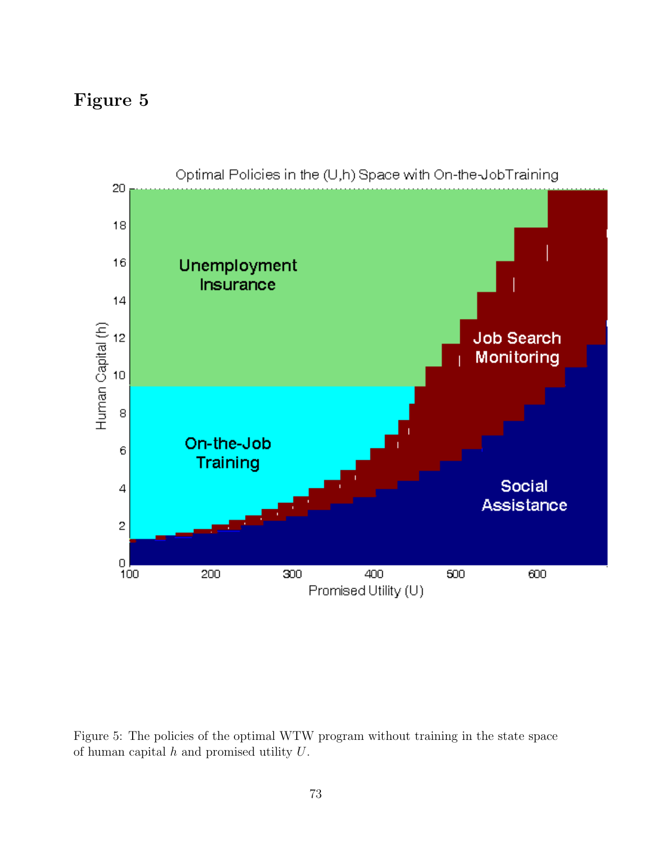

Figure 5: The policies of the optimal WTW program without training in the state space of human capital  $h$  and promised utility  $U$ .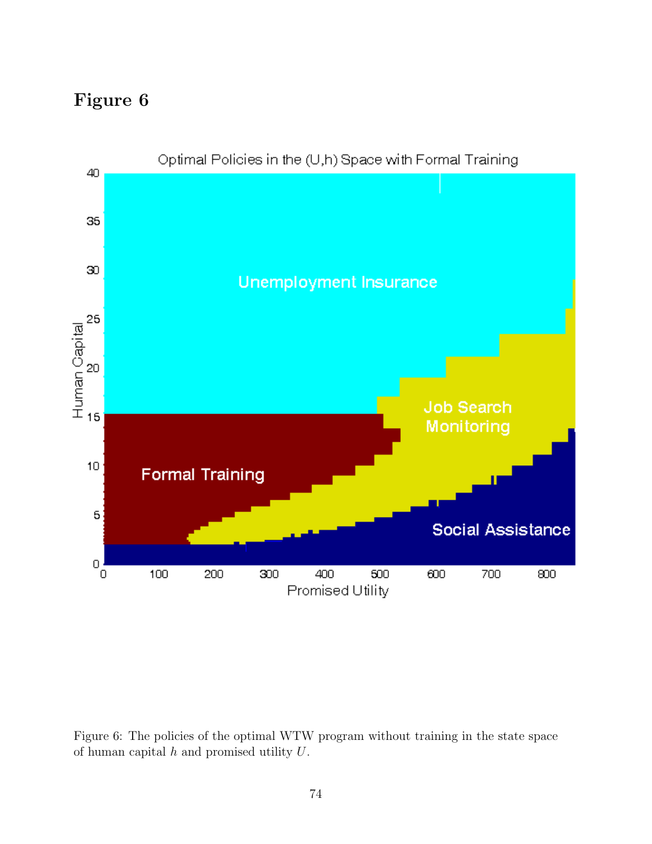

Figure 6: The policies of the optimal WTW program without training in the state space of human capital  $h$  and promised utility  $U$ .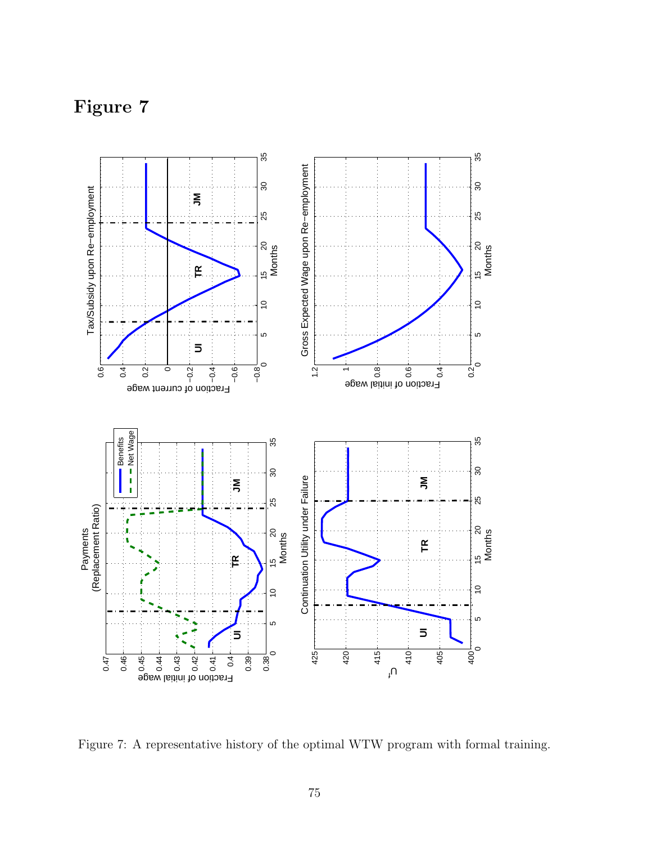Figure 7



Figure 7: A representative history of the optimal WTW program with formal training.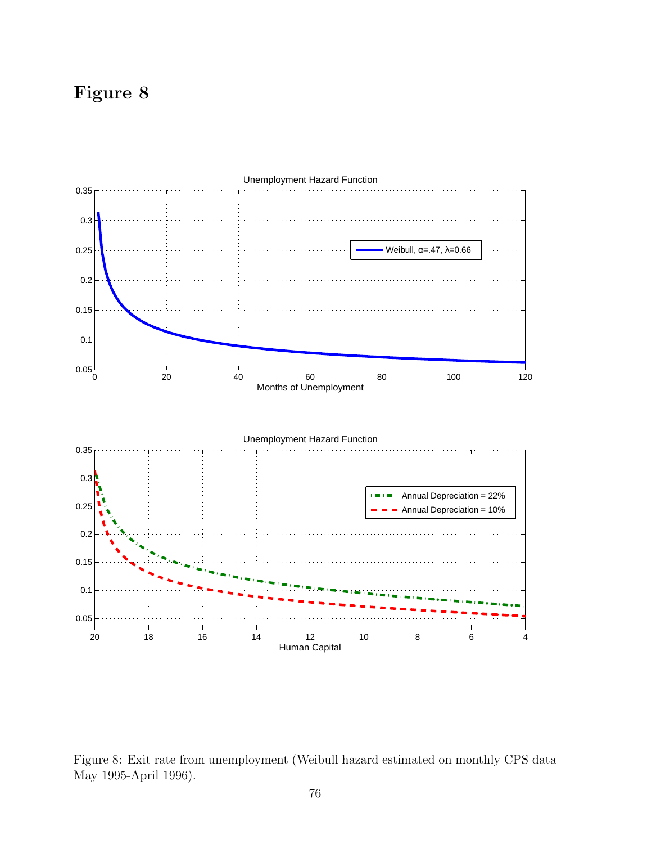

Figure 8: Exit rate from unemployment (Weibull hazard estimated on monthly CPS data May 1995-April 1996).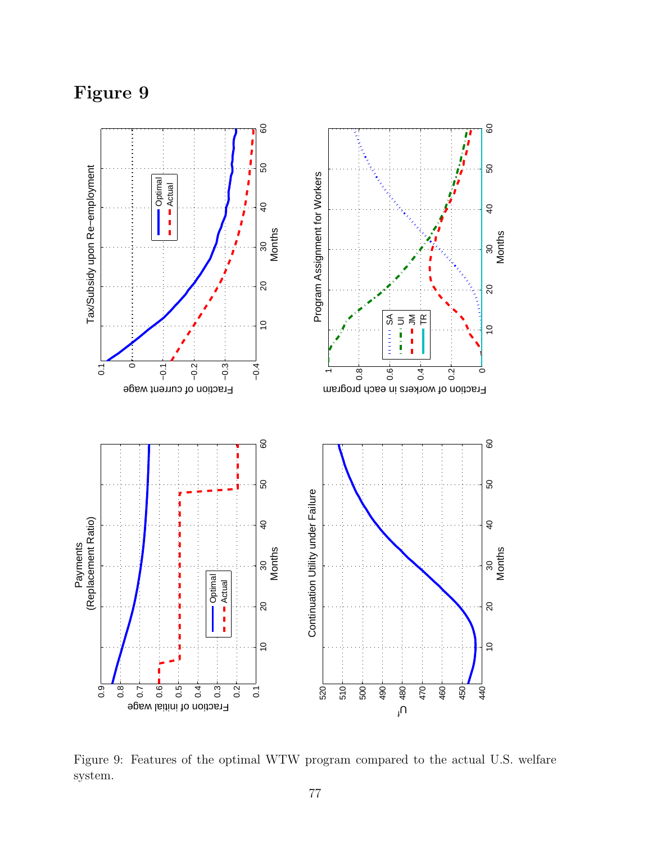

Figure 9: Features of the optimal WTW program compared to the actual U.S. welfare system.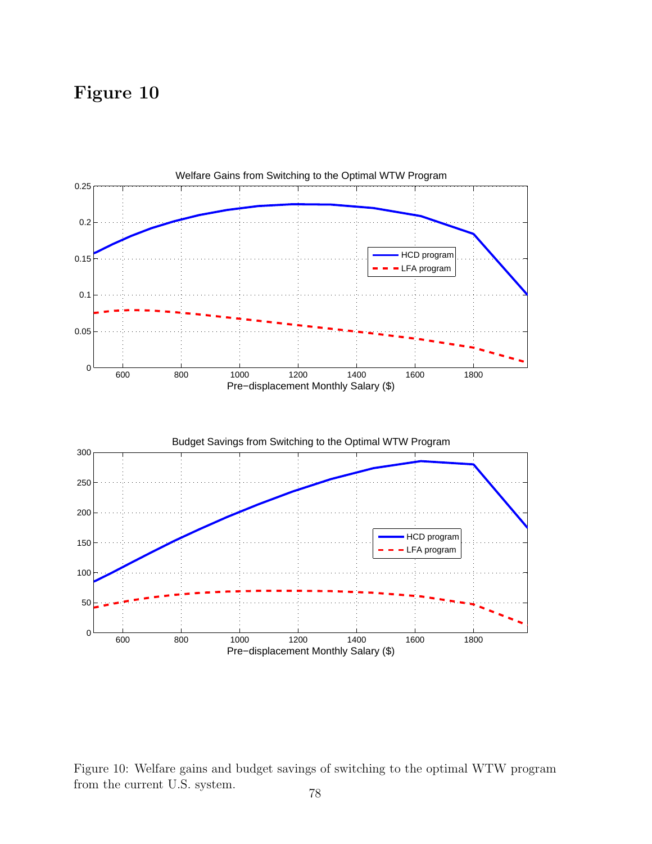

Figure 10: Welfare gains and budget savings of switching to the optimal WTW program from the current U.S. system.